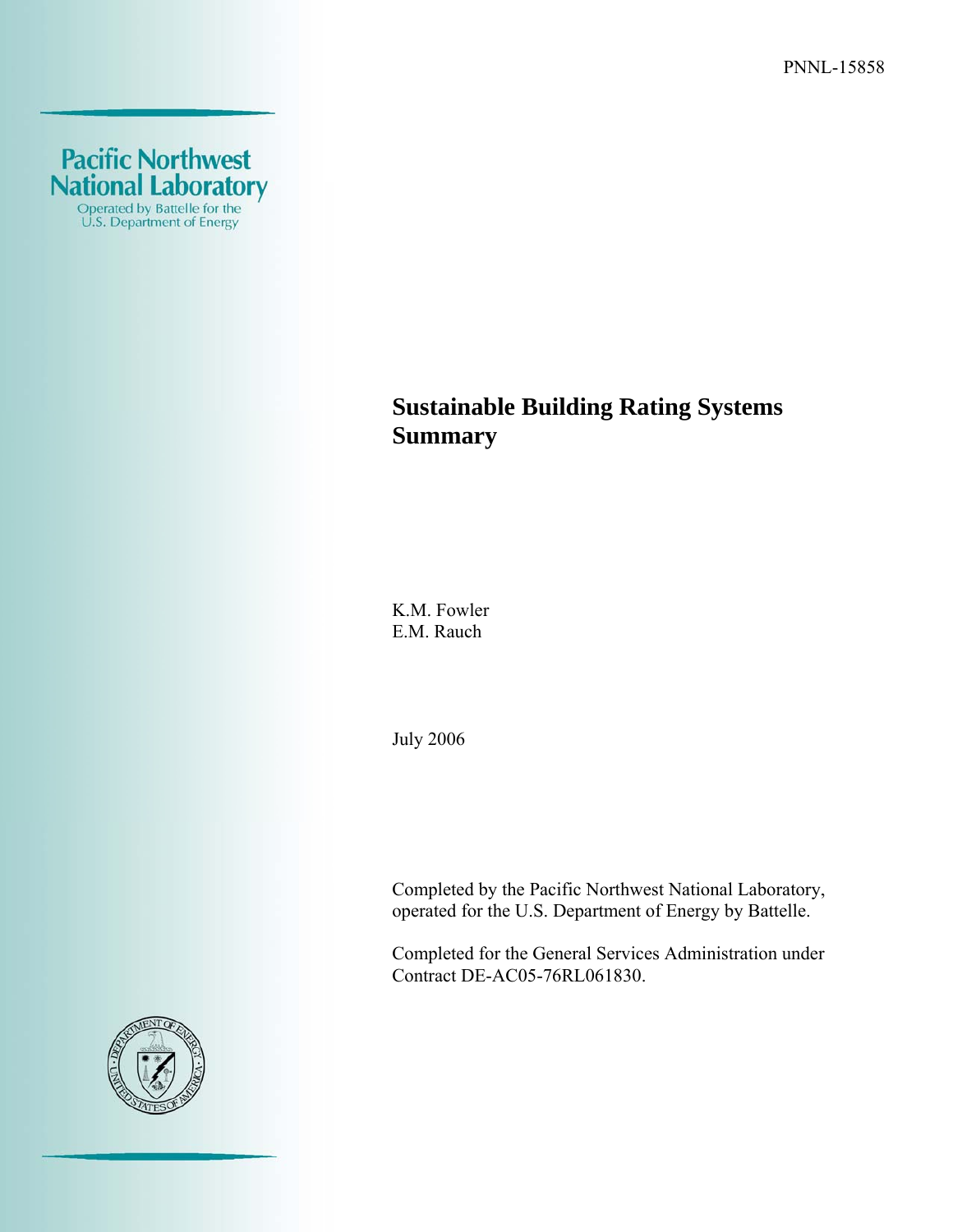PNNL-15858



# **Sustainable Building Rating Systems Summary**

K.M. Fowler E.M. Rauch

July 2006

Completed by the Pacific Northwest National Laboratory, operated for the U.S. Department of Energy by Battelle.

Completed for the General Services Administration under Contract DE-AC05-76RL061830.

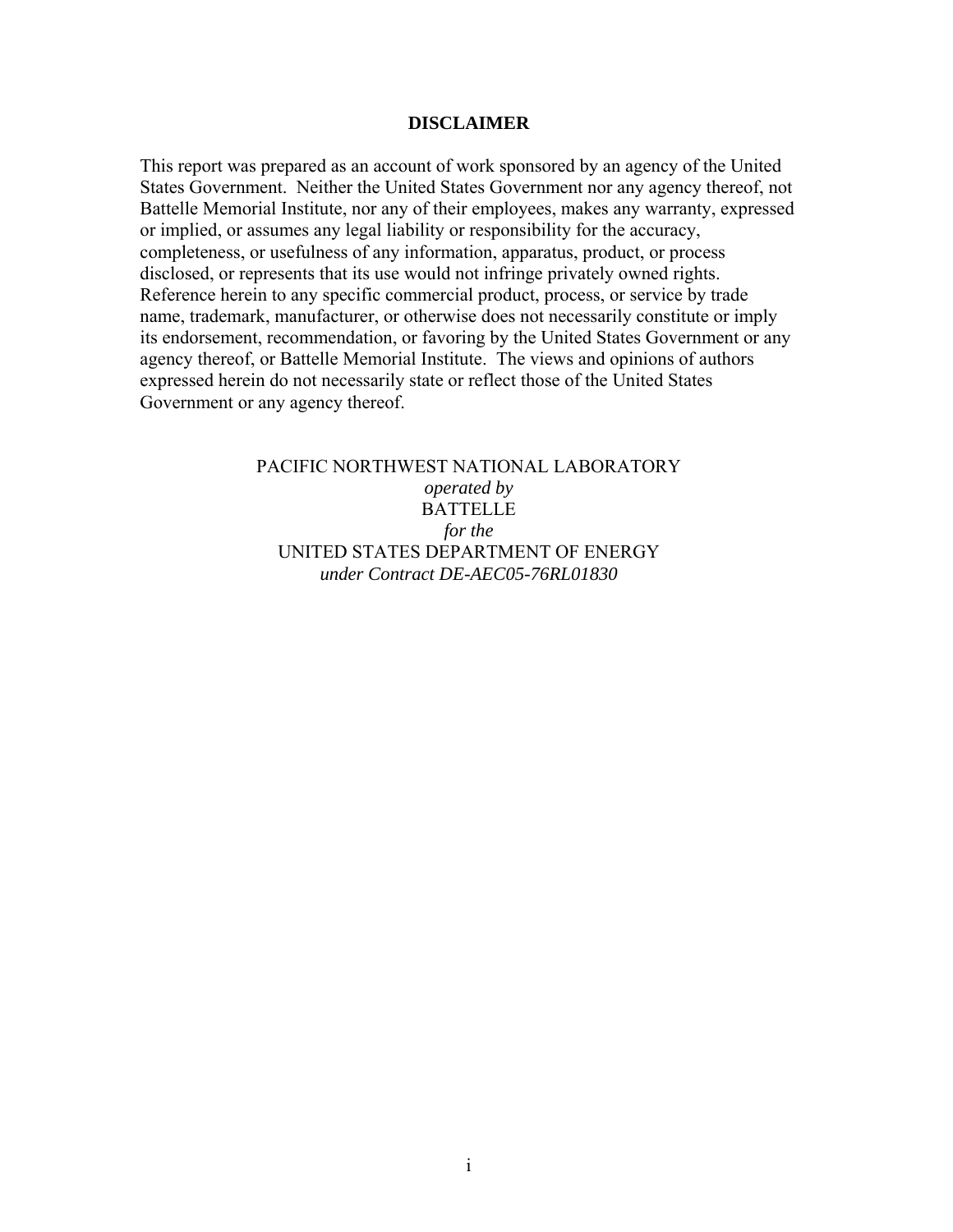#### **DISCLAIMER**

This report was prepared as an account of work sponsored by an agency of the United States Government. Neither the United States Government nor any agency thereof, not Battelle Memorial Institute, nor any of their employees, makes any warranty, expressed or implied, or assumes any legal liability or responsibility for the accuracy, completeness, or usefulness of any information, apparatus, product, or process disclosed, or represents that its use would not infringe privately owned rights. Reference herein to any specific commercial product, process, or service by trade name, trademark, manufacturer, or otherwise does not necessarily constitute or imply its endorsement, recommendation, or favoring by the United States Government or any agency thereof, or Battelle Memorial Institute. The views and opinions of authors expressed herein do not necessarily state or reflect those of the United States Government or any agency thereof.

> PACIFIC NORTHWEST NATIONAL LABORATORY *operated by*  BATTELLE *for the*  UNITED STATES DEPARTMENT OF ENERGY *under Contract DE-AEC05-76RL01830*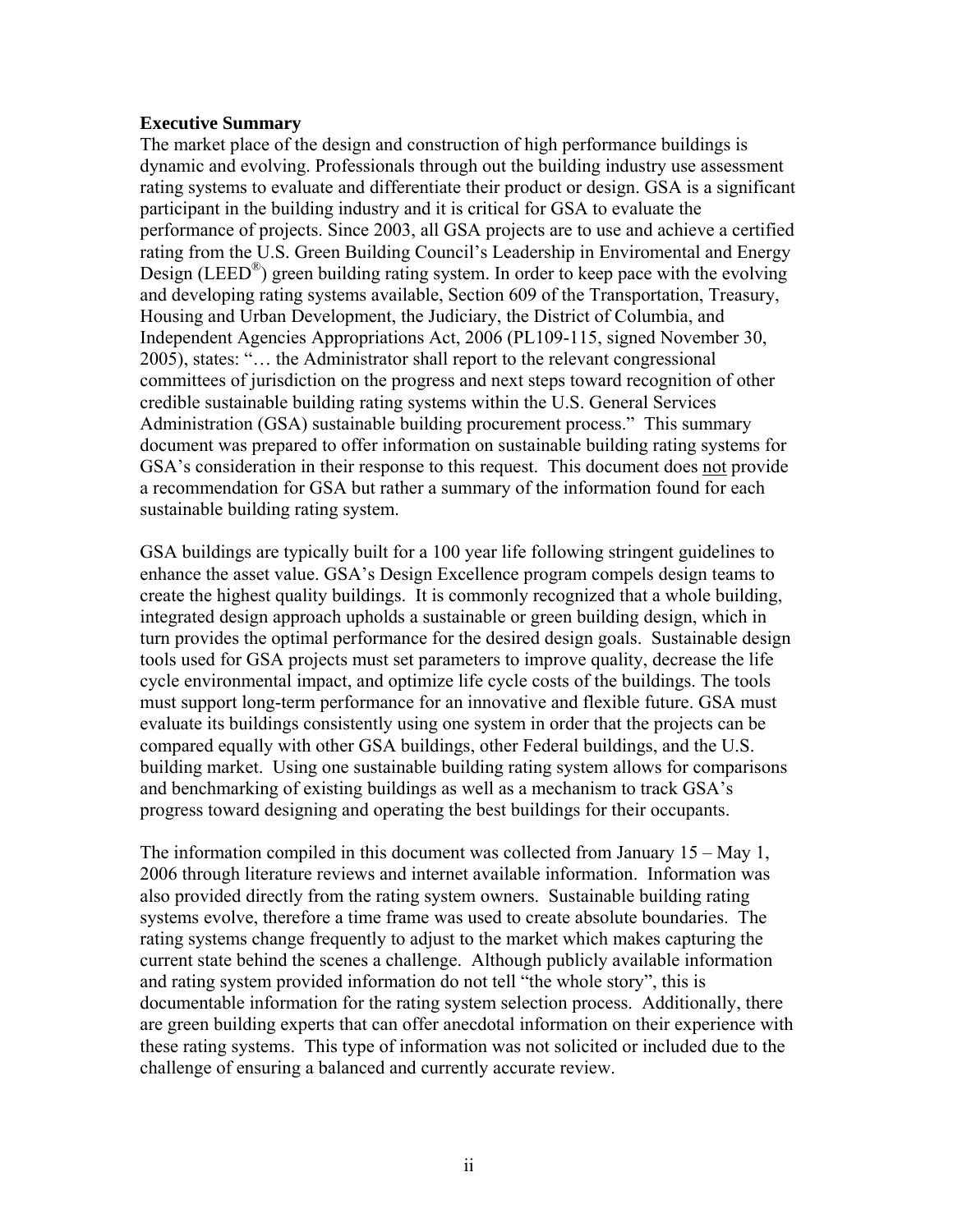#### **Executive Summary**

The market place of the design and construction of high performance buildings is dynamic and evolving. Professionals through out the building industry use assessment rating systems to evaluate and differentiate their product or design. GSA is a significant participant in the building industry and it is critical for GSA to evaluate the performance of projects. Since 2003, all GSA projects are to use and achieve a certified rating from the U.S. Green Building Council's Leadership in Enviromental and Energy Design (LEED<sup>®</sup>) green building rating system. In order to keep pace with the evolving and developing rating systems available, Section 609 of the Transportation, Treasury, Housing and Urban Development, the Judiciary, the District of Columbia, and Independent Agencies Appropriations Act, 2006 (PL109-115, signed November 30, 2005), states: "… the Administrator shall report to the relevant congressional committees of jurisdiction on the progress and next steps toward recognition of other credible sustainable building rating systems within the U.S. General Services Administration (GSA) sustainable building procurement process." This summary document was prepared to offer information on sustainable building rating systems for GSA's consideration in their response to this request. This document does not provide a recommendation for GSA but rather a summary of the information found for each sustainable building rating system.

GSA buildings are typically built for a 100 year life following stringent guidelines to enhance the asset value. GSA's Design Excellence program compels design teams to create the highest quality buildings. It is commonly recognized that a whole building, integrated design approach upholds a sustainable or green building design, which in turn provides the optimal performance for the desired design goals. Sustainable design tools used for GSA projects must set parameters to improve quality, decrease the life cycle environmental impact, and optimize life cycle costs of the buildings. The tools must support long-term performance for an innovative and flexible future. GSA must evaluate its buildings consistently using one system in order that the projects can be compared equally with other GSA buildings, other Federal buildings, and the U.S. building market. Using one sustainable building rating system allows for comparisons and benchmarking of existing buildings as well as a mechanism to track GSA's progress toward designing and operating the best buildings for their occupants.

The information compiled in this document was collected from January 15 – May 1, 2006 through literature reviews and internet available information. Information was also provided directly from the rating system owners. Sustainable building rating systems evolve, therefore a time frame was used to create absolute boundaries. The rating systems change frequently to adjust to the market which makes capturing the current state behind the scenes a challenge. Although publicly available information and rating system provided information do not tell "the whole story", this is documentable information for the rating system selection process. Additionally, there are green building experts that can offer anecdotal information on their experience with these rating systems. This type of information was not solicited or included due to the challenge of ensuring a balanced and currently accurate review.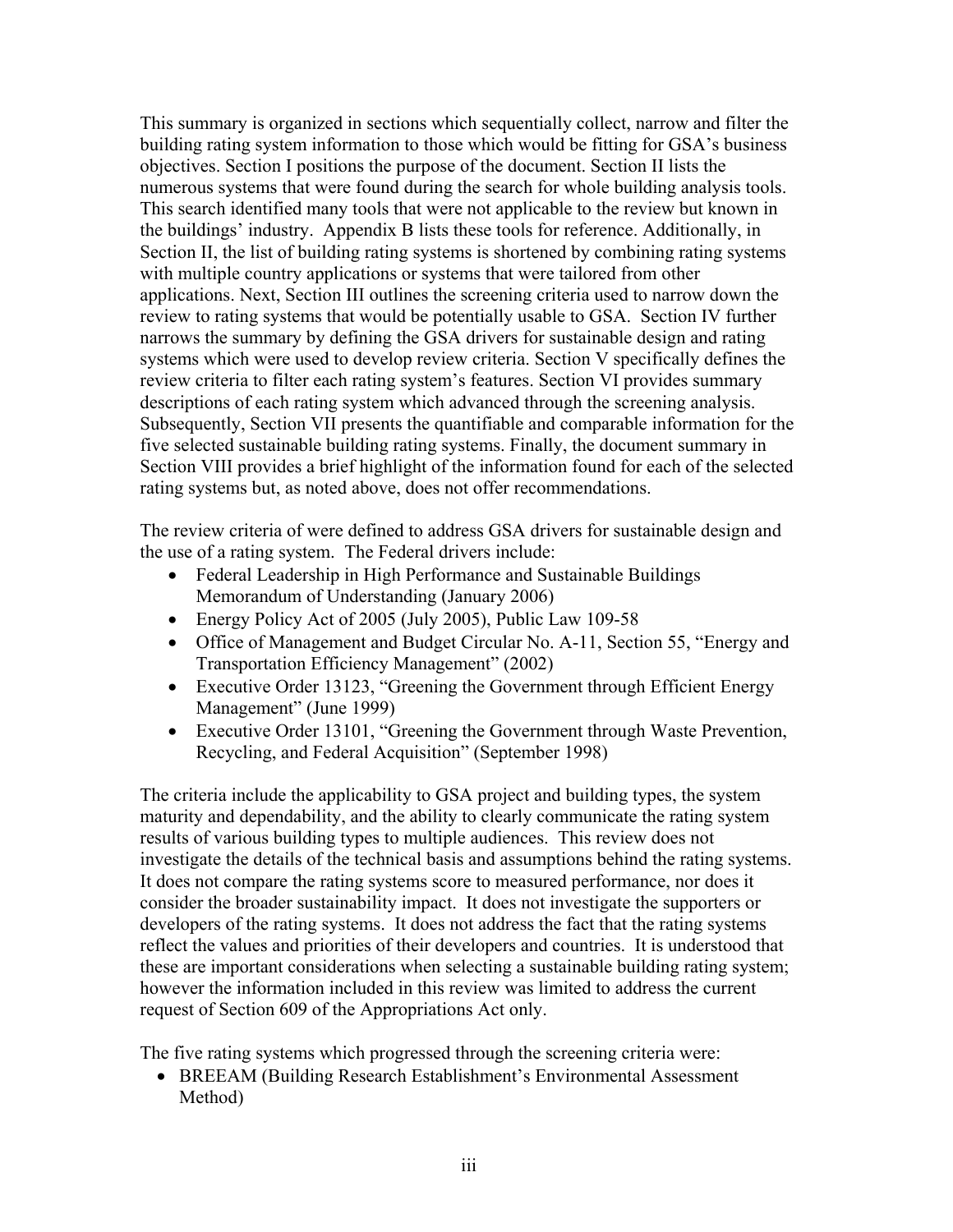This summary is organized in sections which sequentially collect, narrow and filter the building rating system information to those which would be fitting for GSA's business objectives. Section I positions the purpose of the document. Section II lists the numerous systems that were found during the search for whole building analysis tools. This search identified many tools that were not applicable to the review but known in the buildings' industry. Appendix B lists these tools for reference. Additionally, in Section II, the list of building rating systems is shortened by combining rating systems with multiple country applications or systems that were tailored from other applications. Next, Section III outlines the screening criteria used to narrow down the review to rating systems that would be potentially usable to GSA. Section IV further narrows the summary by defining the GSA drivers for sustainable design and rating systems which were used to develop review criteria. Section V specifically defines the review criteria to filter each rating system's features. Section VI provides summary descriptions of each rating system which advanced through the screening analysis. Subsequently, Section VII presents the quantifiable and comparable information for the five selected sustainable building rating systems. Finally, the document summary in Section VIII provides a brief highlight of the information found for each of the selected rating systems but, as noted above, does not offer recommendations.

The review criteria of were defined to address GSA drivers for sustainable design and the use of a rating system. The Federal drivers include:

- Federal Leadership in High Performance and Sustainable Buildings Memorandum of Understanding (January 2006)
- Energy Policy Act of 2005 (July 2005), Public Law 109-58
- Office of Management and Budget Circular No. A-11, Section 55, "Energy and Transportation Efficiency Management" (2002)
- Executive Order 13123, "Greening the Government through Efficient Energy Management" (June 1999)
- Executive Order 13101, "Greening the Government through Waste Prevention, Recycling, and Federal Acquisition" (September 1998)

The criteria include the applicability to GSA project and building types, the system maturity and dependability, and the ability to clearly communicate the rating system results of various building types to multiple audiences. This review does not investigate the details of the technical basis and assumptions behind the rating systems. It does not compare the rating systems score to measured performance, nor does it consider the broader sustainability impact. It does not investigate the supporters or developers of the rating systems. It does not address the fact that the rating systems reflect the values and priorities of their developers and countries. It is understood that these are important considerations when selecting a sustainable building rating system; however the information included in this review was limited to address the current request of Section 609 of the Appropriations Act only.

The five rating systems which progressed through the screening criteria were:

• BREEAM (Building Research Establishment's Environmental Assessment Method)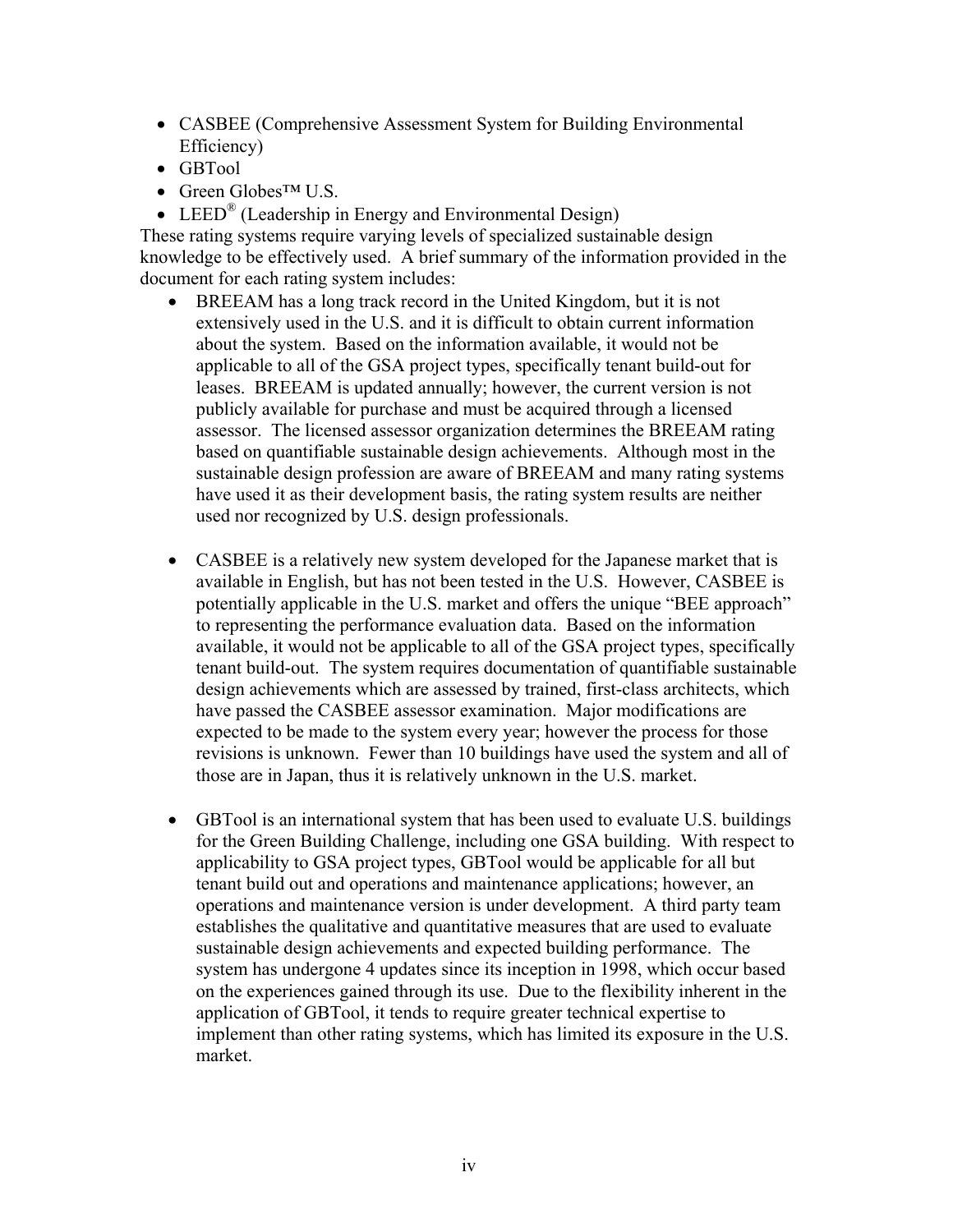- CASBEE (Comprehensive Assessment System for Building Environmental Efficiency)
- GBTool
- Green Globes™ U.S.
- LEED<sup>®</sup> (Leadership in Energy and Environmental Design)

These rating systems require varying levels of specialized sustainable design knowledge to be effectively used. A brief summary of the information provided in the document for each rating system includes:

- BREEAM has a long track record in the United Kingdom, but it is not extensively used in the U.S. and it is difficult to obtain current information about the system. Based on the information available, it would not be applicable to all of the GSA project types, specifically tenant build-out for leases. BREEAM is updated annually; however, the current version is not publicly available for purchase and must be acquired through a licensed assessor. The licensed assessor organization determines the BREEAM rating based on quantifiable sustainable design achievements. Although most in the sustainable design profession are aware of BREEAM and many rating systems have used it as their development basis, the rating system results are neither used nor recognized by U.S. design professionals.
- CASBEE is a relatively new system developed for the Japanese market that is available in English, but has not been tested in the U.S. However, CASBEE is potentially applicable in the U.S. market and offers the unique "BEE approach" to representing the performance evaluation data. Based on the information available, it would not be applicable to all of the GSA project types, specifically tenant build-out. The system requires documentation of quantifiable sustainable design achievements which are assessed by trained, first-class architects, which have passed the CASBEE assessor examination. Major modifications are expected to be made to the system every year; however the process for those revisions is unknown. Fewer than 10 buildings have used the system and all of those are in Japan, thus it is relatively unknown in the U.S. market.
- GBTool is an international system that has been used to evaluate U.S. buildings for the Green Building Challenge, including one GSA building. With respect to applicability to GSA project types, GBTool would be applicable for all but tenant build out and operations and maintenance applications; however, an operations and maintenance version is under development. A third party team establishes the qualitative and quantitative measures that are used to evaluate sustainable design achievements and expected building performance. The system has undergone 4 updates since its inception in 1998, which occur based on the experiences gained through its use. Due to the flexibility inherent in the application of GBTool, it tends to require greater technical expertise to implement than other rating systems, which has limited its exposure in the U.S. market.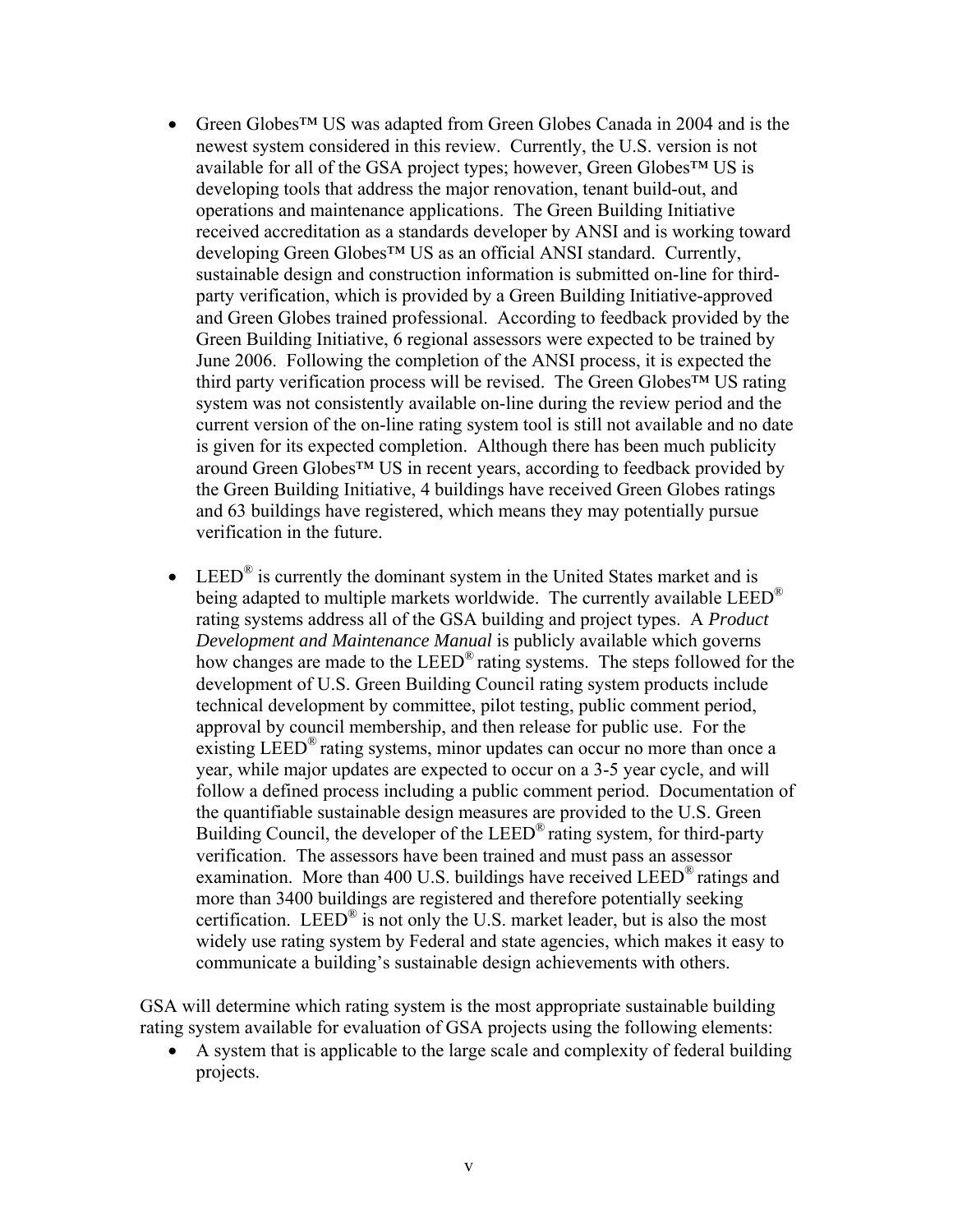- Green Globes™ US was adapted from Green Globes Canada in 2004 and is the newest system considered in this review. Currently, the U.S. version is not available for all of the GSA project types; however, Green Globes™ US is developing tools that address the major renovation, tenant build-out, and operations and maintenance applications. The Green Building Initiative received accreditation as a standards developer by ANSI and is working toward developing Green Globes™ US as an official ANSI standard. Currently, sustainable design and construction information is submitted on-line for thirdparty verification, which is provided by a Green Building Initiative-approved and Green Globes trained professional. According to feedback provided by the Green Building Initiative, 6 regional assessors were expected to be trained by June 2006. Following the completion of the ANSI process, it is expected the third party verification process will be revised. The Green Globes™ US rating system was not consistently available on-line during the review period and the current version of the on-line rating system tool is still not available and no date is given for its expected completion. Although there has been much publicity around Green Globes™ US in recent years, according to feedback provided by the Green Building Initiative, 4 buildings have received Green Globes ratings and 63 buildings have registered, which means they may potentially pursue verification in the future.
- LEED<sup>®</sup> is currently the dominant system in the United States market and is being adapted to multiple markets worldwide. The currently available  $LEED^{\mathcal{B}}$ rating systems address all of the GSA building and project types.A *Product Development and Maintenance Manual* is publicly available which governs how changes are made to the  $LEED^{\circledR}$  rating systems. The steps followed for the development of U.S. Green Building Council rating system products include technical development by committee, pilot testing, public comment period, approval by council membership, and then release for public use. For the existing LEED<sup>®</sup> rating systems, minor updates can occur no more than once a year, while major updates are expected to occur on a 3-5 year cycle, and will follow a defined process including a public comment period. Documentation of the quantifiable sustainable design measures are provided to the U.S. Green Building Council, the developer of the  $LEED^{\circledR}$  rating system, for third-party verification. The assessors have been trained and must pass an assessor examination. More than 400 U.S. buildings have received LEED<sup>®</sup> ratings and more than 3400 buildings are registered and therefore potentially seeking certification. LEED® is not only the U.S. market leader, but is also the most widely use rating system by Federal and state agencies, which makes it easy to communicate a building's sustainable design achievements with others.

GSA will determine which rating system is the most appropriate sustainable building rating system available for evaluation of GSA projects using the following elements:

• A system that is applicable to the large scale and complexity of federal building projects.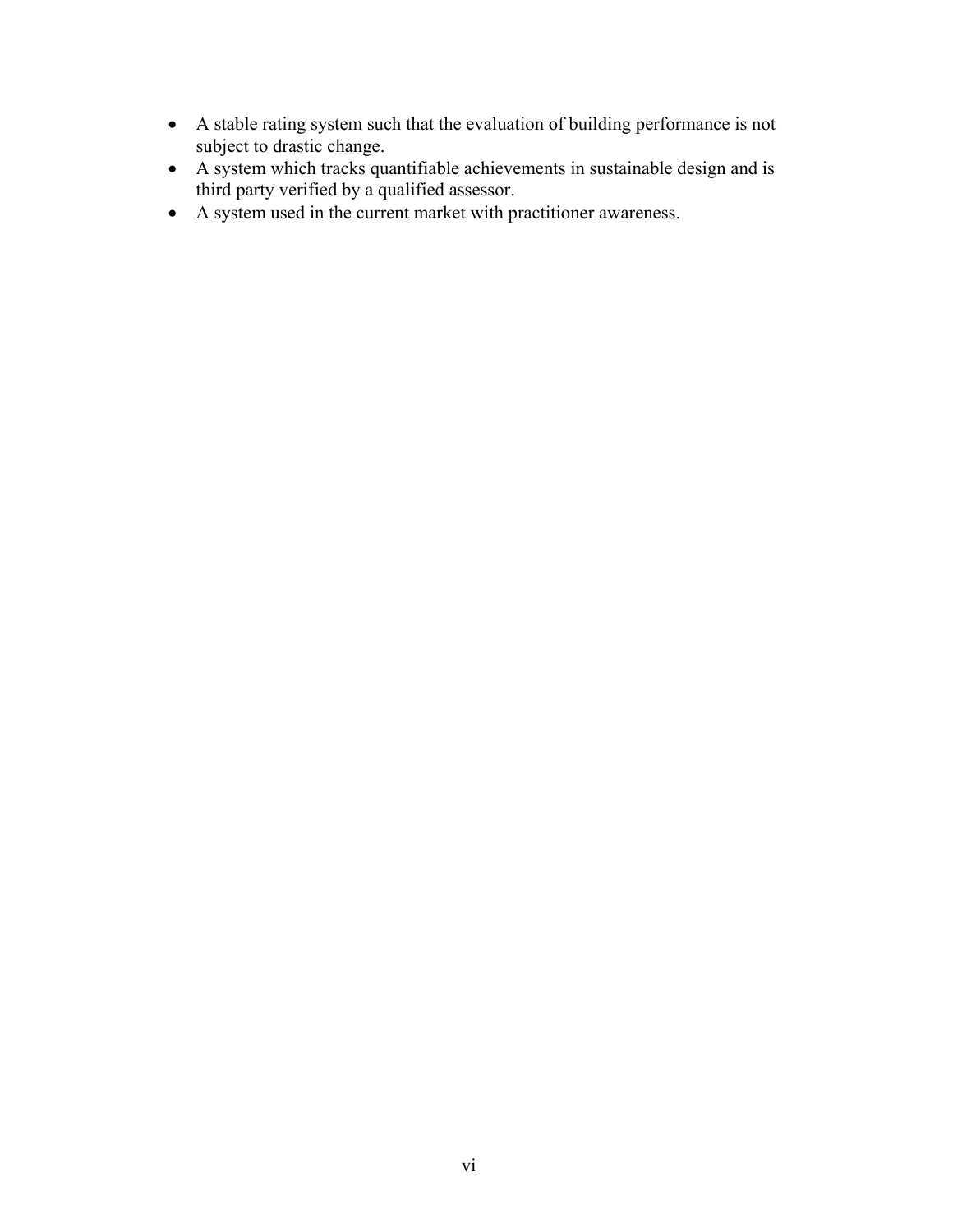- A stable rating system such that the evaluation of building performance is not subject to drastic change.
- A system which tracks quantifiable achievements in sustainable design and is third party verified by a qualified assessor.
- A system used in the current market with practitioner awareness.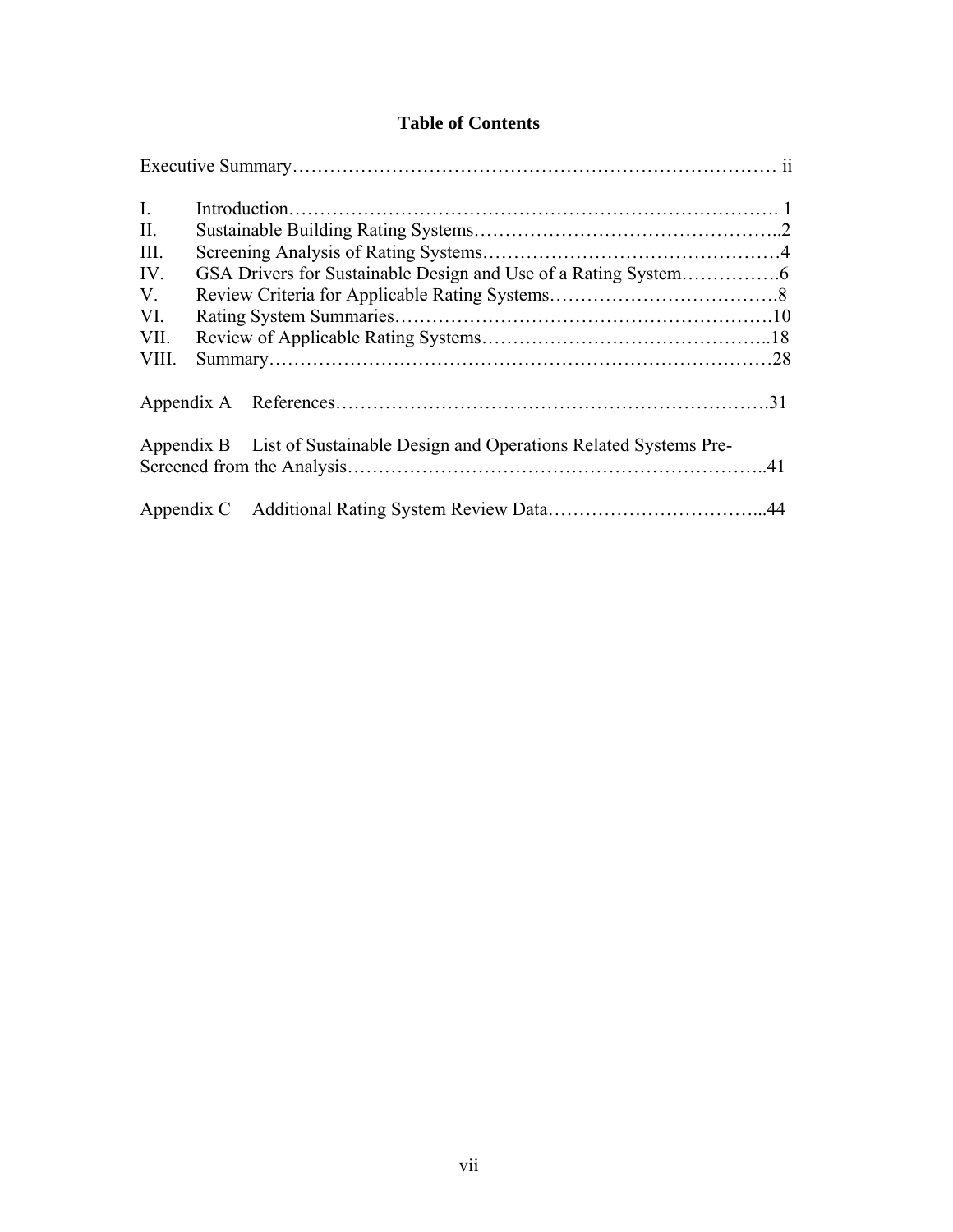## **Table of Contents**

| $\mathbf{I}$ . |                                                                           |  |
|----------------|---------------------------------------------------------------------------|--|
| II.            |                                                                           |  |
| III.           |                                                                           |  |
| IV.            |                                                                           |  |
| V.             |                                                                           |  |
| VI.            |                                                                           |  |
| VII.           |                                                                           |  |
| VIII.          |                                                                           |  |
|                |                                                                           |  |
|                | Appendix B List of Sustainable Design and Operations Related Systems Pre- |  |
|                |                                                                           |  |
|                |                                                                           |  |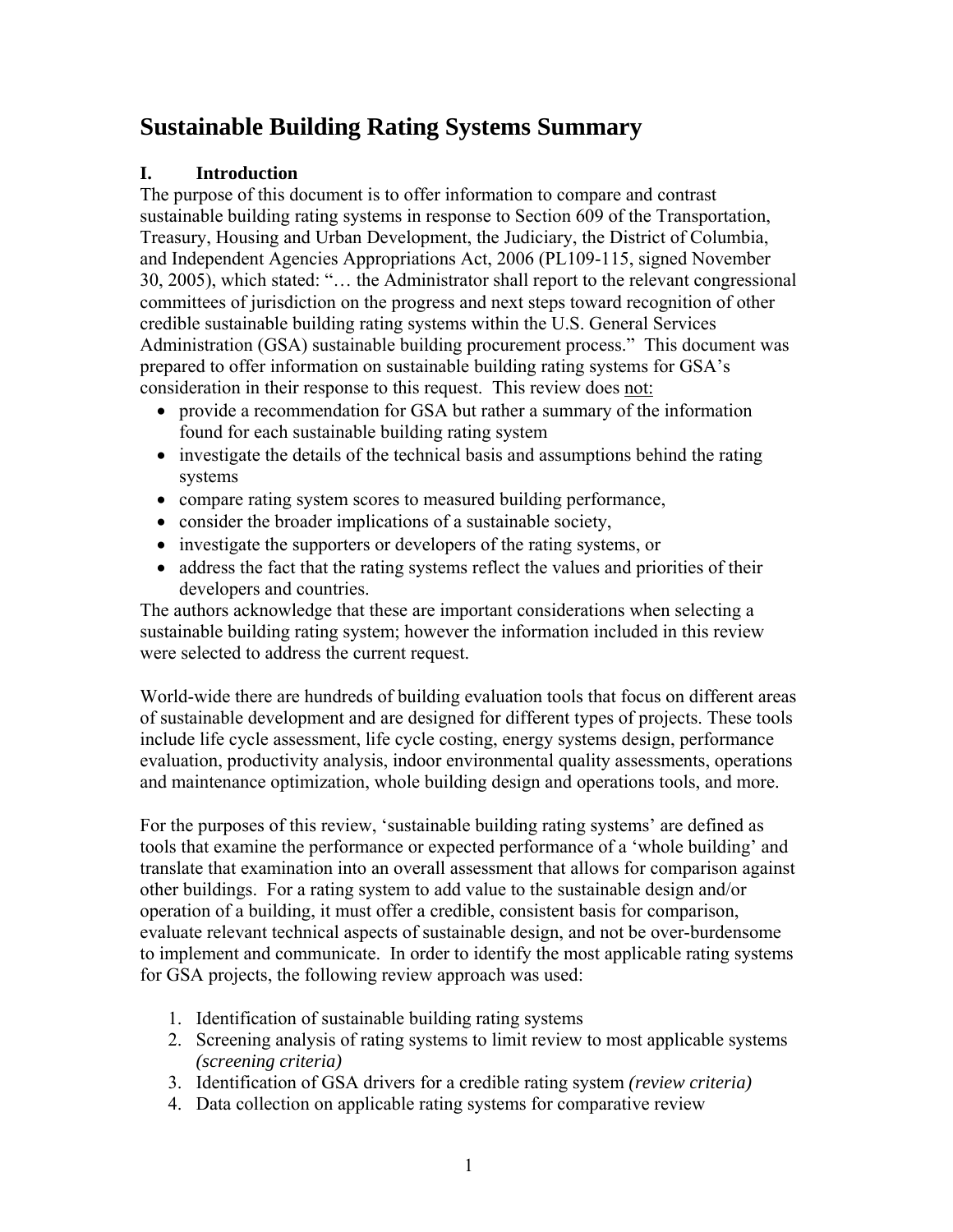# **Sustainable Building Rating Systems Summary**

# **I. Introduction**

The purpose of this document is to offer information to compare and contrast sustainable building rating systems in response to Section 609 of the Transportation, Treasury, Housing and Urban Development, the Judiciary, the District of Columbia, and Independent Agencies Appropriations Act, 2006 (PL109-115, signed November 30, 2005), which stated: "… the Administrator shall report to the relevant congressional committees of jurisdiction on the progress and next steps toward recognition of other credible sustainable building rating systems within the U.S. General Services Administration (GSA) sustainable building procurement process." This document was prepared to offer information on sustainable building rating systems for GSA's consideration in their response to this request. This review does not:

- provide a recommendation for GSA but rather a summary of the information found for each sustainable building rating system
- investigate the details of the technical basis and assumptions behind the rating systems
- compare rating system scores to measured building performance,
- consider the broader implications of a sustainable society,
- investigate the supporters or developers of the rating systems, or
- address the fact that the rating systems reflect the values and priorities of their developers and countries.

The authors acknowledge that these are important considerations when selecting a sustainable building rating system; however the information included in this review were selected to address the current request.

World-wide there are hundreds of building evaluation tools that focus on different areas of sustainable development and are designed for different types of projects. These tools include life cycle assessment, life cycle costing, energy systems design, performance evaluation, productivity analysis, indoor environmental quality assessments, operations and maintenance optimization, whole building design and operations tools, and more.

For the purposes of this review, 'sustainable building rating systems' are defined as tools that examine the performance or expected performance of a 'whole building' and translate that examination into an overall assessment that allows for comparison against other buildings. For a rating system to add value to the sustainable design and/or operation of a building, it must offer a credible, consistent basis for comparison, evaluate relevant technical aspects of sustainable design, and not be over-burdensome to implement and communicate. In order to identify the most applicable rating systems for GSA projects, the following review approach was used:

- 1. Identification of sustainable building rating systems
- 2. Screening analysis of rating systems to limit review to most applicable systems *(screening criteria)*
- 3. Identification of GSA drivers for a credible rating system *(review criteria)*
- 4. Data collection on applicable rating systems for comparative review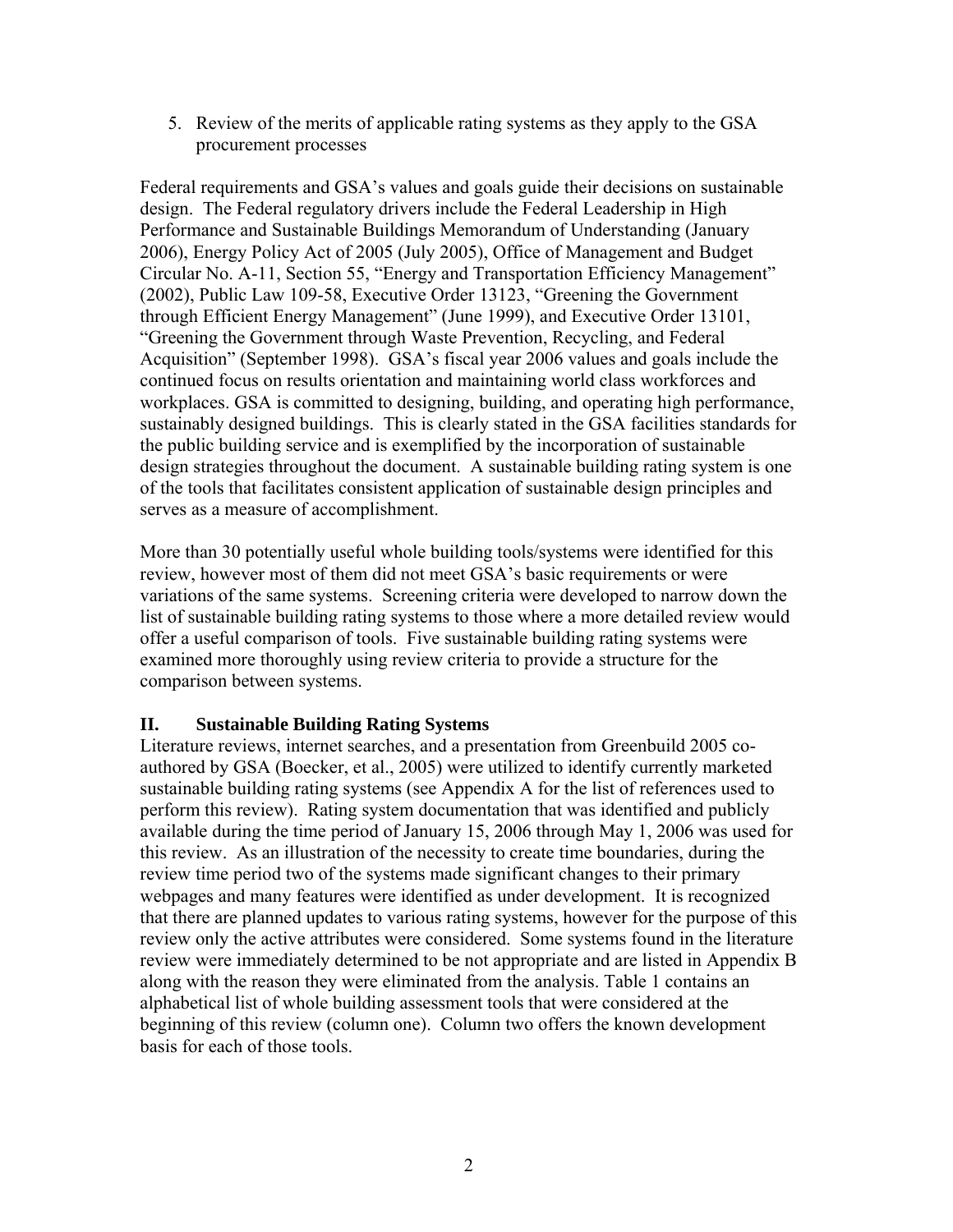5. Review of the merits of applicable rating systems as they apply to the GSA procurement processes

Federal requirements and GSA's values and goals guide their decisions on sustainable design. The Federal regulatory drivers include the Federal Leadership in High Performance and Sustainable Buildings Memorandum of Understanding (January 2006), Energy Policy Act of 2005 (July 2005), Office of Management and Budget Circular No. A-11, Section 55, "Energy and Transportation Efficiency Management" (2002), Public Law 109-58, Executive Order 13123, "Greening the Government through Efficient Energy Management" (June 1999), and Executive Order 13101, "Greening the Government through Waste Prevention, Recycling, and Federal Acquisition" (September 1998). GSA's fiscal year 2006 values and goals include the continued focus on results orientation and maintaining world class workforces and workplaces. GSA is committed to designing, building, and operating high performance, sustainably designed buildings. This is clearly stated in the GSA facilities standards for the public building service and is exemplified by the incorporation of sustainable design strategies throughout the document. A sustainable building rating system is one of the tools that facilitates consistent application of sustainable design principles and serves as a measure of accomplishment.

More than 30 potentially useful whole building tools/systems were identified for this review, however most of them did not meet GSA's basic requirements or were variations of the same systems. Screening criteria were developed to narrow down the list of sustainable building rating systems to those where a more detailed review would offer a useful comparison of tools. Five sustainable building rating systems were examined more thoroughly using review criteria to provide a structure for the comparison between systems.

### **II. Sustainable Building Rating Systems**

Literature reviews, internet searches, and a presentation from Greenbuild 2005 coauthored by GSA (Boecker, et al., 2005) were utilized to identify currently marketed sustainable building rating systems (see Appendix A for the list of references used to perform this review). Rating system documentation that was identified and publicly available during the time period of January 15, 2006 through May 1, 2006 was used for this review. As an illustration of the necessity to create time boundaries, during the review time period two of the systems made significant changes to their primary webpages and many features were identified as under development. It is recognized that there are planned updates to various rating systems, however for the purpose of this review only the active attributes were considered. Some systems found in the literature review were immediately determined to be not appropriate and are listed in Appendix B along with the reason they were eliminated from the analysis. Table 1 contains an alphabetical list of whole building assessment tools that were considered at the beginning of this review (column one). Column two offers the known development basis for each of those tools.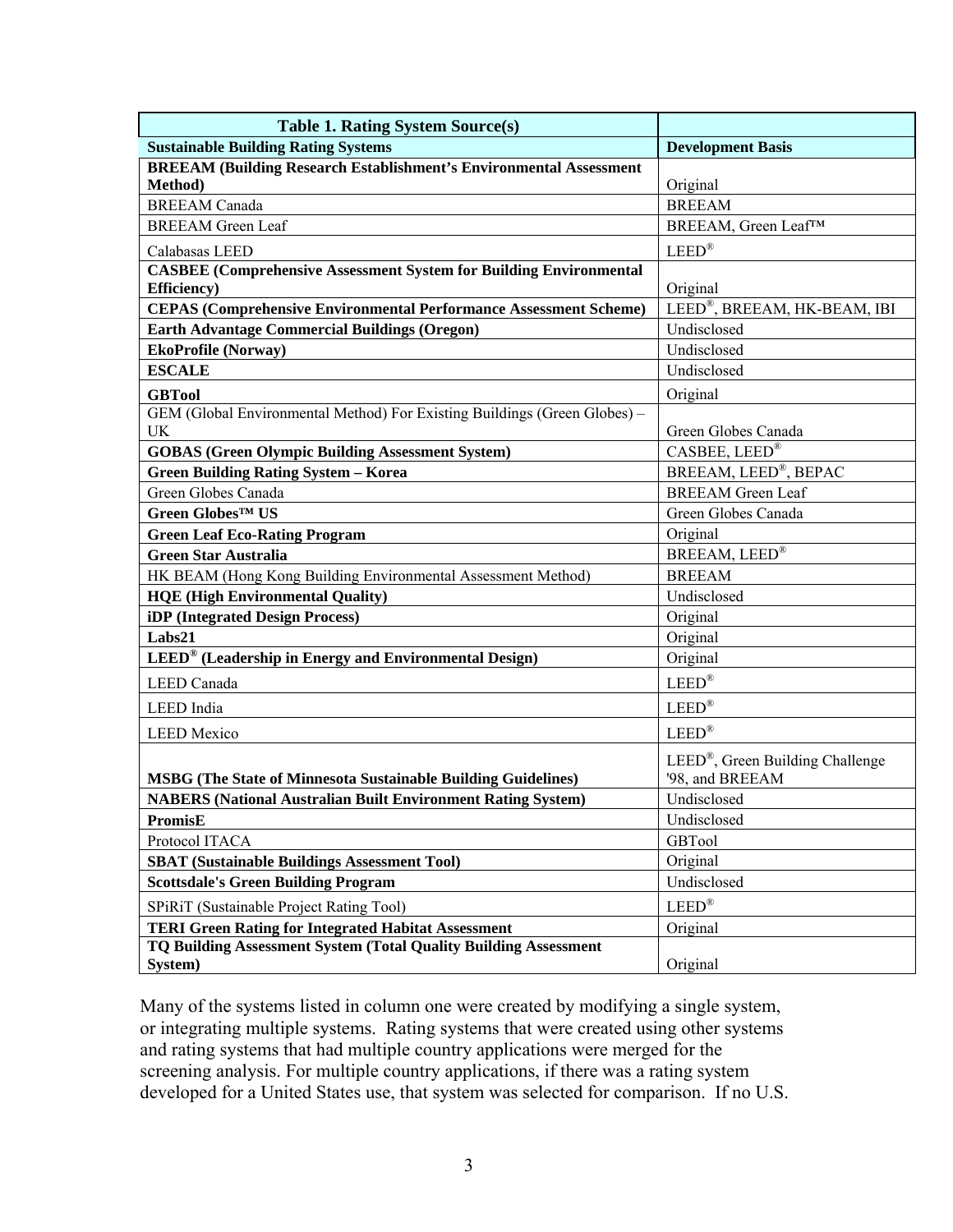| <b>Table 1. Rating System Source(s)</b>                                                          |                                                                  |
|--------------------------------------------------------------------------------------------------|------------------------------------------------------------------|
| <b>Sustainable Building Rating Systems</b>                                                       | <b>Development Basis</b>                                         |
| <b>BREEAM (Building Research Establishment's Environmental Assessment</b>                        |                                                                  |
| Method)                                                                                          | Original                                                         |
| <b>BREEAM</b> Canada                                                                             | <b>BREEAM</b>                                                    |
| <b>BREEAM</b> Green Leaf                                                                         | BREEAM, Green Leaf™                                              |
| Calabasas LEED                                                                                   | $LEED^{\circledR}$                                               |
| <b>CASBEE (Comprehensive Assessment System for Building Environmental</b><br><b>Efficiency</b> ) | Original                                                         |
| <b>CEPAS (Comprehensive Environmental Performance Assessment Scheme)</b>                         | LEED®, BREEAM, HK-BEAM, IBI                                      |
| <b>Earth Advantage Commercial Buildings (Oregon)</b>                                             | Undisclosed                                                      |
| <b>EkoProfile (Norway)</b>                                                                       | Undisclosed                                                      |
| <b>ESCALE</b>                                                                                    | Undisclosed                                                      |
| <b>GBTool</b>                                                                                    | Original                                                         |
| GEM (Global Environmental Method) For Existing Buildings (Green Globes) –<br>UK                  | Green Globes Canada                                              |
| <b>GOBAS</b> (Green Olympic Building Assessment System)                                          | CASBEE, LEED®                                                    |
| <b>Green Building Rating System - Korea</b>                                                      | BREEAM, LEED®, BEPAC                                             |
| Green Globes Canada                                                                              | <b>BREEAM</b> Green Leaf                                         |
| Green Globes <sup>™</sup> US                                                                     | Green Globes Canada                                              |
| <b>Green Leaf Eco-Rating Program</b>                                                             | Original                                                         |
| <b>Green Star Australia</b>                                                                      | BREEAM, LEED®                                                    |
| HK BEAM (Hong Kong Building Environmental Assessment Method)                                     | <b>BREEAM</b>                                                    |
| <b>HQE</b> (High Environmental Quality)                                                          | Undisclosed                                                      |
| iDP (Integrated Design Process)                                                                  | Original                                                         |
| Labs21                                                                                           | Original                                                         |
| LEED <sup>®</sup> (Leadership in Energy and Environmental Design)                                | Original                                                         |
| <b>LEED</b> Canada                                                                               | $LEED^{\circledR}$                                               |
| LEED India                                                                                       | $LEED^{\circledR}$                                               |
| <b>LEED</b> Mexico                                                                               | $LEED^{\circledR}$                                               |
| <b>MSBG (The State of Minnesota Sustainable Building Guidelines)</b>                             | $LEED^{\circledR}$ , Green Building Challenge<br>'98, and BREEAM |
| <b>NABERS</b> (National Australian Built Environment Rating System)                              | Undisclosed                                                      |
| <b>PromisE</b>                                                                                   | Undisclosed                                                      |
| Protocol ITACA                                                                                   | GBTool                                                           |
| <b>SBAT (Sustainable Buildings Assessment Tool)</b>                                              | Original                                                         |
| <b>Scottsdale's Green Building Program</b>                                                       | Undisclosed                                                      |
| SPiRiT (Sustainable Project Rating Tool)                                                         | $LEED^{\circledR}$                                               |
| <b>TERI Green Rating for Integrated Habitat Assessment</b>                                       | Original                                                         |
| TQ Building Assessment System (Total Quality Building Assessment<br>System)                      | Original                                                         |

Many of the systems listed in column one were created by modifying a single system, or integrating multiple systems. Rating systems that were created using other systems and rating systems that had multiple country applications were merged for the screening analysis. For multiple country applications, if there was a rating system developed for a United States use, that system was selected for comparison. If no U.S.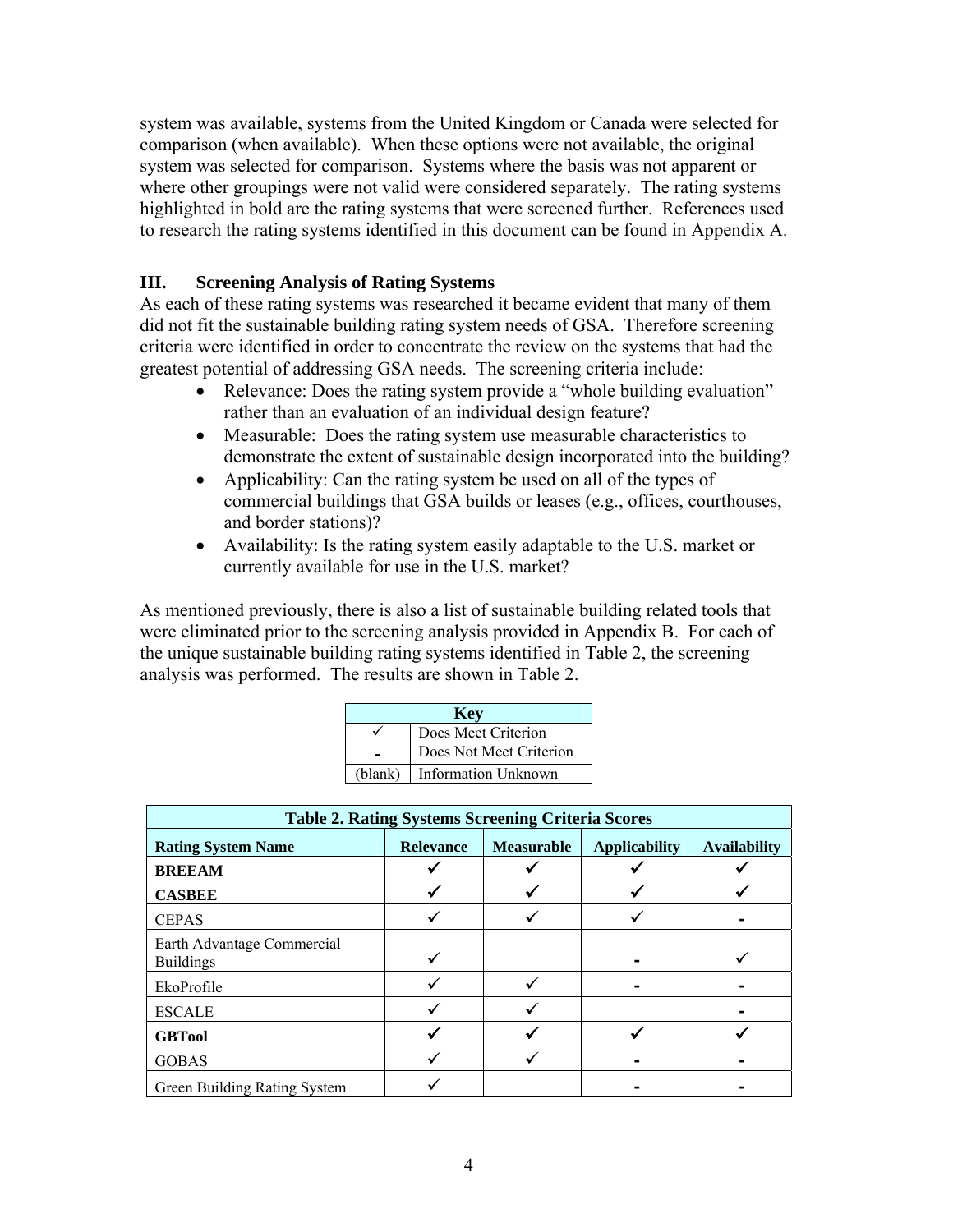system was available, systems from the United Kingdom or Canada were selected for comparison (when available). When these options were not available, the original system was selected for comparison. Systems where the basis was not apparent or where other groupings were not valid were considered separately. The rating systems highlighted in bold are the rating systems that were screened further. References used to research the rating systems identified in this document can be found in Appendix A.

### **III. Screening Analysis of Rating Systems**

As each of these rating systems was researched it became evident that many of them did not fit the sustainable building rating system needs of GSA. Therefore screening criteria were identified in order to concentrate the review on the systems that had the greatest potential of addressing GSA needs. The screening criteria include:

- Relevance: Does the rating system provide a "whole building evaluation" rather than an evaluation of an individual design feature?
- Measurable: Does the rating system use measurable characteristics to demonstrate the extent of sustainable design incorporated into the building?
- Applicability: Can the rating system be used on all of the types of commercial buildings that GSA builds or leases (e.g., offices, courthouses, and border stations)?
- Availability: Is the rating system easily adaptable to the U.S. market or currently available for use in the U.S. market?

As mentioned previously, there is also a list of sustainable building related tools that were eliminated prior to the screening analysis provided in Appendix B. For each of the unique sustainable building rating systems identified in Table 2, the screening analysis was performed. The results are shown in Table 2.

| <b>Key</b>          |                            |  |  |  |  |
|---------------------|----------------------------|--|--|--|--|
| Does Meet Criterion |                            |  |  |  |  |
|                     | Does Not Meet Criterion    |  |  |  |  |
| (blank)             | <b>Information Unknown</b> |  |  |  |  |

| <b>Table 2. Rating Systems Screening Criteria Scores</b>                                                          |  |  |  |  |  |  |  |
|-------------------------------------------------------------------------------------------------------------------|--|--|--|--|--|--|--|
| <b>Applicability</b><br><b>Measurable</b><br><b>Availability</b><br><b>Rating System Name</b><br><b>Relevance</b> |  |  |  |  |  |  |  |
| <b>BREEAM</b>                                                                                                     |  |  |  |  |  |  |  |
| <b>CASBEE</b>                                                                                                     |  |  |  |  |  |  |  |
| <b>CEPAS</b>                                                                                                      |  |  |  |  |  |  |  |
| Earth Advantage Commercial<br><b>Buildings</b>                                                                    |  |  |  |  |  |  |  |
| EkoProfile                                                                                                        |  |  |  |  |  |  |  |
| <b>ESCALE</b>                                                                                                     |  |  |  |  |  |  |  |
| <b>GBTool</b>                                                                                                     |  |  |  |  |  |  |  |
| <b>GOBAS</b>                                                                                                      |  |  |  |  |  |  |  |
| Green Building Rating System                                                                                      |  |  |  |  |  |  |  |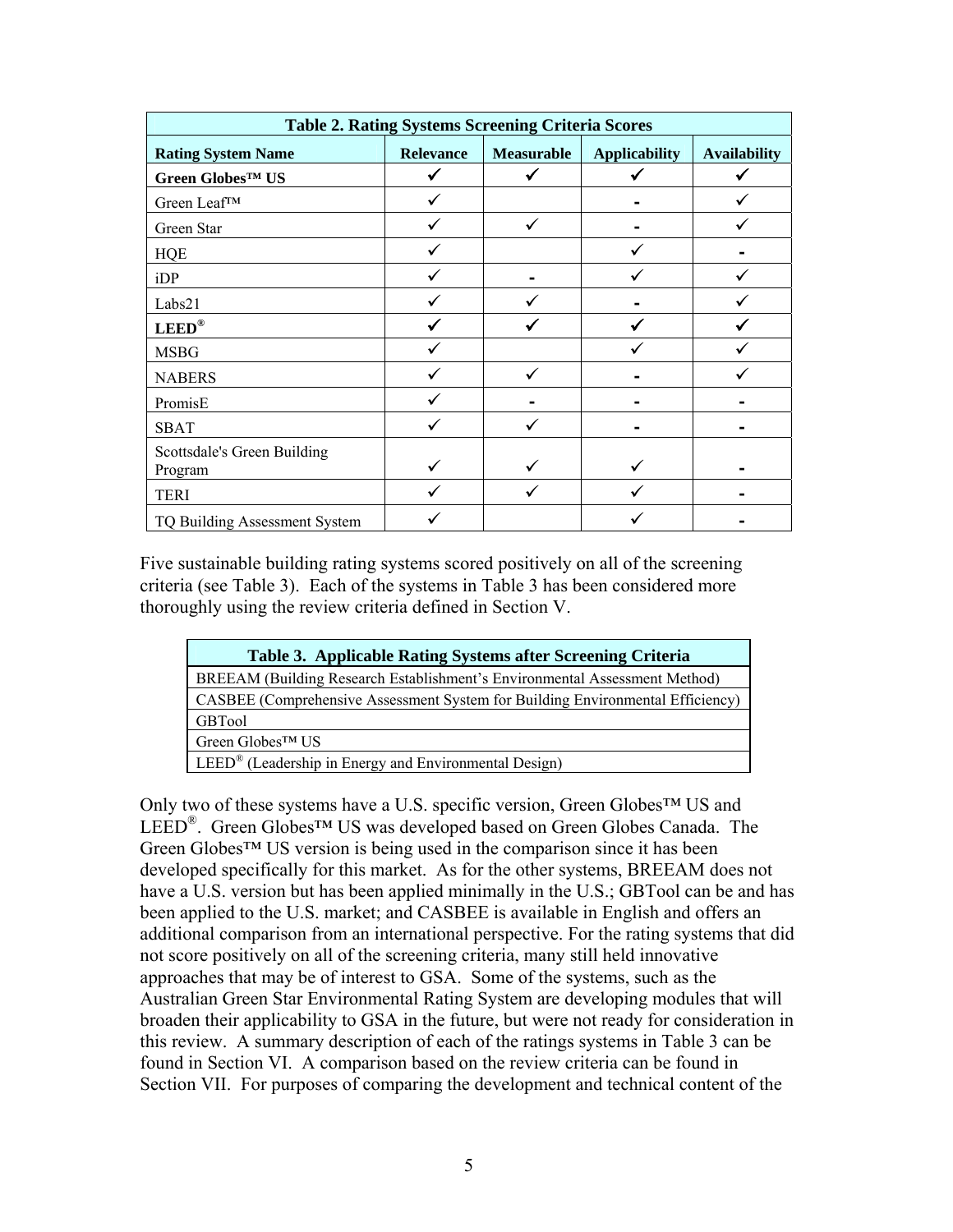| <b>Table 2. Rating Systems Screening Criteria Scores</b> |                  |            |                      |                     |  |  |
|----------------------------------------------------------|------------------|------------|----------------------|---------------------|--|--|
| <b>Rating System Name</b>                                | <b>Relevance</b> | Measurable | <b>Applicability</b> | <b>Availability</b> |  |  |
| Green GlobesTM US                                        |                  |            |                      |                     |  |  |
| Green Leaf™                                              |                  |            |                      |                     |  |  |
| Green Star                                               |                  | ✓          |                      |                     |  |  |
| <b>HQE</b>                                               |                  |            |                      |                     |  |  |
| iDP                                                      |                  |            |                      |                     |  |  |
| Labs21                                                   |                  |            |                      |                     |  |  |
| $LEED^{\circledR}$                                       |                  |            |                      |                     |  |  |
| <b>MSBG</b>                                              |                  |            |                      |                     |  |  |
| <b>NABERS</b>                                            |                  | ✓          |                      |                     |  |  |
| PromisE                                                  |                  |            |                      |                     |  |  |
| <b>SBAT</b>                                              |                  | ✓          |                      |                     |  |  |
| Scottsdale's Green Building<br>Program                   |                  |            |                      |                     |  |  |
| <b>TERI</b>                                              |                  |            |                      |                     |  |  |
| TQ Building Assessment System                            |                  |            |                      |                     |  |  |

Five sustainable building rating systems scored positively on all of the screening criteria (see Table 3). Each of the systems in Table 3 has been considered more thoroughly using the review criteria defined in Section V.

| Table 3. Applicable Rating Systems after Screening Criteria                    |  |  |  |  |
|--------------------------------------------------------------------------------|--|--|--|--|
| BREEAM (Building Research Establishment's Environmental Assessment Method)     |  |  |  |  |
| CASBEE (Comprehensive Assessment System for Building Environmental Efficiency) |  |  |  |  |
| <b>GBTool</b>                                                                  |  |  |  |  |
| Green Globes <sup>™</sup> US                                                   |  |  |  |  |
| LEED® (Leadership in Energy and Environmental Design)                          |  |  |  |  |

Only two of these systems have a U.S. specific version, Green Globes™ US and LEED®. Green Globes™ US was developed based on Green Globes Canada. The Green Globes™ US version is being used in the comparison since it has been developed specifically for this market. As for the other systems, BREEAM does not have a U.S. version but has been applied minimally in the U.S.; GBTool can be and has been applied to the U.S. market; and CASBEE is available in English and offers an additional comparison from an international perspective. For the rating systems that did not score positively on all of the screening criteria, many still held innovative approaches that may be of interest to GSA. Some of the systems, such as the Australian Green Star Environmental Rating System are developing modules that will broaden their applicability to GSA in the future, but were not ready for consideration in this review. A summary description of each of the ratings systems in Table 3 can be found in Section VI. A comparison based on the review criteria can be found in Section VII. For purposes of comparing the development and technical content of the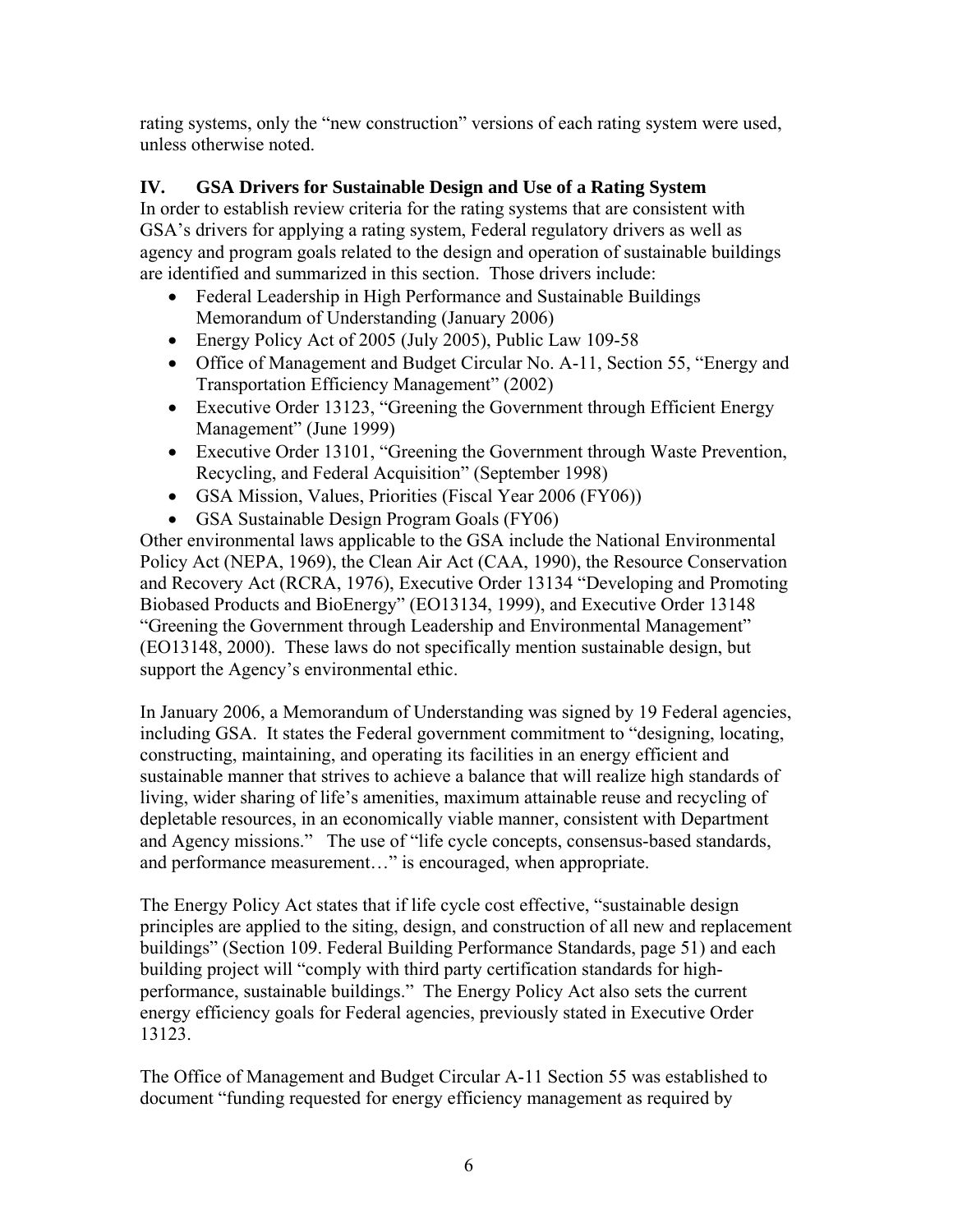rating systems, only the "new construction" versions of each rating system were used, unless otherwise noted.

### **IV. GSA Drivers for Sustainable Design and Use of a Rating System**

In order to establish review criteria for the rating systems that are consistent with GSA's drivers for applying a rating system, Federal regulatory drivers as well as agency and program goals related to the design and operation of sustainable buildings are identified and summarized in this section. Those drivers include:

- Federal Leadership in High Performance and Sustainable Buildings Memorandum of Understanding (January 2006)
- Energy Policy Act of 2005 (July 2005), Public Law 109-58
- Office of Management and Budget Circular No. A-11, Section 55, "Energy and Transportation Efficiency Management" (2002)
- Executive Order 13123, "Greening the Government through Efficient Energy Management" (June 1999)
- Executive Order 13101, "Greening the Government through Waste Prevention, Recycling, and Federal Acquisition" (September 1998)
- GSA Mission, Values, Priorities (Fiscal Year 2006 (FY06))
- GSA Sustainable Design Program Goals (FY06)

Other environmental laws applicable to the GSA include the National Environmental Policy Act (NEPA, 1969), the Clean Air Act (CAA, 1990), the Resource Conservation and Recovery Act (RCRA, 1976), Executive Order 13134 "Developing and Promoting Biobased Products and BioEnergy" (EO13134, 1999), and Executive Order 13148 "Greening the Government through Leadership and Environmental Management" (EO13148, 2000). These laws do not specifically mention sustainable design, but support the Agency's environmental ethic.

In January 2006, a Memorandum of Understanding was signed by 19 Federal agencies, including GSA. It states the Federal government commitment to "designing, locating, constructing, maintaining, and operating its facilities in an energy efficient and sustainable manner that strives to achieve a balance that will realize high standards of living, wider sharing of life's amenities, maximum attainable reuse and recycling of depletable resources, in an economically viable manner, consistent with Department and Agency missions." The use of "life cycle concepts, consensus-based standards, and performance measurement…" is encouraged, when appropriate.

The Energy Policy Act states that if life cycle cost effective, "sustainable design principles are applied to the siting, design, and construction of all new and replacement buildings" (Section 109. Federal Building Performance Standards, page 51) and each building project will "comply with third party certification standards for highperformance, sustainable buildings." The Energy Policy Act also sets the current energy efficiency goals for Federal agencies, previously stated in Executive Order 13123.

The Office of Management and Budget Circular A-11 Section 55 was established to document "funding requested for energy efficiency management as required by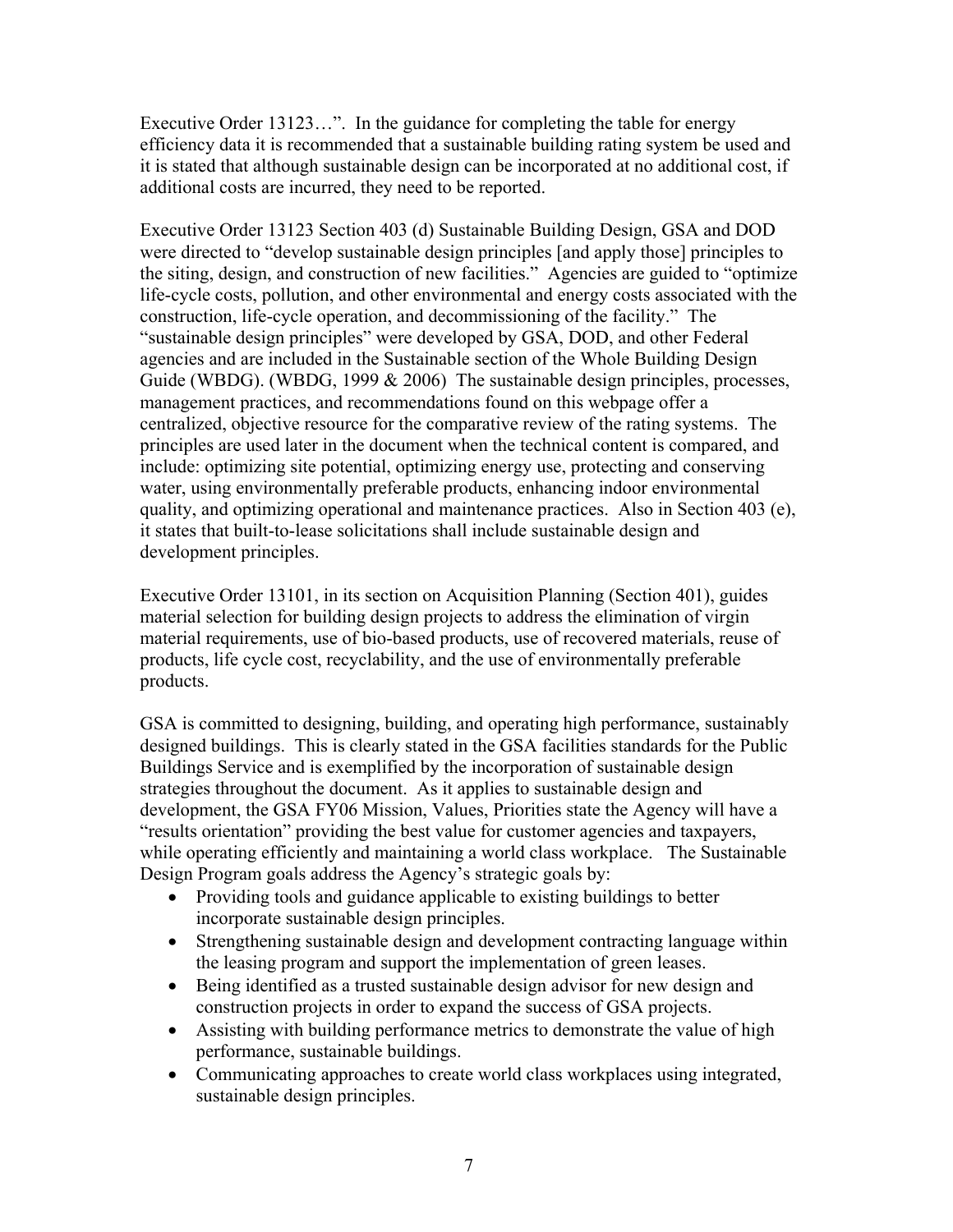Executive Order 13123…". In the guidance for completing the table for energy efficiency data it is recommended that a sustainable building rating system be used and it is stated that although sustainable design can be incorporated at no additional cost, if additional costs are incurred, they need to be reported.

Executive Order 13123 Section 403 (d) Sustainable Building Design, GSA and DOD were directed to "develop sustainable design principles [and apply those] principles to the siting, design, and construction of new facilities." Agencies are guided to "optimize life-cycle costs, pollution, and other environmental and energy costs associated with the construction, life-cycle operation, and decommissioning of the facility." The "sustainable design principles" were developed by GSA, DOD, and other Federal agencies and are included in the Sustainable section of the Whole Building Design Guide (WBDG). (WBDG, 1999 & 2006) The sustainable design principles, processes, management practices, and recommendations found on this webpage offer a centralized, objective resource for the comparative review of the rating systems. The principles are used later in the document when the technical content is compared, and include: optimizing site potential, optimizing energy use, protecting and conserving water, using environmentally preferable products, enhancing indoor environmental quality, and optimizing operational and maintenance practices. Also in Section 403 (e), it states that built-to-lease solicitations shall include sustainable design and development principles.

Executive Order 13101, in its section on Acquisition Planning (Section 401), guides material selection for building design projects to address the elimination of virgin material requirements, use of bio-based products, use of recovered materials, reuse of products, life cycle cost, recyclability, and the use of environmentally preferable products.

GSA is committed to designing, building, and operating high performance, sustainably designed buildings. This is clearly stated in the GSA facilities standards for the Public Buildings Service and is exemplified by the incorporation of sustainable design strategies throughout the document. As it applies to sustainable design and development, the GSA FY06 Mission, Values, Priorities state the Agency will have a "results orientation" providing the best value for customer agencies and taxpayers, while operating efficiently and maintaining a world class workplace. The Sustainable Design Program goals address the Agency's strategic goals by:

- Providing tools and guidance applicable to existing buildings to better incorporate sustainable design principles.
- Strengthening sustainable design and development contracting language within the leasing program and support the implementation of green leases.
- Being identified as a trusted sustainable design advisor for new design and construction projects in order to expand the success of GSA projects.
- Assisting with building performance metrics to demonstrate the value of high performance, sustainable buildings.
- Communicating approaches to create world class workplaces using integrated, sustainable design principles.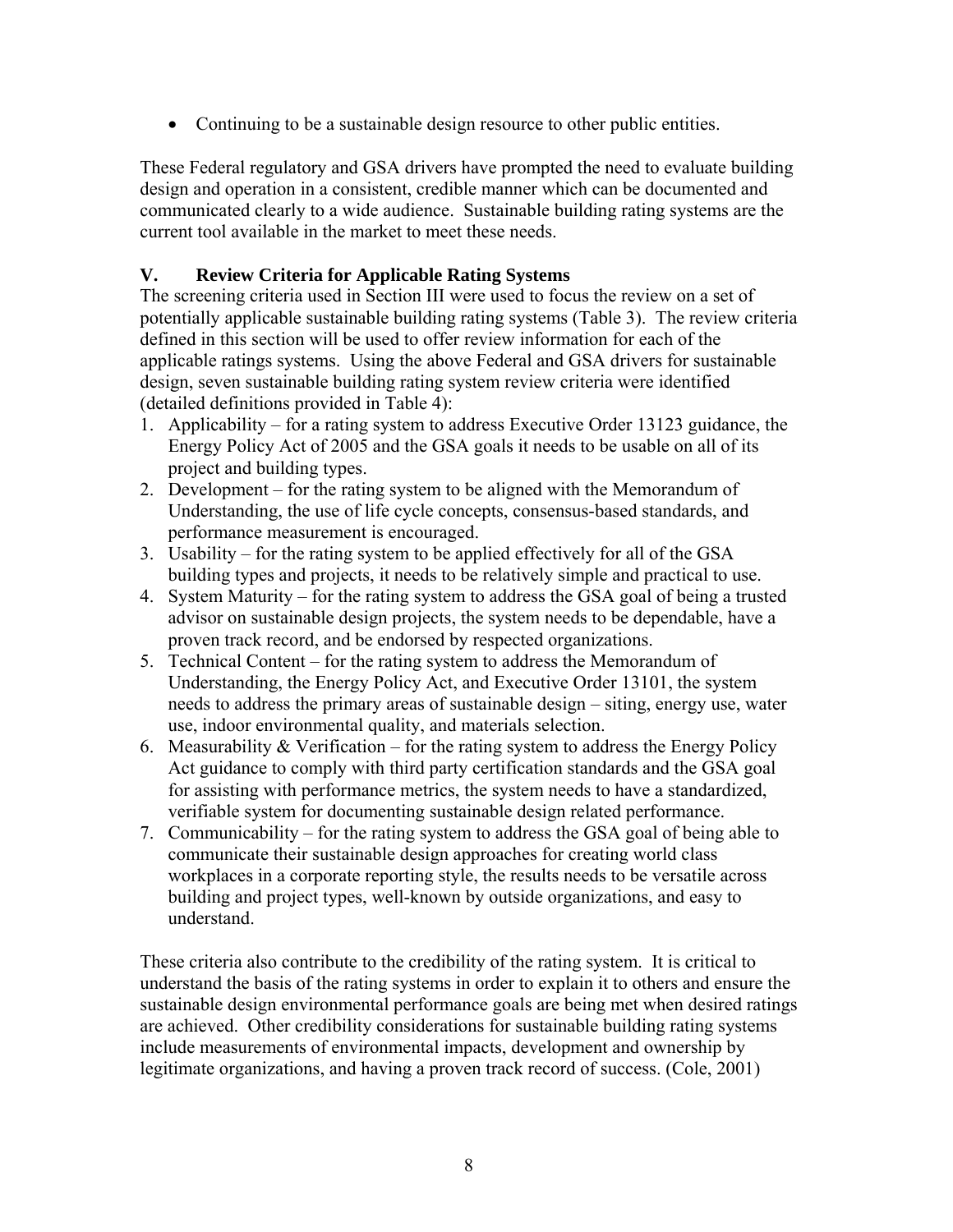• Continuing to be a sustainable design resource to other public entities.

These Federal regulatory and GSA drivers have prompted the need to evaluate building design and operation in a consistent, credible manner which can be documented and communicated clearly to a wide audience. Sustainable building rating systems are the current tool available in the market to meet these needs.

### **V. Review Criteria for Applicable Rating Systems**

The screening criteria used in Section III were used to focus the review on a set of potentially applicable sustainable building rating systems (Table 3). The review criteria defined in this section will be used to offer review information for each of the applicable ratings systems. Using the above Federal and GSA drivers for sustainable design, seven sustainable building rating system review criteria were identified (detailed definitions provided in Table 4):

- 1. Applicability for a rating system to address Executive Order 13123 guidance, the Energy Policy Act of 2005 and the GSA goals it needs to be usable on all of its project and building types.
- 2. Development for the rating system to be aligned with the Memorandum of Understanding, the use of life cycle concepts, consensus-based standards, and performance measurement is encouraged.
- 3. Usability for the rating system to be applied effectively for all of the GSA building types and projects, it needs to be relatively simple and practical to use.
- 4. System Maturity for the rating system to address the GSA goal of being a trusted advisor on sustainable design projects, the system needs to be dependable, have a proven track record, and be endorsed by respected organizations.
- 5. Technical Content for the rating system to address the Memorandum of Understanding, the Energy Policy Act, and Executive Order 13101, the system needs to address the primary areas of sustainable design – siting, energy use, water use, indoor environmental quality, and materials selection.
- 6. Measurability  $& \text{Verification} \text{for the rating system to address the Energy Policy}$ Act guidance to comply with third party certification standards and the GSA goal for assisting with performance metrics, the system needs to have a standardized, verifiable system for documenting sustainable design related performance.
- 7. Communicability for the rating system to address the GSA goal of being able to communicate their sustainable design approaches for creating world class workplaces in a corporate reporting style, the results needs to be versatile across building and project types, well-known by outside organizations, and easy to understand.

These criteria also contribute to the credibility of the rating system. It is critical to understand the basis of the rating systems in order to explain it to others and ensure the sustainable design environmental performance goals are being met when desired ratings are achieved. Other credibility considerations for sustainable building rating systems include measurements of environmental impacts, development and ownership by legitimate organizations, and having a proven track record of success. (Cole, 2001)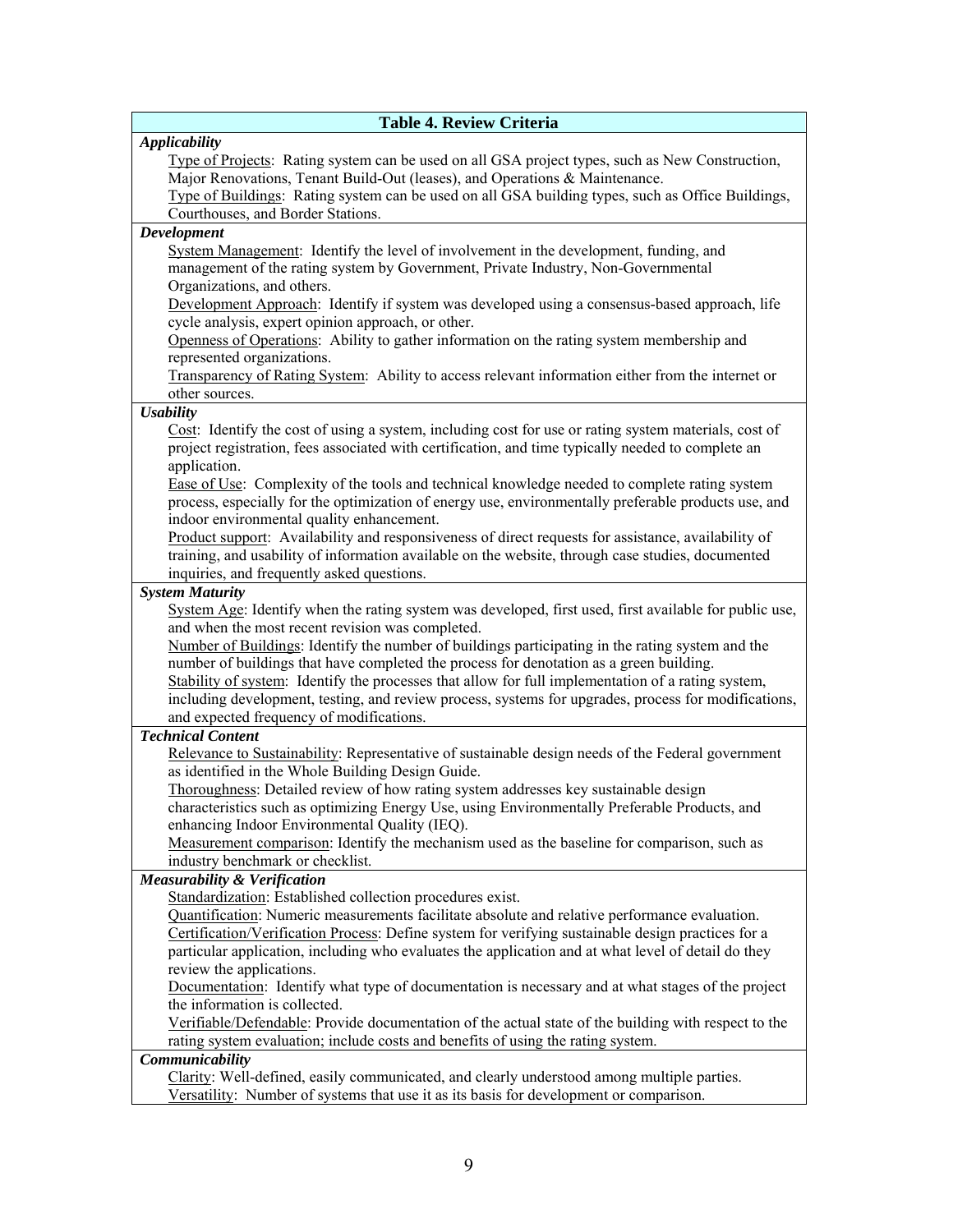| <b>Table 4. Review Criteria</b>                                                                                                                                                               |
|-----------------------------------------------------------------------------------------------------------------------------------------------------------------------------------------------|
| <b>Applicability</b>                                                                                                                                                                          |
| Type of Projects: Rating system can be used on all GSA project types, such as New Construction,                                                                                               |
| Major Renovations, Tenant Build-Out (leases), and Operations & Maintenance.                                                                                                                   |
| Type of Buildings: Rating system can be used on all GSA building types, such as Office Buildings,                                                                                             |
| Courthouses, and Border Stations.                                                                                                                                                             |
| Development                                                                                                                                                                                   |
| System Management: Identify the level of involvement in the development, funding, and                                                                                                         |
| management of the rating system by Government, Private Industry, Non-Governmental                                                                                                             |
| Organizations, and others.                                                                                                                                                                    |
| Development Approach: Identify if system was developed using a consensus-based approach, life                                                                                                 |
| cycle analysis, expert opinion approach, or other.                                                                                                                                            |
| Openness of Operations: Ability to gather information on the rating system membership and                                                                                                     |
| represented organizations.                                                                                                                                                                    |
| Transparency of Rating System: Ability to access relevant information either from the internet or                                                                                             |
| other sources.                                                                                                                                                                                |
| <b>Usability</b>                                                                                                                                                                              |
| Cost: Identify the cost of using a system, including cost for use or rating system materials, cost of                                                                                         |
| project registration, fees associated with certification, and time typically needed to complete an                                                                                            |
| application.                                                                                                                                                                                  |
| Ease of Use: Complexity of the tools and technical knowledge needed to complete rating system                                                                                                 |
| process, especially for the optimization of energy use, environmentally preferable products use, and                                                                                          |
| indoor environmental quality enhancement.                                                                                                                                                     |
| Product support: Availability and responsiveness of direct requests for assistance, availability of                                                                                           |
| training, and usability of information available on the website, through case studies, documented                                                                                             |
| inquiries, and frequently asked questions.                                                                                                                                                    |
| <b>System Maturity</b>                                                                                                                                                                        |
| System Age: Identify when the rating system was developed, first used, first available for public use,                                                                                        |
| and when the most recent revision was completed.                                                                                                                                              |
| Number of Buildings: Identify the number of buildings participating in the rating system and the                                                                                              |
| number of buildings that have completed the process for denotation as a green building.<br>Stability of system: Identify the processes that allow for full implementation of a rating system, |
| including development, testing, and review process, systems for upgrades, process for modifications,                                                                                          |
| and expected frequency of modifications.                                                                                                                                                      |
| <b>Technical Content</b>                                                                                                                                                                      |
| Relevance to Sustainability: Representative of sustainable design needs of the Federal government                                                                                             |
| as identified in the Whole Building Design Guide.                                                                                                                                             |
| Thoroughness: Detailed review of how rating system addresses key sustainable design                                                                                                           |
| characteristics such as optimizing Energy Use, using Environmentally Preferable Products, and                                                                                                 |
| enhancing Indoor Environmental Quality (IEQ).                                                                                                                                                 |
| Measurement comparison: Identify the mechanism used as the baseline for comparison, such as                                                                                                   |
| industry benchmark or checklist.                                                                                                                                                              |
| <b>Measurability &amp; Verification</b>                                                                                                                                                       |
| Standardization: Established collection procedures exist.                                                                                                                                     |
| Quantification: Numeric measurements facilitate absolute and relative performance evaluation.                                                                                                 |
| Certification/Verification Process: Define system for verifying sustainable design practices for a                                                                                            |
| particular application, including who evaluates the application and at what level of detail do they                                                                                           |
| review the applications.                                                                                                                                                                      |
| Documentation: Identify what type of documentation is necessary and at what stages of the project                                                                                             |
| the information is collected.                                                                                                                                                                 |
| Verifiable/Defendable: Provide documentation of the actual state of the building with respect to the                                                                                          |
| rating system evaluation; include costs and benefits of using the rating system.                                                                                                              |
| Communicability                                                                                                                                                                               |
| Clarity: Well-defined, easily communicated, and clearly understood among multiple parties.                                                                                                    |
| Versatility: Number of systems that use it as its basis for development or comparison.                                                                                                        |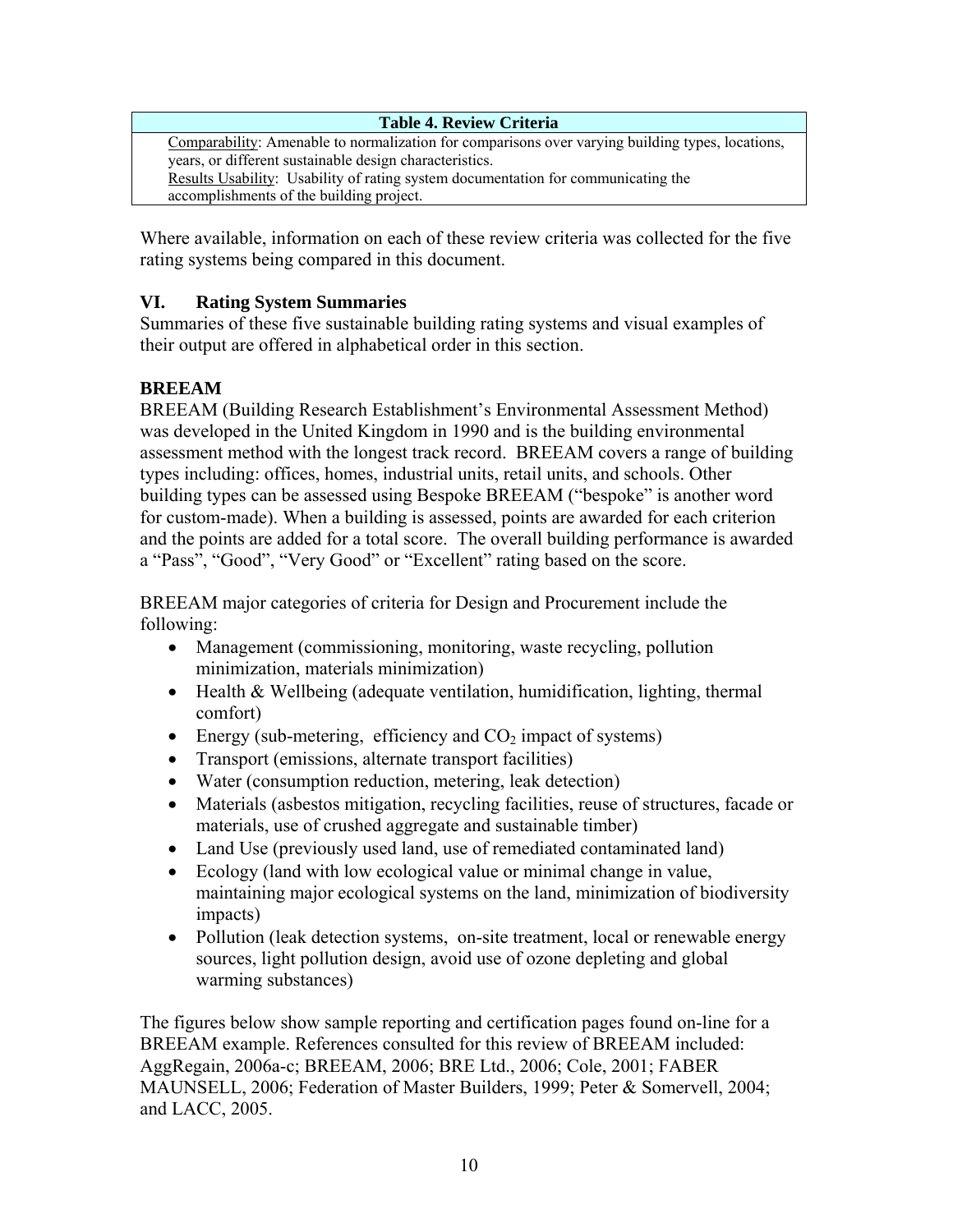**Table 4. Review Criteria**  Comparability: Amenable to normalization for comparisons over varying building types, locations, years, or different sustainable design characteristics. Results Usability: Usability of rating system documentation for communicating the accomplishments of the building project.

Where available, information on each of these review criteria was collected for the five rating systems being compared in this document.

# **VI. Rating System Summaries**

Summaries of these five sustainable building rating systems and visual examples of their output are offered in alphabetical order in this section.

# **BREEAM**

BREEAM (Building Research Establishment's Environmental Assessment Method) was developed in the United Kingdom in 1990 and is the building environmental assessment method with the longest track record. BREEAM covers a range of building types including: offices, homes, industrial units, retail units, and schools. Other building types can be assessed using Bespoke BREEAM ("bespoke" is another word for custom-made). When a building is assessed, points are awarded for each criterion and the points are added for a total score. The overall building performance is awarded a "Pass", "Good", "Very Good" or "Excellent" rating based on the score.

BREEAM major categories of criteria for Design and Procurement include the following:

- Management (commissioning, monitoring, waste recycling, pollution minimization, materials minimization)
- Health & Wellbeing (adequate ventilation, humidification, lighting, thermal comfort)
- Energy (sub-metering, efficiency and  $CO<sub>2</sub>$  impact of systems)
- Transport (emissions, alternate transport facilities)
- Water (consumption reduction, metering, leak detection)
- Materials (asbestos mitigation, recycling facilities, reuse of structures, facade or materials, use of crushed aggregate and sustainable timber)
- Land Use (previously used land, use of remediated contaminated land)
- Ecology (land with low ecological value or minimal change in value, maintaining major ecological systems on the land, minimization of biodiversity impacts)
- Pollution (leak detection systems, on-site treatment, local or renewable energy sources, light pollution design, avoid use of ozone depleting and global warming substances)

The figures below show sample reporting and certification pages found on-line for a BREEAM example. References consulted for this review of BREEAM included: AggRegain, 2006a-c; BREEAM, 2006; BRE Ltd., 2006; Cole, 2001; FABER MAUNSELL, 2006; Federation of Master Builders, 1999; Peter & Somervell, 2004; and LACC, 2005.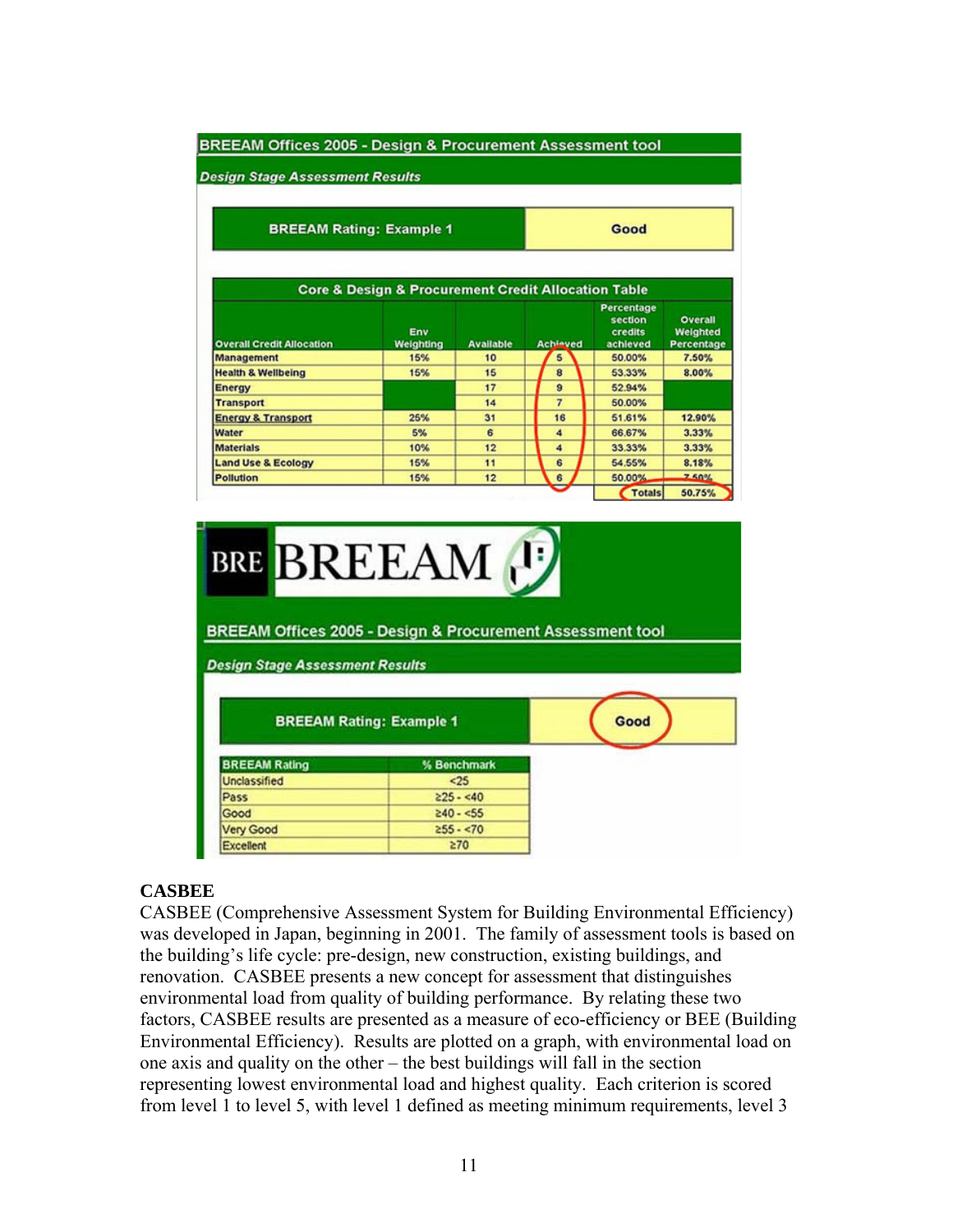#### BREEAM Offices 2005 - Design & Procurement Assessment tool

**Design Stage Assessment Results** 

**BREEAM Rating: Example 1** 

Good

|                                  | <b>Core &amp; Design &amp; Procurement Credit Allocation Table</b> |                  |                 |                                              |                                          |
|----------------------------------|--------------------------------------------------------------------|------------------|-----------------|----------------------------------------------|------------------------------------------|
| <b>Overall Credit Allocation</b> | Env<br>Weighting                                                   | <b>Available</b> | <b>Achleved</b> | Percentage<br>section<br>credits<br>achieved | <b>Overall</b><br>Weighted<br>Percentage |
| <b>Management</b>                | 15%                                                                | 10               | 5               | 50.00%                                       | 7.50%                                    |
| <b>Health &amp; Wellbeing</b>    | 15%                                                                | 15               | 8               | 53.33%                                       | 8.00%                                    |
| Energy                           |                                                                    | 17               | $\mathbf{a}$    | 52.94%                                       |                                          |
| <b>Transport</b>                 |                                                                    | 14               | 7               | 50.00%                                       |                                          |
| <b>Energy &amp; Transport</b>    | 25%                                                                | 31               | 16              | 51.61%                                       | 12.90%                                   |
| Water                            | 5%                                                                 | 6                | 4               | 66.67%                                       | 3.33%                                    |
| <b>Materials</b>                 | 10%                                                                | 12               | 4               | 33.33%                                       | 3.33%                                    |
| <b>Land Use &amp; Ecology</b>    | 15%                                                                | 11               | 6               | 54.55%                                       | 8.18%                                    |
| Pollution                        | 15%                                                                | 12               | 6               | 50.00%                                       | 2.50%                                    |



### **CASBEE**

CASBEE (Comprehensive Assessment System for Building Environmental Efficiency) was developed in Japan, beginning in 2001. The family of assessment tools is based on the building's life cycle: pre-design, new construction, existing buildings, and renovation. CASBEE presents a new concept for assessment that distinguishes environmental load from quality of building performance. By relating these two factors, CASBEE results are presented as a measure of eco-efficiency or BEE (Building Environmental Efficiency). Results are plotted on a graph, with environmental load on one axis and quality on the other – the best buildings will fall in the section representing lowest environmental load and highest quality. Each criterion is scored from level 1 to level 5, with level 1 defined as meeting minimum requirements, level 3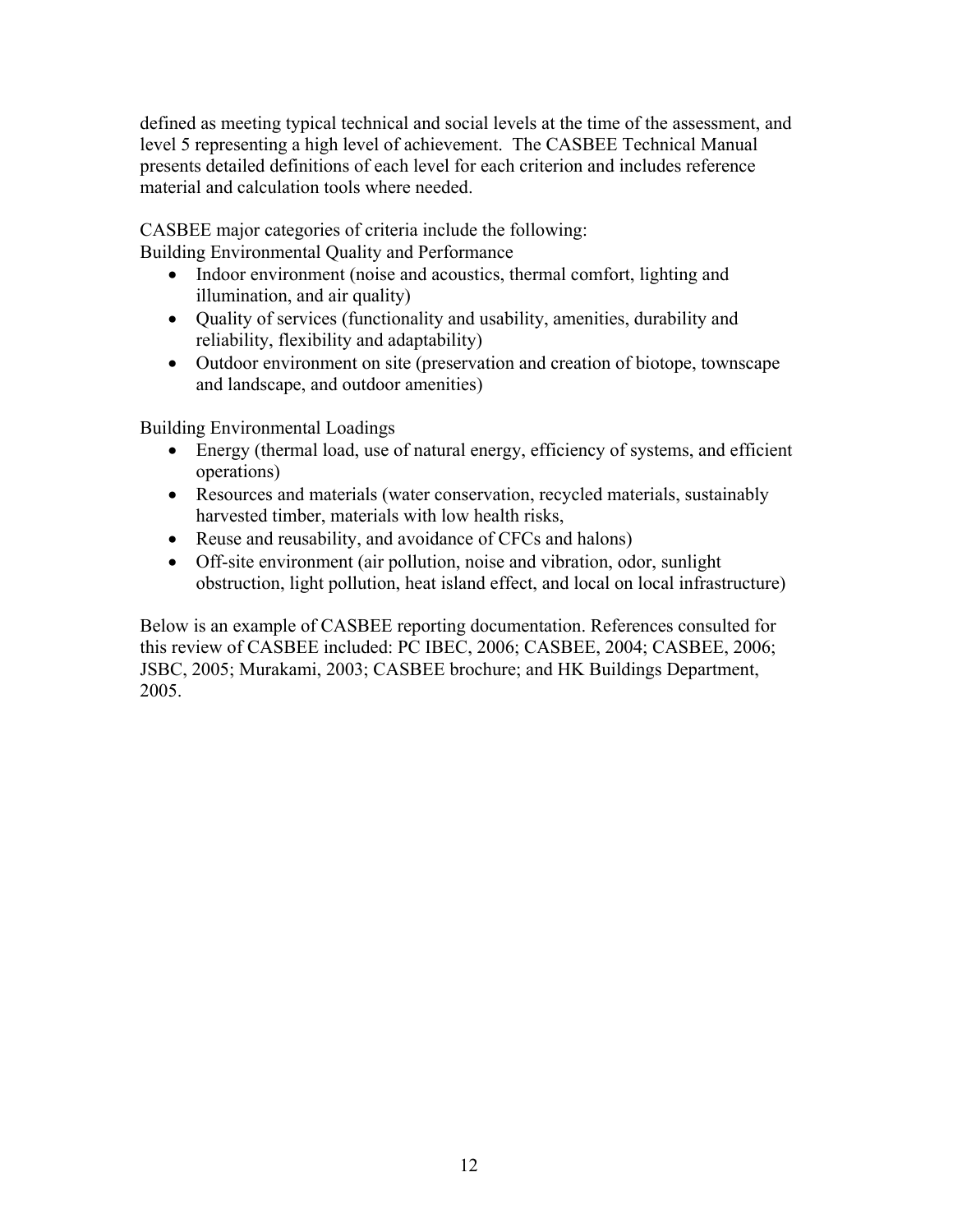defined as meeting typical technical and social levels at the time of the assessment, and level 5 representing a high level of achievement. The CASBEE Technical Manual presents detailed definitions of each level for each criterion and includes reference material and calculation tools where needed.

CASBEE major categories of criteria include the following: Building Environmental Quality and Performance

- Indoor environment (noise and acoustics, thermal comfort, lighting and illumination, and air quality)
- Quality of services (functionality and usability, amenities, durability and reliability, flexibility and adaptability)
- Outdoor environment on site (preservation and creation of biotope, townscape and landscape, and outdoor amenities)

Building Environmental Loadings

- Energy (thermal load, use of natural energy, efficiency of systems, and efficient operations)
- Resources and materials (water conservation, recycled materials, sustainably harvested timber, materials with low health risks,
- Reuse and reusability, and avoidance of CFCs and halons)
- Off-site environment (air pollution, noise and vibration, odor, sunlight obstruction, light pollution, heat island effect, and local on local infrastructure)

Below is an example of CASBEE reporting documentation. References consulted for this review of CASBEE included: PC IBEC, 2006; CASBEE, 2004; CASBEE, 2006; JSBC, 2005; Murakami, 2003; CASBEE brochure; and HK Buildings Department, 2005.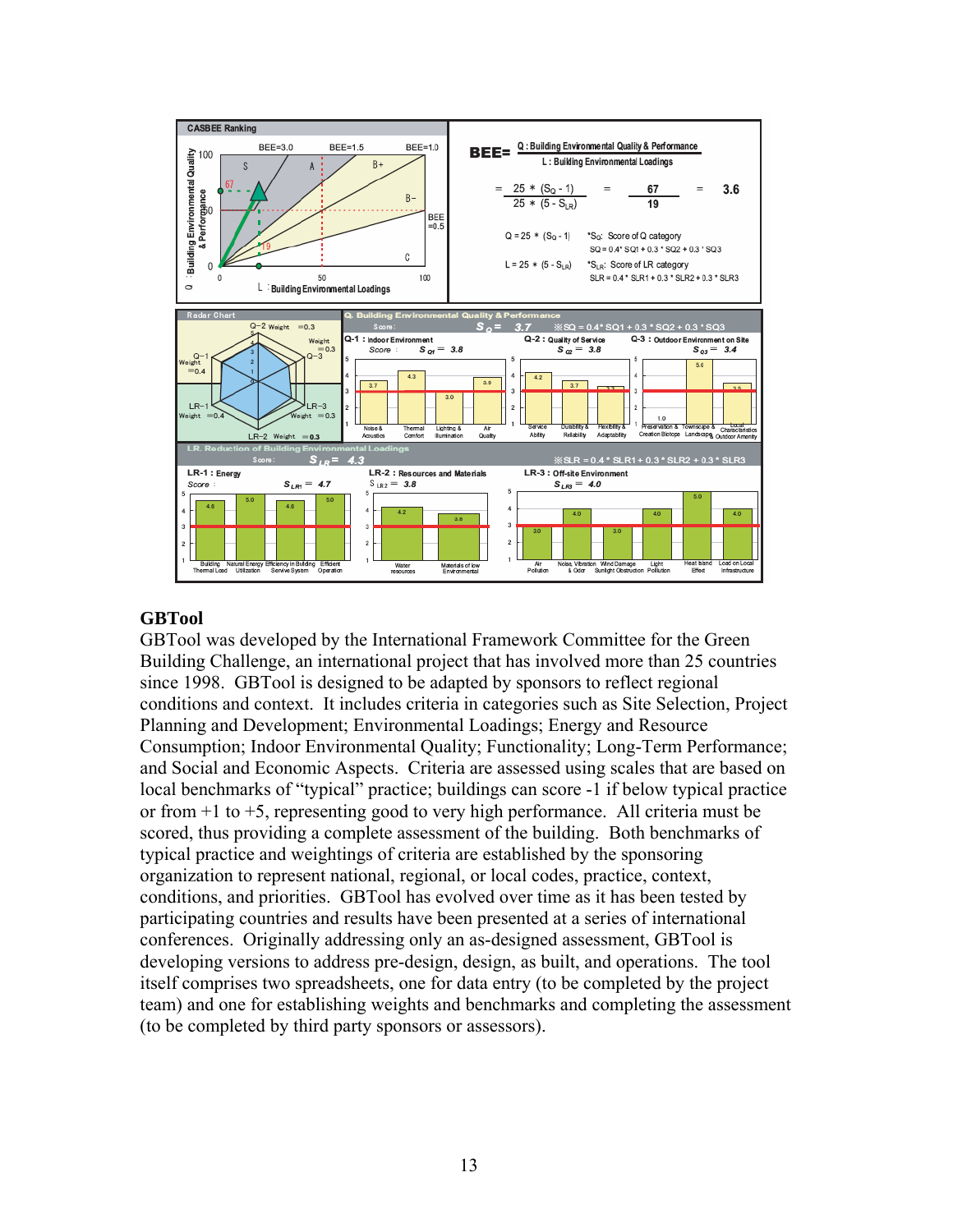

#### **GBTool**

GBTool was developed by the International Framework Committee for the Green Building Challenge, an international project that has involved more than 25 countries since 1998. GBTool is designed to be adapted by sponsors to reflect regional conditions and context. It includes criteria in categories such as Site Selection, Project Planning and Development; Environmental Loadings; Energy and Resource Consumption; Indoor Environmental Quality; Functionality; Long-Term Performance; and Social and Economic Aspects. Criteria are assessed using scales that are based on local benchmarks of "typical" practice; buildings can score -1 if below typical practice or from +1 to +5, representing good to very high performance. All criteria must be scored, thus providing a complete assessment of the building. Both benchmarks of typical practice and weightings of criteria are established by the sponsoring organization to represent national, regional, or local codes, practice, context, conditions, and priorities. GBTool has evolved over time as it has been tested by participating countries and results have been presented at a series of international conferences. Originally addressing only an as-designed assessment, GBTool is developing versions to address pre-design, design, as built, and operations. The tool itself comprises two spreadsheets, one for data entry (to be completed by the project team) and one for establishing weights and benchmarks and completing the assessment (to be completed by third party sponsors or assessors).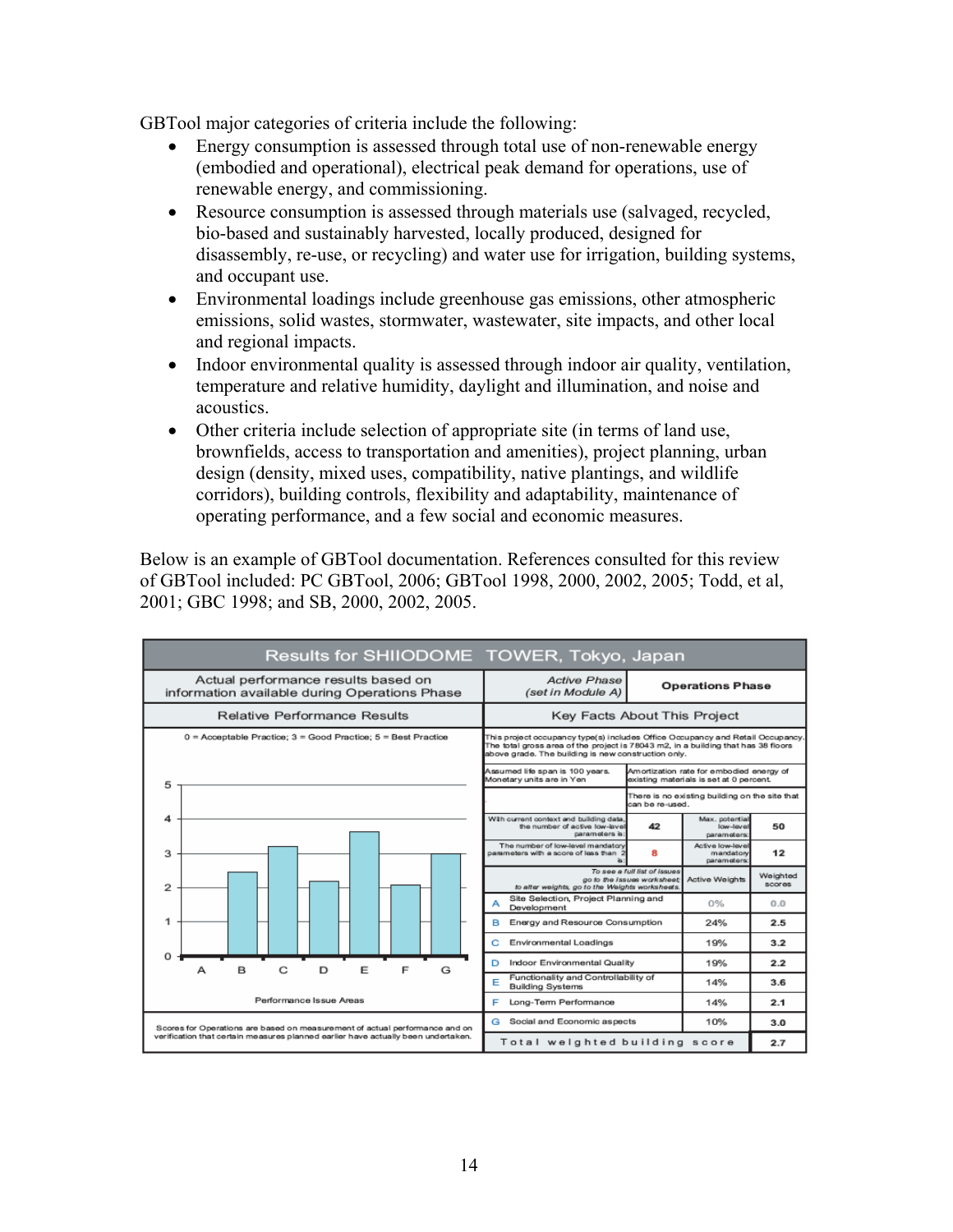GBTool major categories of criteria include the following:

- Energy consumption is assessed through total use of non-renewable energy (embodied and operational), electrical peak demand for operations, use of renewable energy, and commissioning.
- Resource consumption is assessed through materials use (salvaged, recycled, bio-based and sustainably harvested, locally produced, designed for disassembly, re-use, or recycling) and water use for irrigation, building systems, and occupant use.
- Environmental loadings include greenhouse gas emissions, other atmospheric emissions, solid wastes, stormwater, wastewater, site impacts, and other local and regional impacts.
- Indoor environmental quality is assessed through indoor air quality, ventilation, temperature and relative humidity, daylight and illumination, and noise and acoustics.
- Other criteria include selection of appropriate site (in terms of land use, brownfields, access to transportation and amenities), project planning, urban design (density, mixed uses, compatibility, native plantings, and wildlife corridors), building controls, flexibility and adaptability, maintenance of operating performance, and a few social and economic measures.

Below is an example of GBTool documentation. References consulted for this review of GBTool included: PC GBTool, 2006; GBTool 1998, 2000, 2002, 2005; Todd, et al, 2001; GBC 1998; and SB, 2000, 2002, 2005.

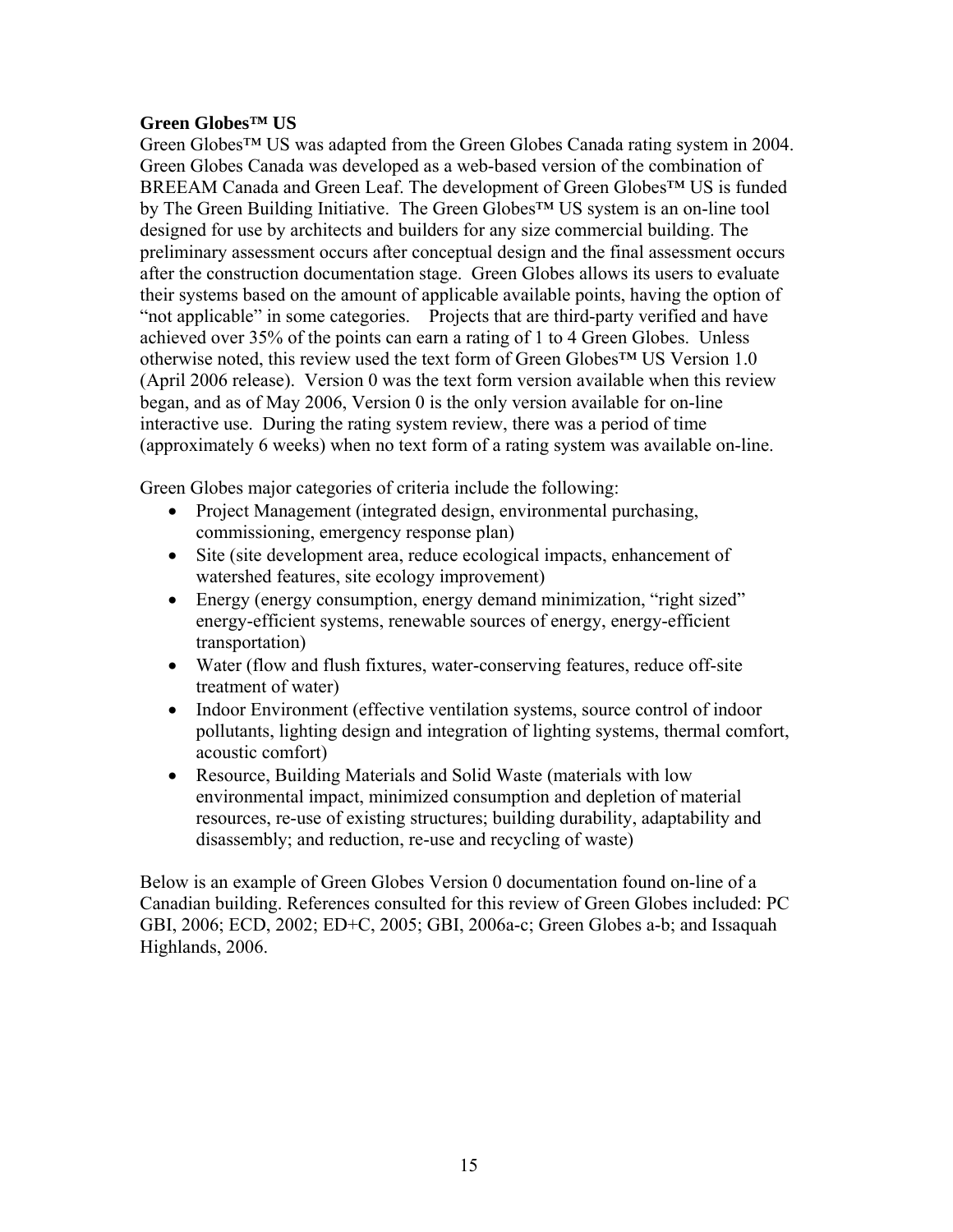### **Green Globes™ US**

Green Globes™ US was adapted from the Green Globes Canada rating system in 2004. Green Globes Canada was developed as a web-based version of the combination of BREEAM Canada and Green Leaf. The development of Green Globes™ US is funded by The Green Building Initiative. The Green Globes™ US system is an on-line tool designed for use by architects and builders for any size commercial building. The preliminary assessment occurs after conceptual design and the final assessment occurs after the construction documentation stage. Green Globes allows its users to evaluate their systems based on the amount of applicable available points, having the option of "not applicable" in some categories. Projects that are third-party verified and have achieved over 35% of the points can earn a rating of 1 to 4 Green Globes. Unless otherwise noted, this review used the text form of Green Globes™ US Version 1.0 (April 2006 release). Version 0 was the text form version available when this review began, and as of May 2006, Version 0 is the only version available for on-line interactive use. During the rating system review, there was a period of time (approximately 6 weeks) when no text form of a rating system was available on-line.

Green Globes major categories of criteria include the following:

- Project Management (integrated design, environmental purchasing, commissioning, emergency response plan)
- Site (site development area, reduce ecological impacts, enhancement of watershed features, site ecology improvement)
- Energy (energy consumption, energy demand minimization, "right sized" energy-efficient systems, renewable sources of energy, energy-efficient transportation)
- Water (flow and flush fixtures, water-conserving features, reduce off-site treatment of water)
- Indoor Environment (effective ventilation systems, source control of indoor pollutants, lighting design and integration of lighting systems, thermal comfort, acoustic comfort)
- Resource, Building Materials and Solid Waste (materials with low environmental impact, minimized consumption and depletion of material resources, re-use of existing structures; building durability, adaptability and disassembly; and reduction, re-use and recycling of waste)

Below is an example of Green Globes Version 0 documentation found on-line of a Canadian building. References consulted for this review of Green Globes included: PC GBI, 2006; ECD, 2002; ED+C, 2005; GBI, 2006a-c; Green Globes a-b; and Issaquah Highlands, 2006.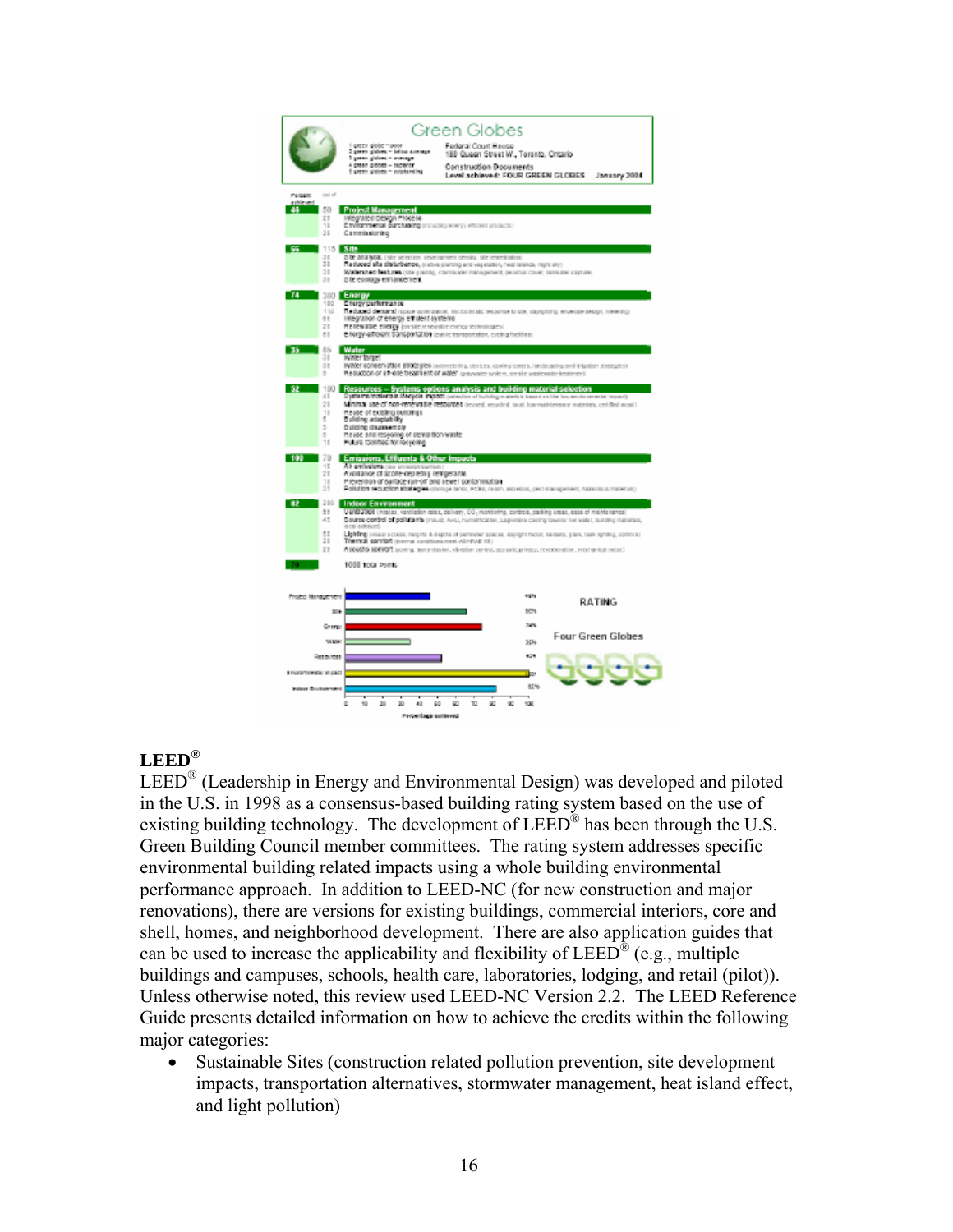

### **LEED®**

LEED® (Leadership in Energy and Environmental Design) was developed and piloted in the U.S. in 1998 as a consensus-based building rating system based on the use of existing building technology. The development of  $LEED^{\circledR}$  has been through the U.S. Green Building Council member committees. The rating system addresses specific environmental building related impacts using a whole building environmental performance approach. In addition to LEED-NC (for new construction and major renovations), there are versions for existing buildings, commercial interiors, core and shell, homes, and neighborhood development. There are also application guides that can be used to increase the applicability and flexibility of  $LEED^{\mathcal{R}}$  (e.g., multiple buildings and campuses, schools, health care, laboratories, lodging, and retail (pilot)). Unless otherwise noted, this review used LEED-NC Version 2.2. The LEED Reference Guide presents detailed information on how to achieve the credits within the following major categories:

• Sustainable Sites (construction related pollution prevention, site development impacts, transportation alternatives, stormwater management, heat island effect, and light pollution)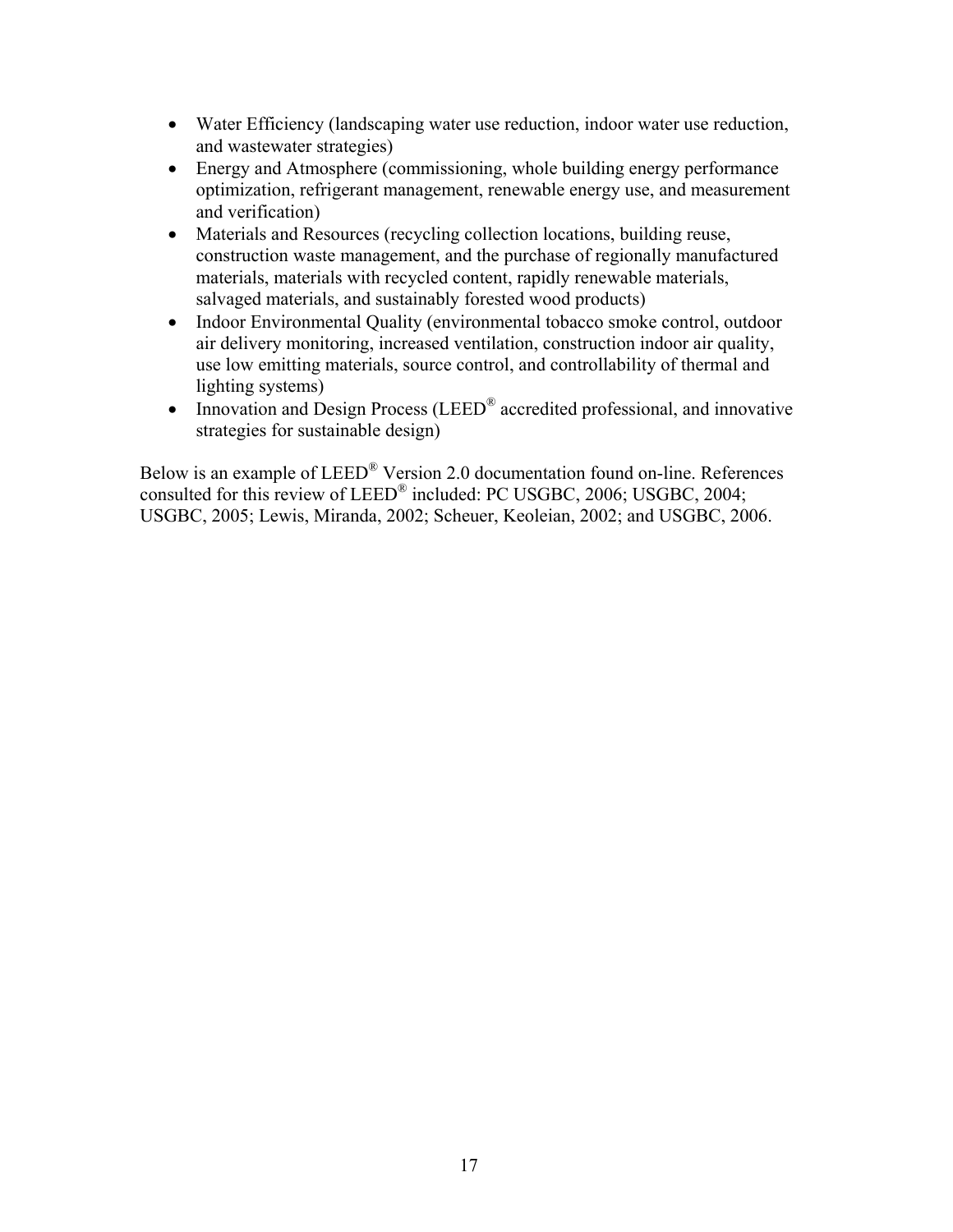- Water Efficiency (landscaping water use reduction, indoor water use reduction, and wastewater strategies)
- Energy and Atmosphere (commissioning, whole building energy performance optimization, refrigerant management, renewable energy use, and measurement and verification)
- Materials and Resources (recycling collection locations, building reuse, construction waste management, and the purchase of regionally manufactured materials, materials with recycled content, rapidly renewable materials, salvaged materials, and sustainably forested wood products)
- Indoor Environmental Quality (environmental tobacco smoke control, outdoor air delivery monitoring, increased ventilation, construction indoor air quality, use low emitting materials, source control, and controllability of thermal and lighting systems)
- Innovation and Design Process (LEED<sup>®</sup> accredited professional, and innovative strategies for sustainable design)

Below is an example of LEED® Version 2.0 documentation found on-line. References consulted for this review of LEED® included: PC USGBC, 2006; USGBC, 2004; USGBC, 2005; Lewis, Miranda, 2002; Scheuer, Keoleian, 2002; and USGBC, 2006.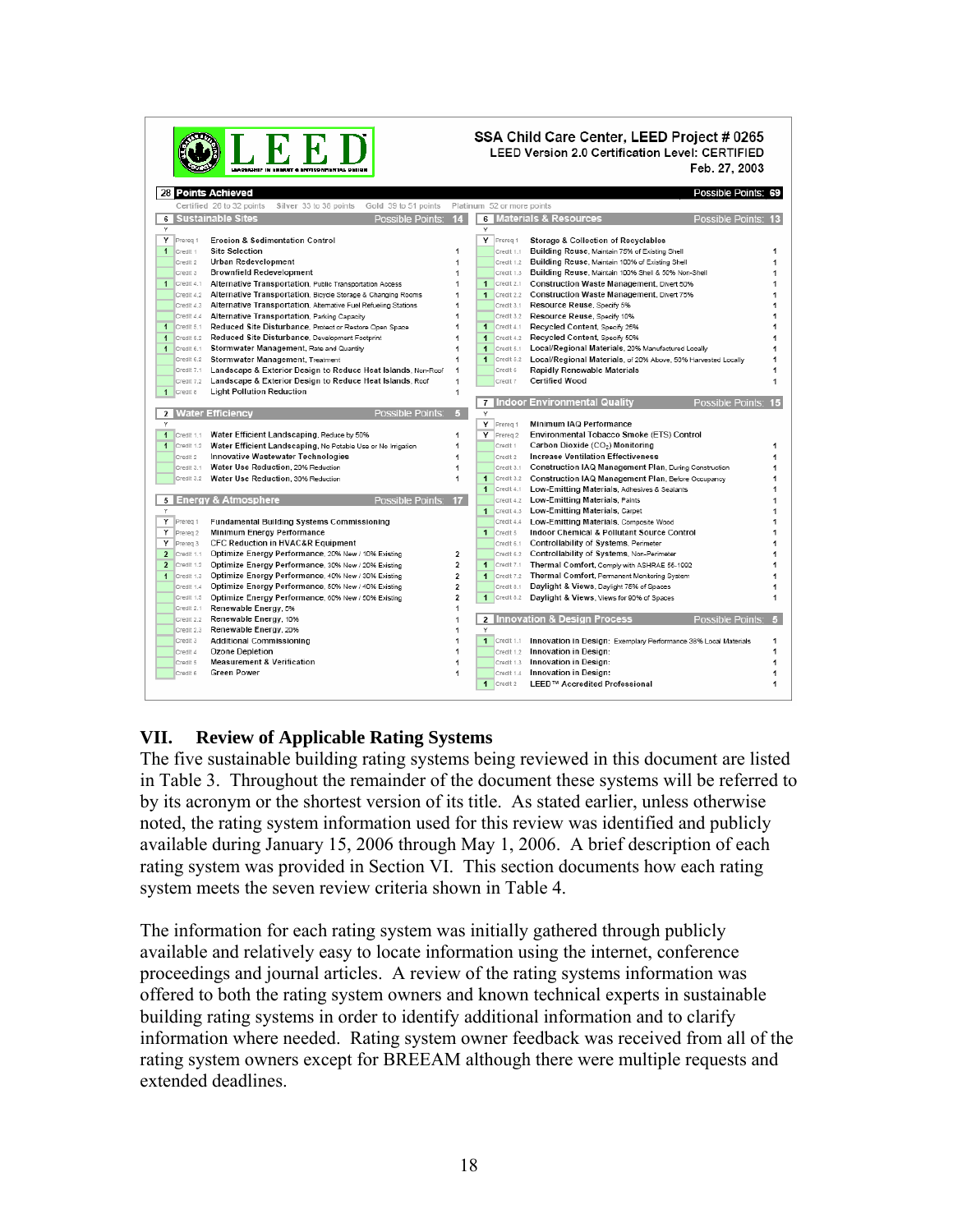| SSA Child Care Center, LEED Project # 0265<br>LBEE<br>LEED Version 2.0 Certification Level: CERTIFIED<br>Feb. 27, 2003<br>LEADERSHIP IN ENERGY & ENVIRONMENTAL DEEP |                                                                   |              |                |                                                                 |            |
|---------------------------------------------------------------------------------------------------------------------------------------------------------------------|-------------------------------------------------------------------|--------------|----------------|-----------------------------------------------------------------|------------|
| 28 Points Achieved                                                                                                                                                  |                                                                   |              |                | Possible Points:                                                |            |
| Certified 26 to 32 points<br>Silver 33 to 38 points                                                                                                                 | Gold 39 to 51 points Platinum 52 or more points                   |              |                |                                                                 |            |
| 6 Sustainable Sites                                                                                                                                                 | Possible Points: 14                                               |              |                | 6 Materials & Resources<br>Possible Points: 13                  |            |
| Υ                                                                                                                                                                   |                                                                   | Υ            |                |                                                                 |            |
| Y Prereg 1<br><b>Erosion &amp; Sedimentation Control</b>                                                                                                            |                                                                   |              | Y Prereg 1     | Storage & Collection of Recyclables                             |            |
| 1 Credit 1<br><b>Site Selection</b>                                                                                                                                 | 1                                                                 |              | Credit 1.1     | Building Reuse, Maintain 75% of Existing Shell                  |            |
| Urban Redevelopment<br>Credit 2                                                                                                                                     | 1                                                                 |              | Credit 1.2     | Building Reuse, Maintain 100% of Existing Shell                 | 1          |
| <b>Brownfield Redevelopment</b><br>Credit 3                                                                                                                         | 1                                                                 |              | Credit 1.3     | Building Reuse, Maintain 100% Shell & 50% Non-Shell             | 1          |
| $\blacksquare$ Credit 4.1<br>Alternative Transportation, Public Transportation Access                                                                               | 1                                                                 | 1            | Credit 2.1     | Construction Waste Management, Divert 50%                       | 1          |
| Credit 4.2 Alternative Transportation, Bicycle Storage & Changing Rooms                                                                                             | 1                                                                 | $\mathbf{1}$ | Credit 2.2     | Construction Waste Management, Divert 75%                       | 1          |
| Credit 4.3 Alternative Transportation, Alternative Fuel Refueling Stations                                                                                          | 1                                                                 |              | Credit 3.1     | Resource Reuse, Specify 5%                                      |            |
| Credit 4.4<br>Alternative Transportation, Parking Capacity                                                                                                          | 1                                                                 |              | Credit 3.2     | Resource Reuse, Specify 10%                                     |            |
| Reduced Site Disturbance, Protect or Restore Open Space<br>$\mathbf{1}$<br>Credit 5.1                                                                               | 1                                                                 | $\mathbf{1}$ | Credit 4.1     | Recycled Content, Specify 25%                                   | 1          |
| Credit 5.2<br>Reduced Site Disturbance, Development Footprint<br>$\overline{1}$                                                                                     | 1                                                                 | $\mathbf{1}$ | Credit 4.2     | Recycled Content, Specify 50%                                   | 1          |
| Stormwater Management, Rate and Quantity<br>$\mathbf{1}$<br>Credit 6.1                                                                                              | 1                                                                 | $\mathbf{1}$ | Credit 5.1     | Local/Regional Materials, 20% Manufactured Locally              | 1          |
| Credit 6.2<br>Stormwater Management, Treatment                                                                                                                      | 1                                                                 | $\mathbf{1}$ | Credit 5.2     | Local/Regional Materials, of 20% Above, 50% Harvested Locally   | 1          |
| Credit 7.1                                                                                                                                                          | Landscape & Exterior Design to Reduce Heat Islands, Non-Roof<br>1 |              | Credit 6       | Rapidly Renewable Materials                                     | 1          |
| Landscape & Exterior Design to Reduce Heat Islands, Roof<br>Credit 7.2                                                                                              | 1                                                                 |              | Credit 7       | <b>Certified Wood</b>                                           | 1          |
| <b>Light Pollution Reduction</b><br>1 Credit 8                                                                                                                      | 1                                                                 |              |                |                                                                 |            |
|                                                                                                                                                                     |                                                                   |              |                | Possible Points: 15<br>7 Indoor Environmental Quality           |            |
| 2 Water Efficiency                                                                                                                                                  | Possible Points:<br>5                                             | Y            |                |                                                                 |            |
| Y                                                                                                                                                                   |                                                                   |              | Y Prereg 1     | Minimum IAQ Performance                                         |            |
| Water Efficient Landscaping, Reduce by 50%<br>$\mathbf{1}$<br>Credit 1.1                                                                                            | 1                                                                 |              | Y Prereg 2     | Environmental Tobacco Smoke (ETS) Control                       |            |
| $1$ Credit 1.2<br>Water Efficient Landscaping, No Potable Use or No Irrigation                                                                                      | 1                                                                 |              | Credit 1       | Carbon Dioxide (CO2) Monitoring                                 | 1          |
| Innovative Wastewater Technologies<br>Credit <sub>2</sub>                                                                                                           | 1                                                                 |              | Credit 2       | <b>Increase Ventilation Effectiveness</b>                       | 1          |
| Water Use Reduction, 20% Reduction<br>Credit 3.1                                                                                                                    | 1                                                                 |              | Credit 3.1     | Construction IAQ Management Plan, During Construction           | 1          |
| Credit 3.2<br>Water Use Reduction, 30% Reduction                                                                                                                    | 1                                                                 | $\mathbf{1}$ | Credit 3.2     | Construction IAQ Management Plan, Before Occupancy              | 1          |
|                                                                                                                                                                     |                                                                   | $\mathbf{1}$ | Credit 4.1     | Low-Emitting Materials, Adhesives & Sealants                    | 1          |
| 5 Energy & Atmosphere                                                                                                                                               | Possible Points: 17                                               |              | Credit 4.2     | Low-Emitting Materials, Paints                                  | 1          |
| Υ                                                                                                                                                                   |                                                                   |              | $1$ Credit 4.3 | Low-Emitting Materials, Carpet                                  |            |
| Y Prereg 1<br><b>Fundamental Building Systems Commissioning</b>                                                                                                     |                                                                   |              | Credit 4.4     | Low-Emitting Materials, Composite Wood                          | 1          |
| Y Prereq 2<br>Minimum Energy Performance                                                                                                                            |                                                                   |              | 1 Credit 5     | Indoor Chemical & Pollutant Source Control                      |            |
| Y Prereg 3<br><b>CFC Reduction in HVAC&amp;R Equipment</b>                                                                                                          |                                                                   |              | Credit 6.1     | Controllability of Systems, Perimeter                           | 1          |
| $\overline{2}$<br>Optimize Energy Performance, 20% New / 10% Existing<br>Credit 1.1                                                                                 | 2                                                                 |              | Credit 6.2     | Controllability of Systems, Non-Perimeter                       |            |
| $\overline{2}$<br>Credit 1.2<br>Optimize Energy Performance, 30% New / 20% Existing                                                                                 | 2                                                                 |              | 1 Credit 7.1   | Thermal Comfort, Comply with ASHRAE 55-1992                     | 1          |
| Credit 1.3<br>Optimize Energy Performance, 40% New / 30% Existing<br>$\overline{1}$                                                                                 | $\overline{2}$                                                    | 1            | Credit 7.2     | Thermal Comfort, Permanent Monitoring System                    | 1          |
| Optimize Energy Performance, 50% New / 40% Existing<br>Credit 1.4                                                                                                   | $\overline{\mathbf{c}}$                                           |              | Credit 8.1     | Daylight & Views, Daylight 75% of Spaces                        | 1          |
| Credit 1.5<br>Optimize Energy Performance, 60% New / 50% Existing                                                                                                   | 2                                                                 |              | 1 Credit 8.2   | Daylight & Views, Views for 90% of Spaces                       | 1          |
| Renewable Energy, 5%<br>Credit 2.1                                                                                                                                  | 1                                                                 |              |                |                                                                 |            |
| Renewable Energy, 10%<br>Credit 2.2                                                                                                                                 | 1                                                                 |              |                | 2 Innovation & Design Process<br>Possible Points:               | $\sqrt{5}$ |
| Renewable Energy, 20%<br>Credit 2.3                                                                                                                                 | 1                                                                 |              |                |                                                                 |            |
| Credit 3<br><b>Additional Commissioning</b>                                                                                                                         | 1                                                                 |              | $1$ Credit 1.1 | Innovation in Design: Exemplary Performance 38% Local Materials | 1          |
| Ozone Depletion<br>Credit 4                                                                                                                                         | 1                                                                 |              | Credit 1.2     | Innovation in Design:                                           | 1          |
| <b>Measurement &amp; Verification</b><br>Credit 5                                                                                                                   | 1                                                                 |              |                | Credit 1.3 Innovation in Design:                                | 1          |
| <b>Green Power</b><br>Credit 6                                                                                                                                      | 1                                                                 |              | Credit 1.4     | Innovation in Design:                                           | 1          |
|                                                                                                                                                                     |                                                                   |              | 1 Credit 2     | LEED™ Accredited Professional                                   | 1          |

### **VII. Review of Applicable Rating Systems**

The five sustainable building rating systems being reviewed in this document are listed in Table 3. Throughout the remainder of the document these systems will be referred to by its acronym or the shortest version of its title. As stated earlier, unless otherwise noted, the rating system information used for this review was identified and publicly available during January 15, 2006 through May 1, 2006. A brief description of each rating system was provided in Section VI. This section documents how each rating system meets the seven review criteria shown in Table 4.

The information for each rating system was initially gathered through publicly available and relatively easy to locate information using the internet, conference proceedings and journal articles. A review of the rating systems information was offered to both the rating system owners and known technical experts in sustainable building rating systems in order to identify additional information and to clarify information where needed. Rating system owner feedback was received from all of the rating system owners except for BREEAM although there were multiple requests and extended deadlines.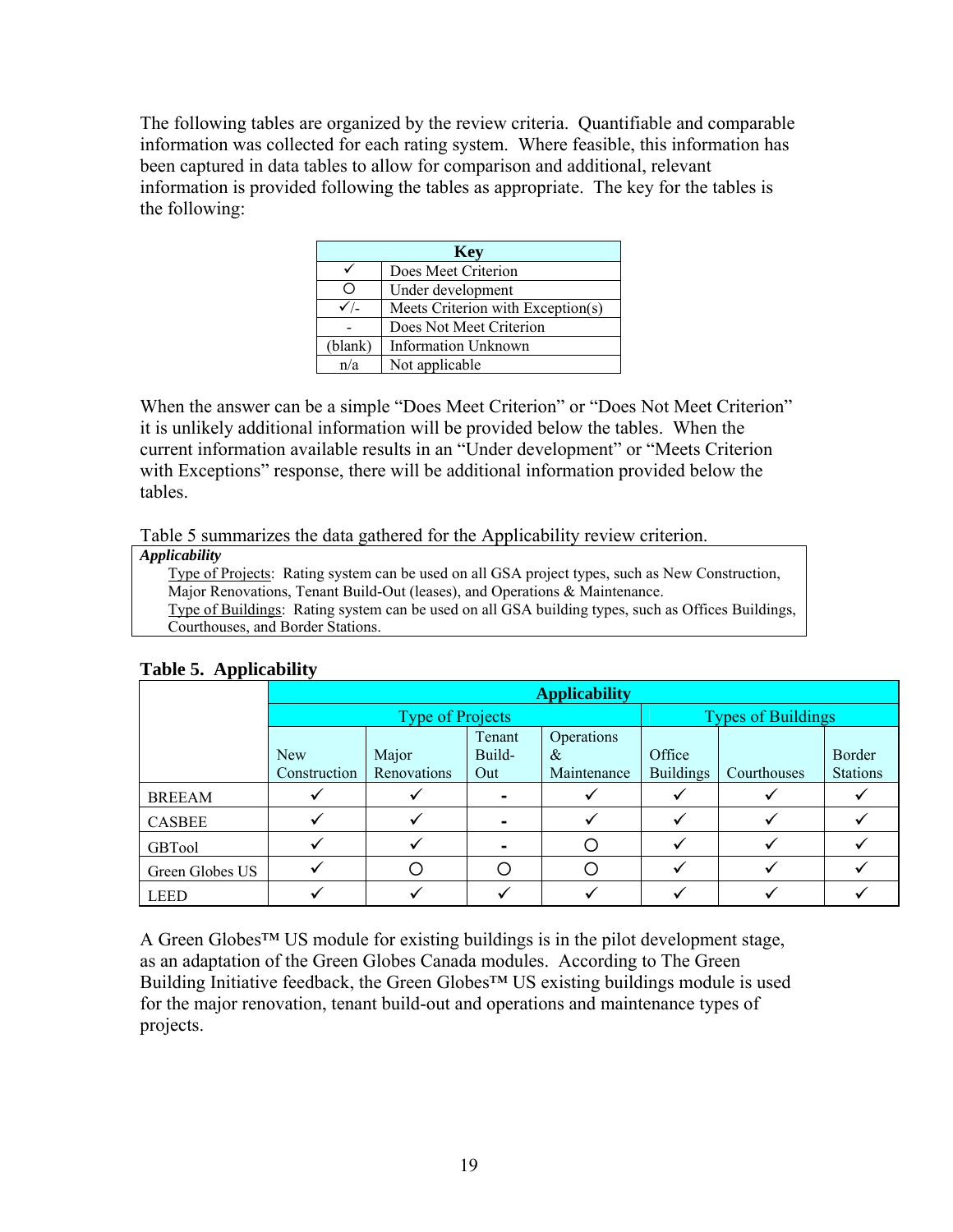The following tables are organized by the review criteria. Quantifiable and comparable information was collected for each rating system. Where feasible, this information has been captured in data tables to allow for comparison and additional, relevant information is provided following the tables as appropriate. The key for the tables is the following:

| <b>Key</b>      |                                   |  |  |  |
|-----------------|-----------------------------------|--|--|--|
|                 | Does Meet Criterion               |  |  |  |
| O               | Under development                 |  |  |  |
| $\checkmark$ /- | Meets Criterion with Exception(s) |  |  |  |
|                 | Does Not Meet Criterion           |  |  |  |
| (blank)         | <b>Information Unknown</b>        |  |  |  |
| n/a             | Not applicable                    |  |  |  |

When the answer can be a simple "Does Meet Criterion" or "Does Not Meet Criterion" it is unlikely additional information will be provided below the tables. When the current information available results in an "Under development" or "Meets Criterion with Exceptions" response, there will be additional information provided below the tables.

Table 5 summarizes the data gathered for the Applicability review criterion.

|  | <b>Applicability</b> |  |
|--|----------------------|--|
|  |                      |  |

Type of Projects: Rating system can be used on all GSA project types, such as New Construction, Major Renovations, Tenant Build-Out (leases), and Operations & Maintenance.

Type of Buildings: Rating system can be used on all GSA building types, such as Offices Buildings, Courthouses, and Border Stations.

|                 | <b>Applicability</b>       |                      |                         |                                |                            |                           |                           |  |
|-----------------|----------------------------|----------------------|-------------------------|--------------------------------|----------------------------|---------------------------|---------------------------|--|
|                 | <b>Type of Projects</b>    |                      |                         |                                |                            | <b>Types of Buildings</b> |                           |  |
|                 | <b>New</b><br>Construction | Major<br>Renovations | Tenant<br>Build-<br>Out | Operations<br>&<br>Maintenance | Office<br><b>Buildings</b> | Courthouses               | Border<br><b>Stations</b> |  |
| <b>BREEAM</b>   |                            |                      |                         |                                |                            |                           |                           |  |
| <b>CASBEE</b>   |                            |                      |                         |                                |                            |                           |                           |  |
| <b>GBTool</b>   |                            |                      |                         |                                |                            |                           |                           |  |
| Green Globes US |                            |                      |                         |                                |                            |                           |                           |  |
| <b>LEED</b>     |                            |                      |                         |                                |                            |                           |                           |  |

**Table 5. Applicability** 

A Green Globes<sup>™</sup> US module for existing buildings is in the pilot development stage, as an adaptation of the Green Globes Canada modules. According to The Green Building Initiative feedback, the Green Globes<sup>™</sup> US existing buildings module is used for the major renovation, tenant build-out and operations and maintenance types of projects.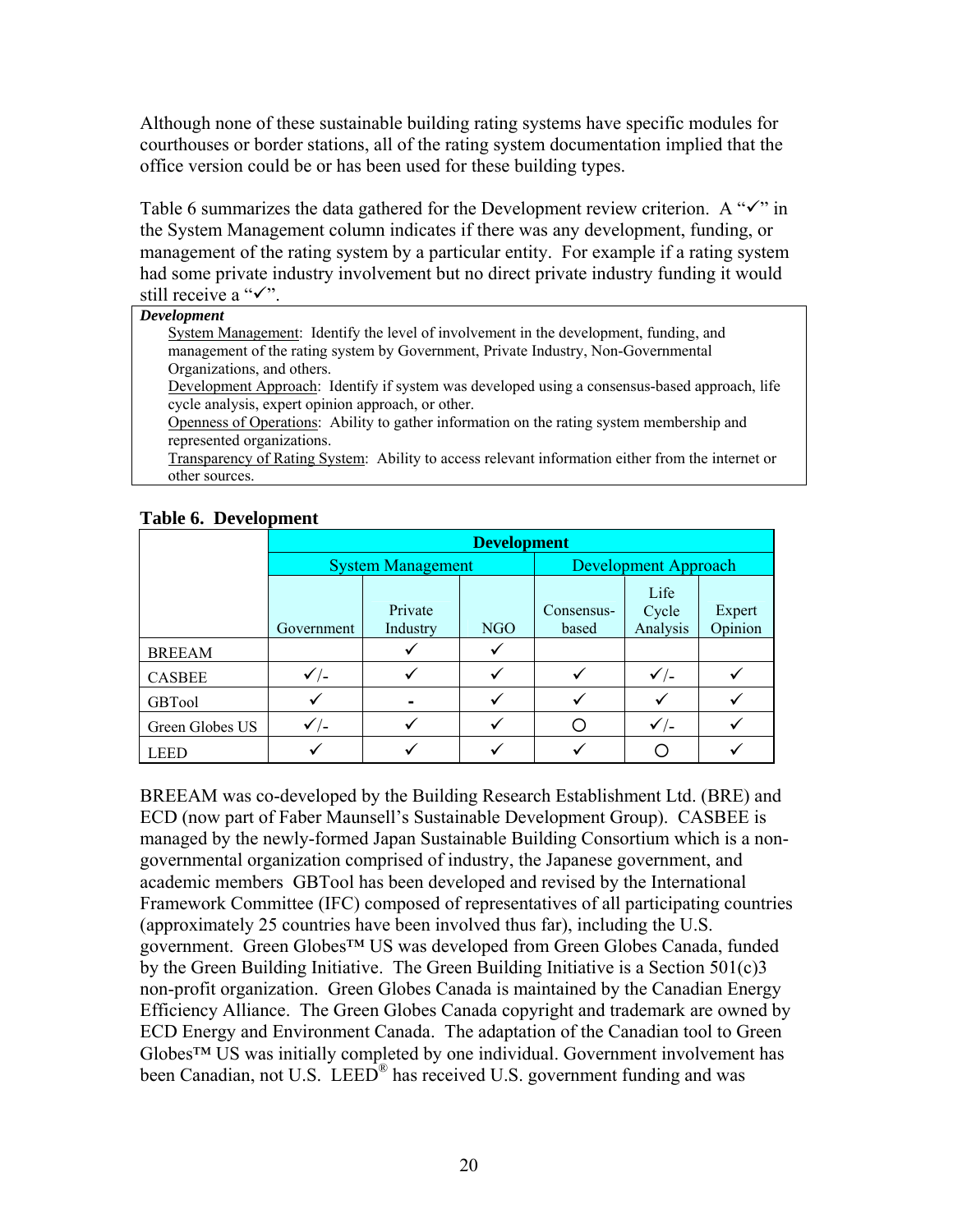Although none of these sustainable building rating systems have specific modules for courthouses or border stations, all of the rating system documentation implied that the office version could be or has been used for these building types.

Table 6 summarizes the data gathered for the Development review criterion. A " $\checkmark$ " in the System Management column indicates if there was any development, funding, or management of the rating system by a particular entity. For example if a rating system had some private industry involvement but no direct private industry funding it would still receive a " $\checkmark$ ".

#### *Development*

System Management: Identify the level of involvement in the development, funding, and management of the rating system by Government, Private Industry, Non-Governmental Organizations, and others.

Development Approach: Identify if system was developed using a consensus-based approach, life cycle analysis, expert opinion approach, or other.

Openness of Operations: Ability to gather information on the rating system membership and represented organizations.

Transparency of Rating System: Ability to access relevant information either from the internet or other sources.

|                 |                 | <b>Development</b>       |     |                     |                             |                   |  |
|-----------------|-----------------|--------------------------|-----|---------------------|-----------------------------|-------------------|--|
|                 |                 | <b>System Management</b> |     |                     | <b>Development Approach</b> |                   |  |
|                 | Government      | Private<br>Industry      | NGO | Consensus-<br>based | Life<br>Cycle<br>Analysis   | Expert<br>Opinion |  |
| <b>BREEAM</b>   |                 |                          |     |                     |                             |                   |  |
| <b>CASBEE</b>   | $\checkmark$ /- |                          |     |                     | $\checkmark$ /-             |                   |  |
| <b>GBTool</b>   |                 |                          |     |                     |                             |                   |  |
| Green Globes US | $\checkmark$ /- |                          |     |                     | $\checkmark$ /-             |                   |  |
| LEED            |                 |                          |     |                     |                             |                   |  |

#### **Table 6. Development**

BREEAM was co-developed by the Building Research Establishment Ltd. (BRE) and ECD (now part of Faber Maunsell's Sustainable Development Group). CASBEE is managed by the newly-formed Japan Sustainable Building Consortium which is a nongovernmental organization comprised of industry, the Japanese government, and academic members GBTool has been developed and revised by the International Framework Committee (IFC) composed of representatives of all participating countries (approximately 25 countries have been involved thus far), including the U.S. government. Green Globes™ US was developed from Green Globes Canada, funded by the Green Building Initiative. The Green Building Initiative is a Section 501(c)3 non-profit organization. Green Globes Canada is maintained by the Canadian Energy Efficiency Alliance. The Green Globes Canada copyright and trademark are owned by ECD Energy and Environment Canada. The adaptation of the Canadian tool to Green Globes™ US was initially completed by one individual. Government involvement has been Canadian, not U.S. LEED<sup>®</sup> has received U.S. government funding and was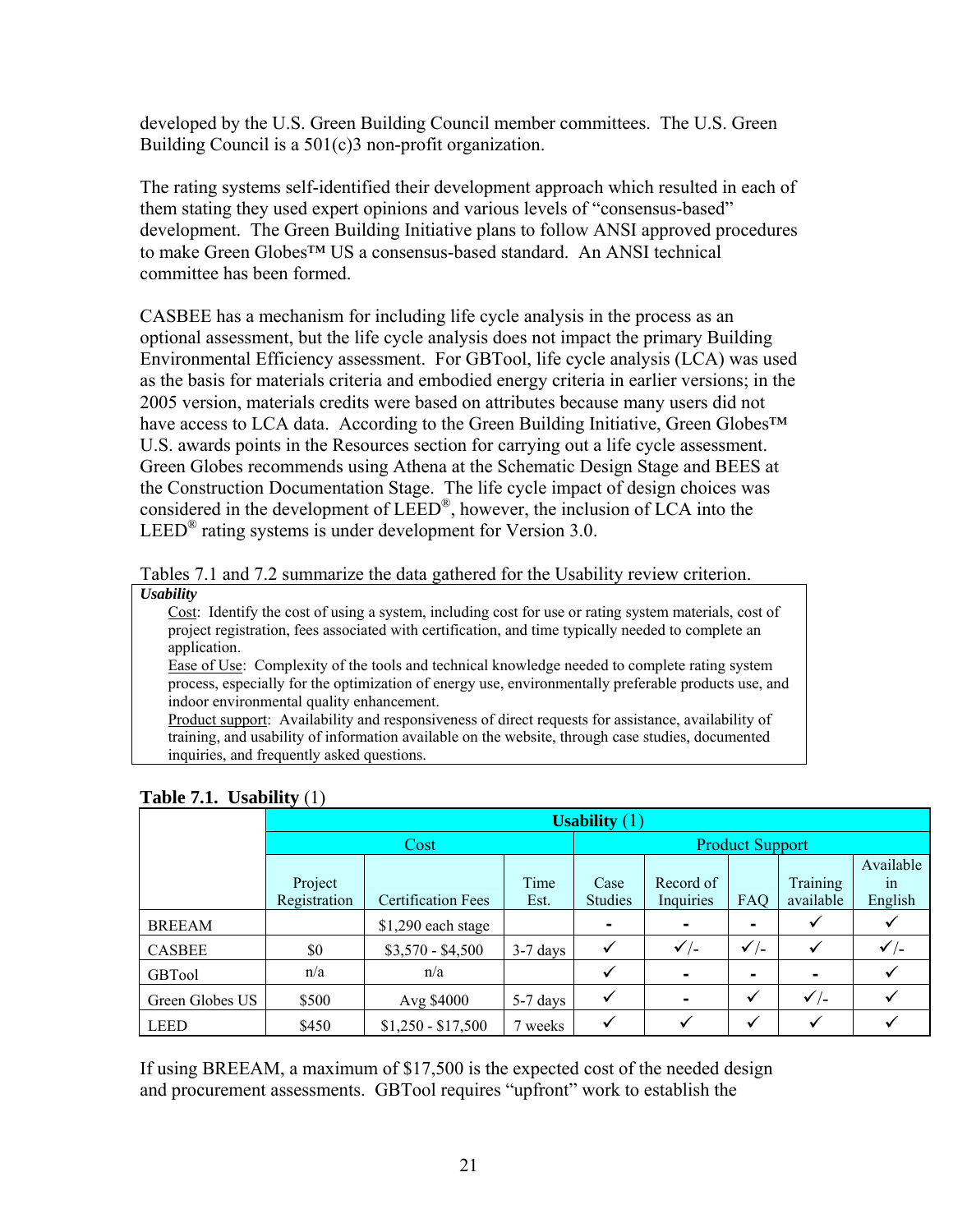developed by the U.S. Green Building Council member committees. The U.S. Green Building Council is a 501(c)3 non-profit organization.

The rating systems self-identified their development approach which resulted in each of them stating they used expert opinions and various levels of "consensus-based" development. The Green Building Initiative plans to follow ANSI approved procedures to make Green Globes™ US a consensus-based standard. An ANSI technical committee has been formed.

CASBEE has a mechanism for including life cycle analysis in the process as an optional assessment, but the life cycle analysis does not impact the primary Building Environmental Efficiency assessment. For GBTool, life cycle analysis (LCA) was used as the basis for materials criteria and embodied energy criteria in earlier versions; in the 2005 version, materials credits were based on attributes because many users did not have access to LCA data. According to the Green Building Initiative, Green Globes™ U.S. awards points in the Resources section for carrying out a life cycle assessment. Green Globes recommends using Athena at the Schematic Design Stage and BEES at the Construction Documentation Stage. The life cycle impact of design choices was considered in the development of LEED®, however, the inclusion of LCA into the LEED<sup>®</sup> rating systems is under development for Version 3.0.

Tables 7.1 and 7.2 summarize the data gathered for the Usability review criterion. *Usability* 

Cost: Identify the cost of using a system, including cost for use or rating system materials, cost of project registration, fees associated with certification, and time typically needed to complete an application.

Ease of Use: Complexity of the tools and technical knowledge needed to complete rating system process, especially for the optimization of energy use, environmentally preferable products use, and indoor environmental quality enhancement.

Product support: Availability and responsiveness of direct requests for assistance, availability of training, and usability of information available on the website, through case studies, documented inquiries, and frequently asked questions.

|                 | Usability $(1)$ |                           |            |                |                 |                        |                 |                 |  |
|-----------------|-----------------|---------------------------|------------|----------------|-----------------|------------------------|-----------------|-----------------|--|
|                 |                 | Cost                      |            |                |                 | <b>Product Support</b> |                 |                 |  |
|                 |                 |                           |            |                |                 |                        |                 | Available       |  |
|                 | Project         |                           | Time       | Case           | Record of       |                        | Training        | 1n              |  |
|                 | Registration    | <b>Certification Fees</b> | Est.       | <b>Studies</b> | Inquiries       | FAQ                    | available       | English         |  |
| <b>BREEAM</b>   |                 | $$1,290$ each stage       |            | ۰              | $\blacksquare$  |                        |                 |                 |  |
| <b>CASBEE</b>   | \$0             | $$3,570 - $4,500$         | $3-7$ days |                | $\checkmark$ /- | $\checkmark$ /-        |                 | $\checkmark$ /- |  |
| <b>GBTool</b>   | n/a             | n/a                       |            |                | $\blacksquare$  |                        |                 |                 |  |
| Green Globes US | \$500           | Avg \$4000                | 5-7 days   |                | $\blacksquare$  | $\checkmark$           | $\checkmark$ /- |                 |  |
| <b>LEED</b>     | \$450           | $$1,250 - $17,500$        | 7 weeks    |                |                 | ✓                      | ✓               |                 |  |

**Table 7.1. Usability** (1)

If using BREEAM, a maximum of \$17,500 is the expected cost of the needed design and procurement assessments. GBTool requires "upfront" work to establish the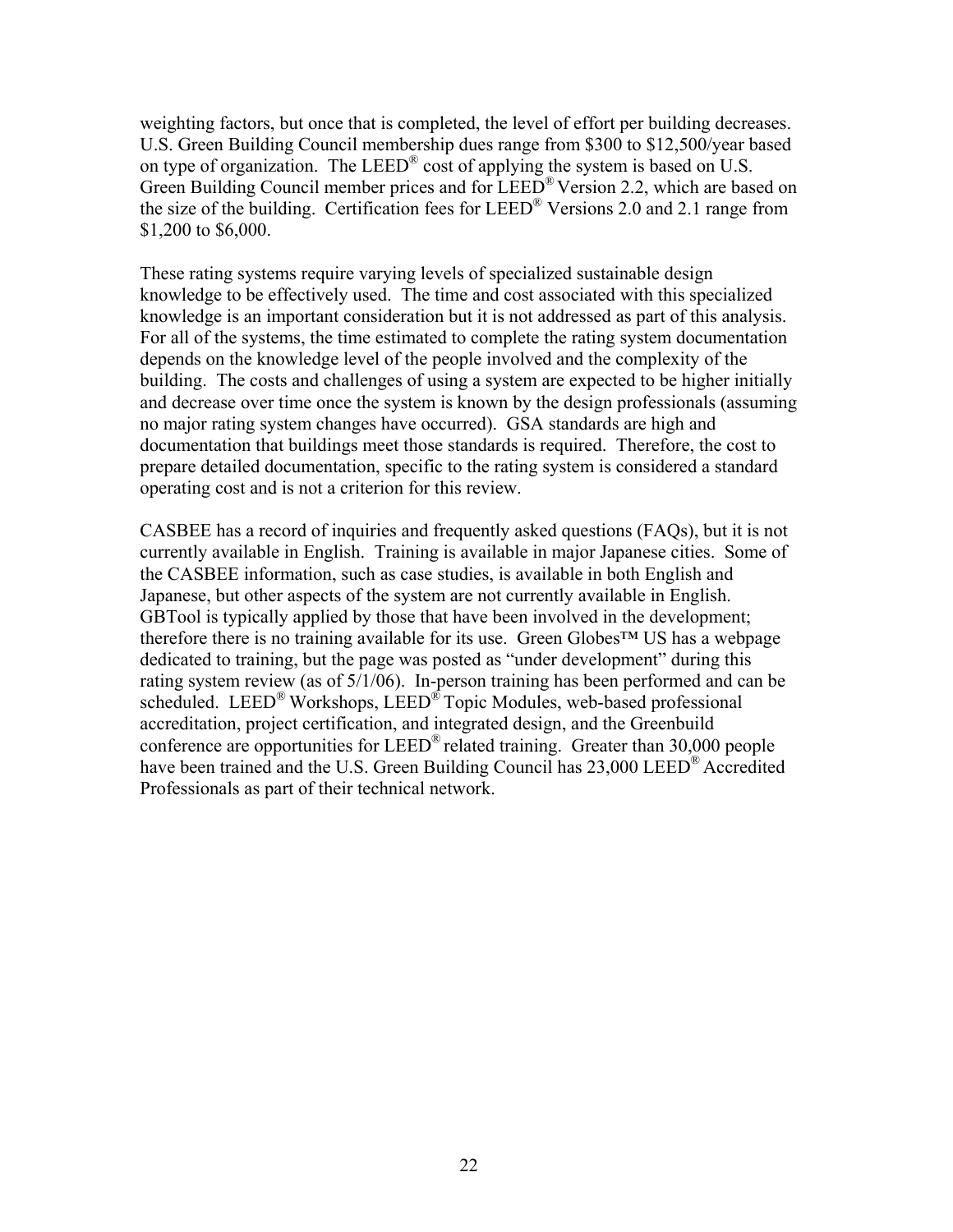weighting factors, but once that is completed, the level of effort per building decreases. U.S. Green Building Council membership dues range from \$300 to \$12,500/year based on type of organization. The LEED® cost of applying the system is based on U.S. Green Building Council member prices and for LEED® Version 2.2, which are based on the size of the building. Certification fees for  $LEED^{\otimes}$  Versions 2.0 and 2.1 range from \$1,200 to \$6,000.

These rating systems require varying levels of specialized sustainable design knowledge to be effectively used. The time and cost associated with this specialized knowledge is an important consideration but it is not addressed as part of this analysis. For all of the systems, the time estimated to complete the rating system documentation depends on the knowledge level of the people involved and the complexity of the building. The costs and challenges of using a system are expected to be higher initially and decrease over time once the system is known by the design professionals (assuming no major rating system changes have occurred). GSA standards are high and documentation that buildings meet those standards is required. Therefore, the cost to prepare detailed documentation, specific to the rating system is considered a standard operating cost and is not a criterion for this review.

CASBEE has a record of inquiries and frequently asked questions (FAQs), but it is not currently available in English. Training is available in major Japanese cities. Some of the CASBEE information, such as case studies, is available in both English and Japanese, but other aspects of the system are not currently available in English. GBTool is typically applied by those that have been involved in the development; therefore there is no training available for its use. Green Globes™ US has a webpage dedicated to training, but the page was posted as "under development" during this rating system review (as of 5/1/06). In-person training has been performed and can be scheduled. LEED® Workshops, LEED® Topic Modules, web-based professional accreditation, project certification, and integrated design, and the Greenbuild conference are opportunities for LEED® related training. Greater than 30,000 people have been trained and the U.S. Green Building Council has 23,000 LEED® Accredited Professionals as part of their technical network.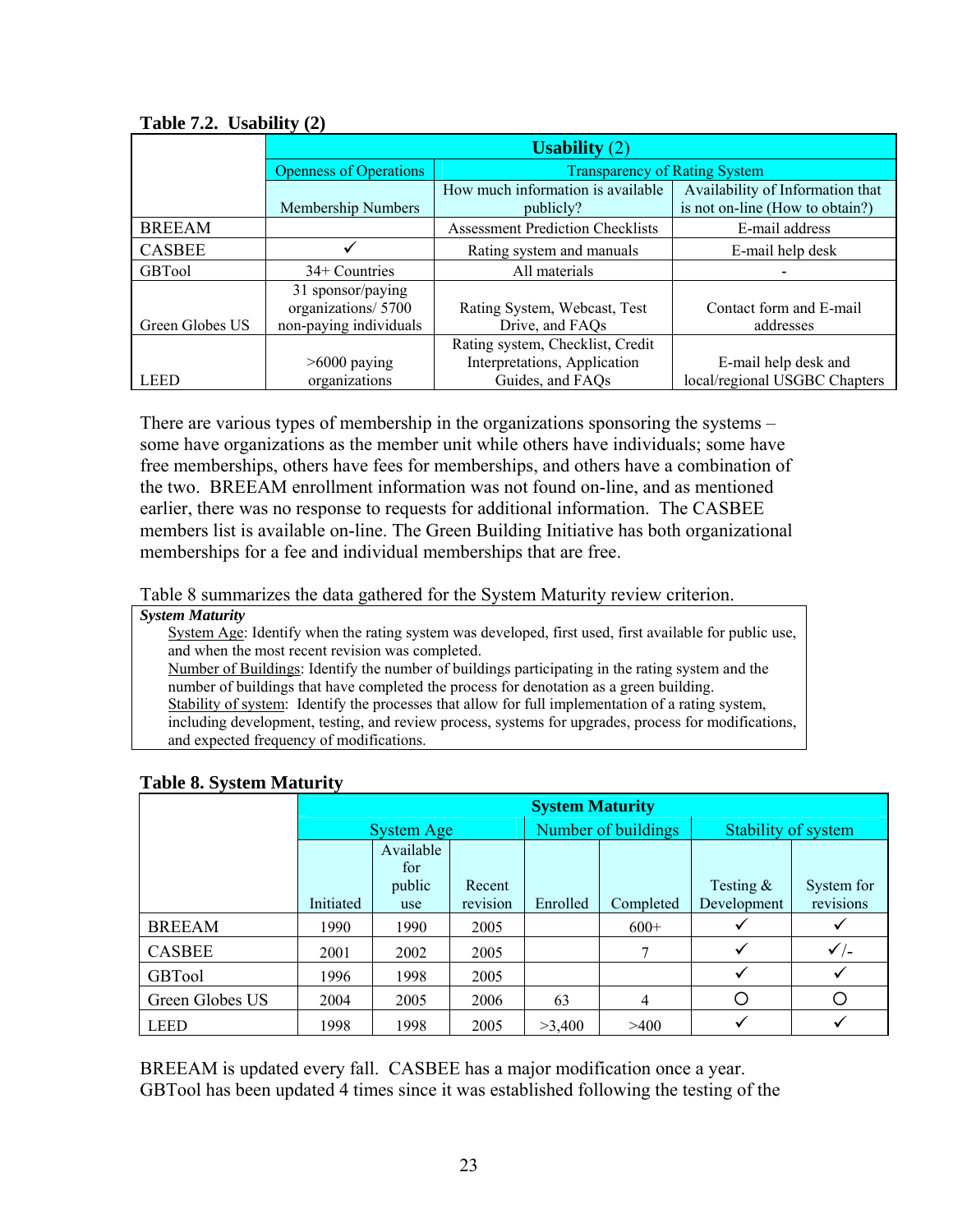|                 | Usability $(2)$               |                                         |                                  |  |  |  |
|-----------------|-------------------------------|-----------------------------------------|----------------------------------|--|--|--|
|                 | <b>Openness of Operations</b> | <b>Transparency of Rating System</b>    |                                  |  |  |  |
|                 |                               | How much information is available       | Availability of Information that |  |  |  |
|                 | Membership Numbers            | publicly?                               | is not on-line (How to obtain?)  |  |  |  |
| <b>BREEAM</b>   |                               | <b>Assessment Prediction Checklists</b> | E-mail address                   |  |  |  |
| <b>CASBEE</b>   |                               | Rating system and manuals               | E-mail help desk                 |  |  |  |
| <b>GBTool</b>   | 34+ Countries                 | All materials                           |                                  |  |  |  |
|                 | 31 sponsor/paying             |                                         |                                  |  |  |  |
|                 | organizations/5700            | Rating System, Webcast, Test            | Contact form and E-mail          |  |  |  |
| Green Globes US | non-paying individuals        | Drive, and FAQs                         | addresses                        |  |  |  |
|                 |                               | Rating system, Checklist, Credit        |                                  |  |  |  |
|                 | $>6000$ paying                | Interpretations, Application            | E-mail help desk and             |  |  |  |
| <b>LEED</b>     | organizations                 | Guides, and FAQs                        | local/regional USGBC Chapters    |  |  |  |

**Table 7.2. Usability (2)** 

There are various types of membership in the organizations sponsoring the systems – some have organizations as the member unit while others have individuals; some have free memberships, others have fees for memberships, and others have a combination of the two. BREEAM enrollment information was not found on-line, and as mentioned earlier, there was no response to requests for additional information. The CASBEE members list is available on-line. The Green Building Initiative has both organizational memberships for a fee and individual memberships that are free.

Table 8 summarizes the data gathered for the System Maturity review criterion.

#### *System Maturity*

System Age: Identify when the rating system was developed, first used, first available for public use, and when the most recent revision was completed.

Number of Buildings: Identify the number of buildings participating in the rating system and the number of buildings that have completed the process for denotation as a green building. Stability of system: Identify the processes that allow for full implementation of a rating system, including development, testing, and review process, systems for upgrades, process for modifications, and expected frequency of modifications.

|                 |                  | <b>System Maturity</b> |          |          |                     |              |                     |  |
|-----------------|------------------|------------------------|----------|----------|---------------------|--------------|---------------------|--|
|                 |                  | <b>System Age</b>      |          |          | Number of buildings |              | Stability of system |  |
|                 | Available<br>for |                        |          |          |                     |              |                     |  |
|                 |                  | public                 | Recent   |          |                     | Testing $\&$ | System for          |  |
|                 | Initiated        | use                    | revision | Enrolled | Completed           | Development  | revisions           |  |
| <b>BREEAM</b>   | 1990             | 1990                   | 2005     |          | $600+$              |              |                     |  |
| <b>CASBEE</b>   | 2001             | 2002                   | 2005     |          | 7                   | ✓            | $\checkmark$ /-     |  |
| <b>GBTool</b>   | 1996             | 1998                   | 2005     |          |                     |              |                     |  |
| Green Globes US | 2004             | 2005                   | 2006     | 63       | 4                   | О            |                     |  |
| <b>LEED</b>     | 1998             | 1998                   | 2005     | >3,400   | >400                |              |                     |  |

### **Table 8. System Maturity**

BREEAM is updated every fall. CASBEE has a major modification once a year. GBTool has been updated 4 times since it was established following the testing of the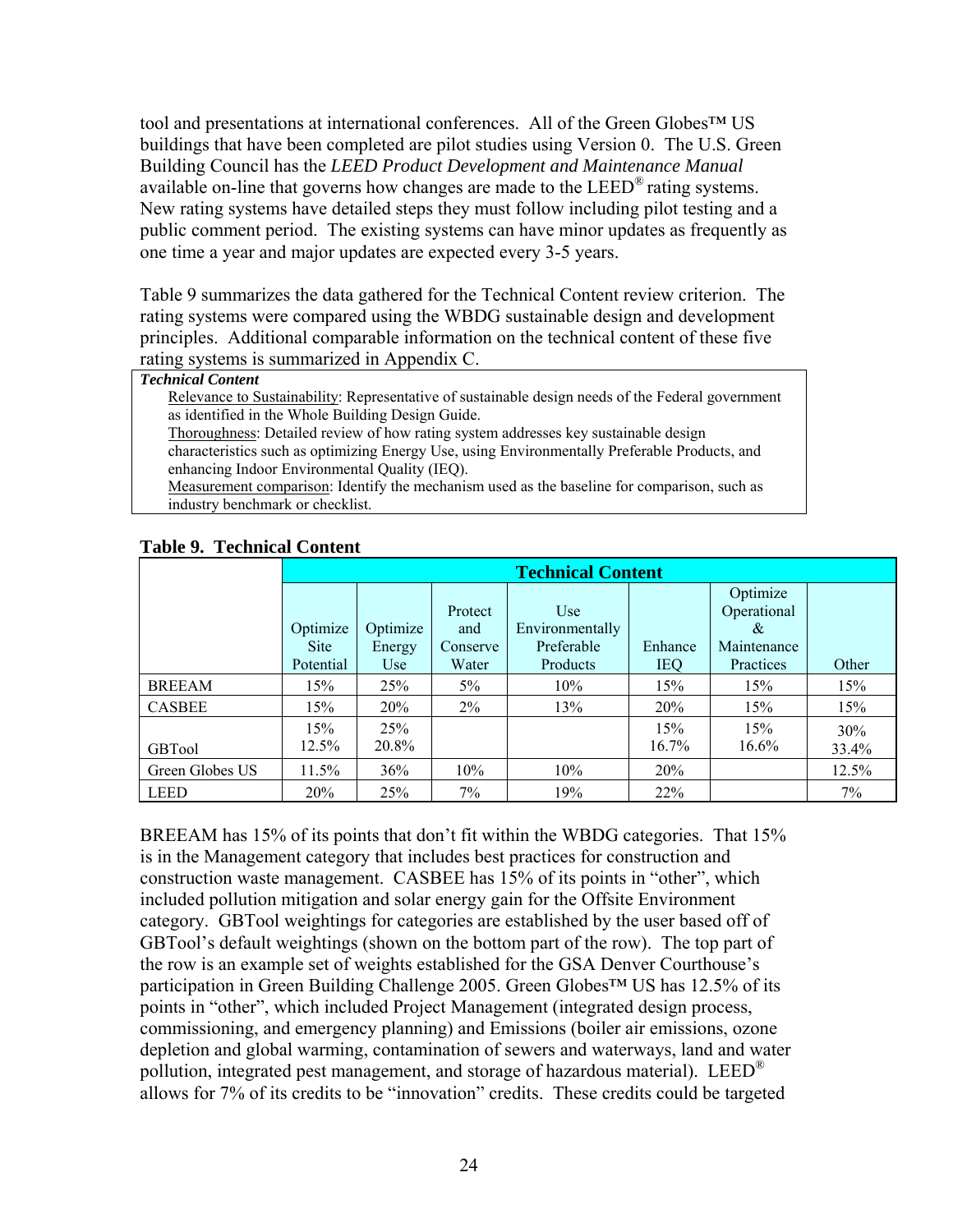tool and presentations at international conferences. All of the Green Globes™ US buildings that have been completed are pilot studies using Version 0. The U.S. Green Building Council has the *LEED Product Development and Maintenance Manual* available on-line that governs how changes are made to the  $LEED^{\omega}$  rating systems. New rating systems have detailed steps they must follow including pilot testing and a public comment period. The existing systems can have minor updates as frequently as one time a year and major updates are expected every 3-5 years.

Table 9 summarizes the data gathered for the Technical Content review criterion. The rating systems were compared using the WBDG sustainable design and development principles. Additional comparable information on the technical content of these five rating systems is summarized in Appendix C.

#### *Technical Content*

Relevance to Sustainability: Representative of sustainable design needs of the Federal government as identified in the Whole Building Design Guide.

Thoroughness: Detailed review of how rating system addresses key sustainable design characteristics such as optimizing Energy Use, using Environmentally Preferable Products, and enhancing Indoor Environmental Quality (IEQ).

Measurement comparison: Identify the mechanism used as the baseline for comparison, such as industry benchmark or checklist.

|                 | <b>Technical Content</b> |                    |                            |                                      |              |                                             |              |
|-----------------|--------------------------|--------------------|----------------------------|--------------------------------------|--------------|---------------------------------------------|--------------|
|                 | Optimize<br><b>Site</b>  | Optimize<br>Energy | Protect<br>and<br>Conserve | Use<br>Environmentally<br>Preferable | Enhance      | Optimize<br>Operational<br>&<br>Maintenance |              |
|                 | Potential                | Use                | Water                      | Products                             | <b>IEO</b>   | Practices                                   | Other        |
| <b>BREEAM</b>   | 15%                      | 25 <sup>%</sup>    | $5\%$                      | 10%                                  | 15%          | 15%                                         | 15%          |
| <b>CASBEE</b>   | 15%                      | 20%                | $2\%$                      | 13%                                  | 20%          | 15%                                         | 15%          |
| <b>GBTool</b>   | 15%<br>12.5%             | 25%<br>20.8%       |                            |                                      | 15%<br>16.7% | 15%<br>$16.6\%$                             | 30%<br>33.4% |
| Green Globes US | 11.5%                    | 36%                | 10%                        | 10%                                  | 20%          |                                             | 12.5%        |
| <b>LEED</b>     | 20%                      | 25%                | $7\%$                      | 19%                                  | 22%          |                                             | 7%           |

### **Table 9. Technical Content**

BREEAM has 15% of its points that don't fit within the WBDG categories. That 15% is in the Management category that includes best practices for construction and construction waste management. CASBEE has 15% of its points in "other", which included pollution mitigation and solar energy gain for the Offsite Environment category. GBTool weightings for categories are established by the user based off of GBTool's default weightings (shown on the bottom part of the row). The top part of the row is an example set of weights established for the GSA Denver Courthouse's participation in Green Building Challenge 2005. Green Globes™ US has 12.5% of its points in "other", which included Project Management (integrated design process, commissioning, and emergency planning) and Emissions (boiler air emissions, ozone depletion and global warming, contamination of sewers and waterways, land and water pollution, integrated pest management, and storage of hazardous material). LEED<sup>®</sup> allows for 7% of its credits to be "innovation" credits. These credits could be targeted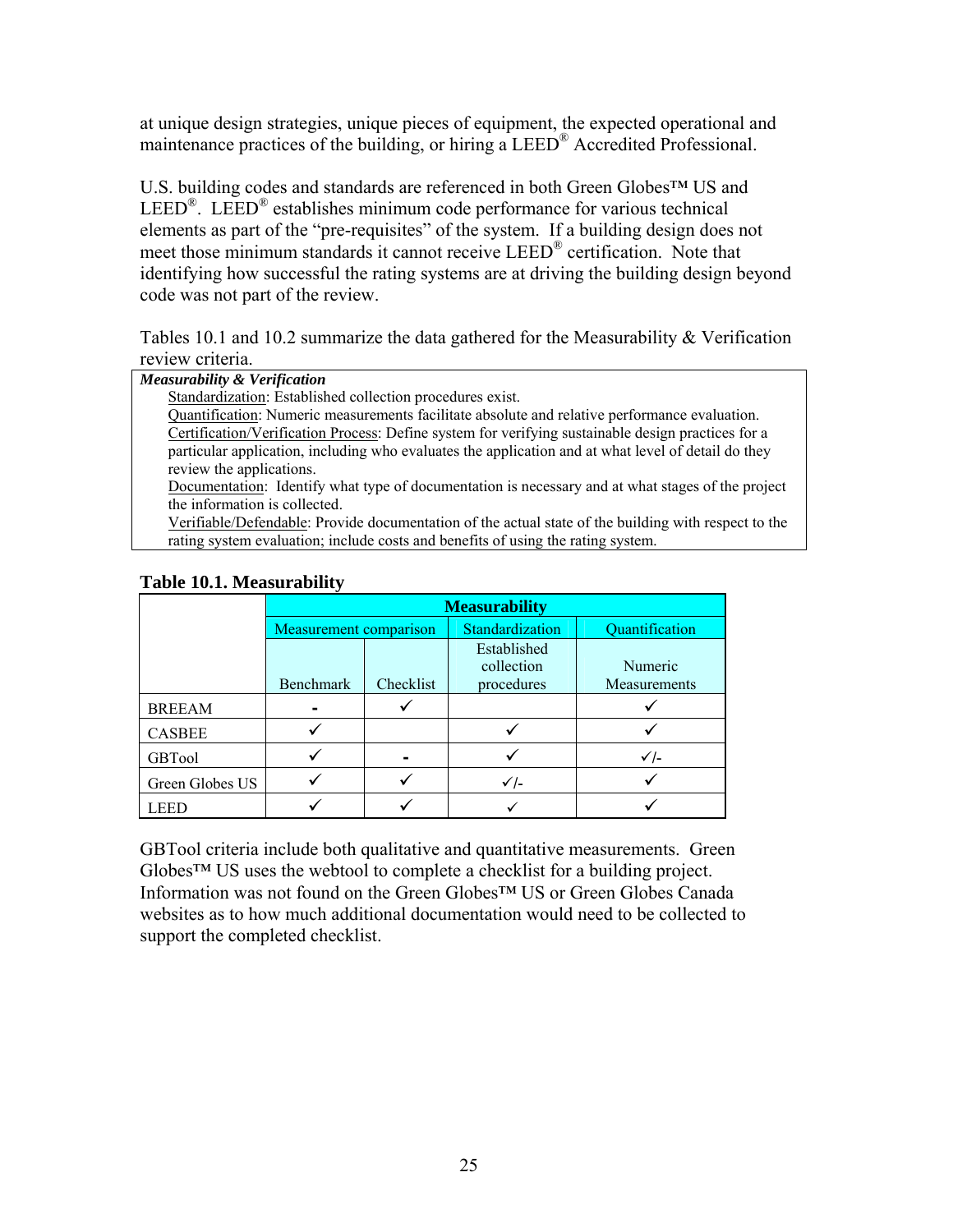at unique design strategies, unique pieces of equipment, the expected operational and maintenance practices of the building, or hiring a LEED<sup>®</sup> Accredited Professional.

U.S. building codes and standards are referenced in both Green Globes™ US and LEED<sup>®</sup>. LEED<sup>®</sup> establishes minimum code performance for various technical elements as part of the "pre-requisites" of the system. If a building design does not meet those minimum standards it cannot receive LEED<sup>®</sup> certification. Note that identifying how successful the rating systems are at driving the building design beyond code was not part of the review.

Tables 10.1 and 10.2 summarize the data gathered for the Measurability & Verification review criteria.

| Measurability & Verification |  |  |  |
|------------------------------|--|--|--|
|------------------------------|--|--|--|

Standardization: Established collection procedures exist.

Quantification: Numeric measurements facilitate absolute and relative performance evaluation. Certification/Verification Process: Define system for verifying sustainable design practices for a particular application, including who evaluates the application and at what level of detail do they review the applications.

Documentation: Identify what type of documentation is necessary and at what stages of the project the information is collected.

Verifiable/Defendable: Provide documentation of the actual state of the building with respect to the rating system evaluation; include costs and benefits of using the rating system.

|                 | <b>Measurability</b>   |           |                                         |                         |  |  |  |
|-----------------|------------------------|-----------|-----------------------------------------|-------------------------|--|--|--|
|                 | Measurement comparison |           | Standardization                         | Quantification          |  |  |  |
|                 | <b>Benchmark</b>       | Checklist | Established<br>collection<br>procedures | Numeric<br>Measurements |  |  |  |
| <b>BREEAM</b>   |                        |           |                                         |                         |  |  |  |
| <b>CASBEE</b>   |                        |           |                                         |                         |  |  |  |
| GBTool          |                        |           |                                         | $\checkmark$ -          |  |  |  |
| Green Globes US |                        |           | ✓ /-                                    |                         |  |  |  |
| LEED            |                        |           |                                         |                         |  |  |  |

#### **Table 10.1. Measurability**

GBTool criteria include both qualitative and quantitative measurements. Green Globes™ US uses the webtool to complete a checklist for a building project. Information was not found on the Green Globes™ US or Green Globes Canada websites as to how much additional documentation would need to be collected to support the completed checklist.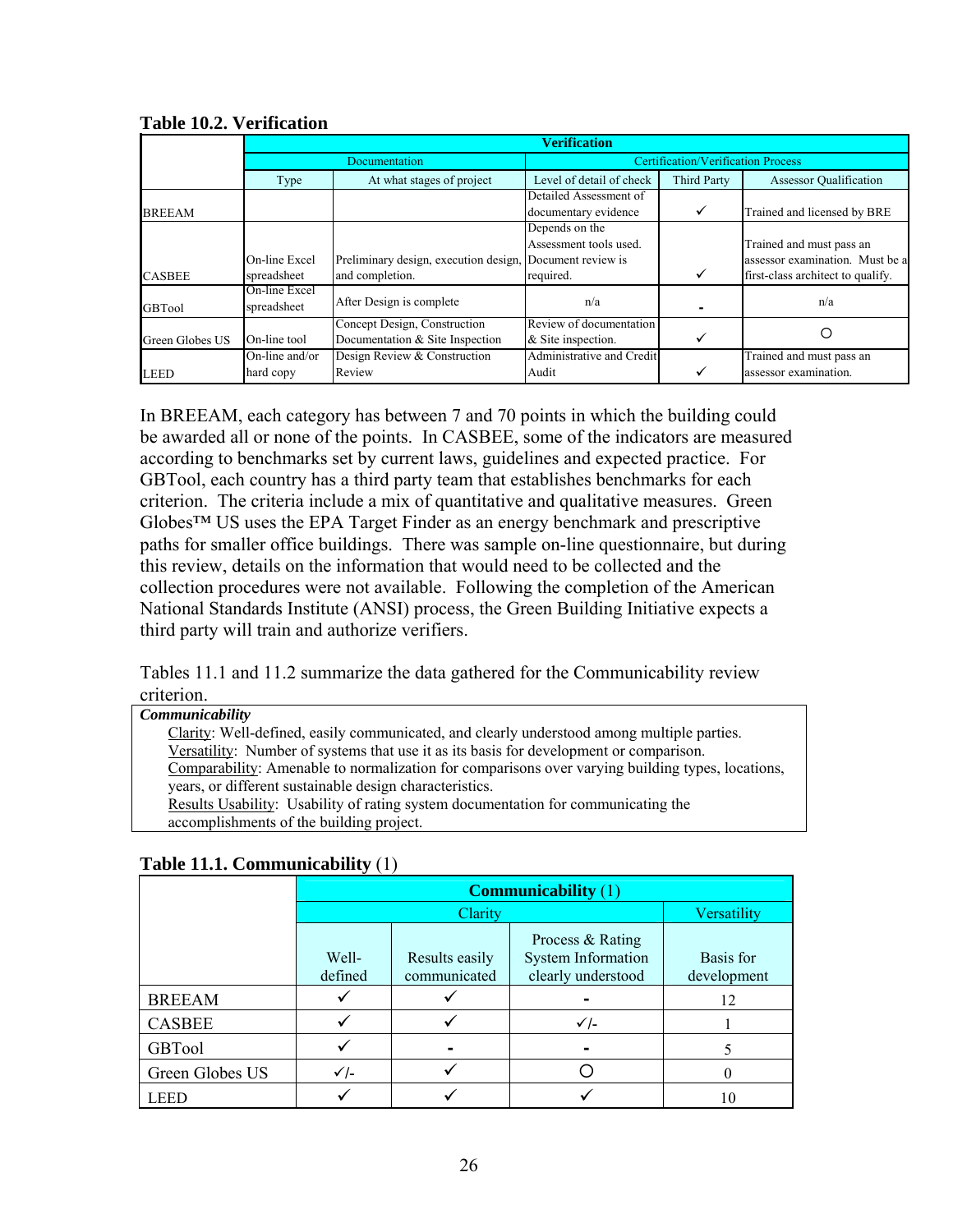|                 |                              | <b>Verification</b>                                                         |                                                       |                                           |                                                                                                  |  |  |  |  |
|-----------------|------------------------------|-----------------------------------------------------------------------------|-------------------------------------------------------|-------------------------------------------|--------------------------------------------------------------------------------------------------|--|--|--|--|
|                 |                              | Documentation                                                               |                                                       | <b>Certification/Verification Process</b> |                                                                                                  |  |  |  |  |
|                 | Type                         | At what stages of project                                                   | Level of detail of check                              | <b>Third Party</b>                        | <b>Assessor Qualification</b>                                                                    |  |  |  |  |
| <b>BREEAM</b>   |                              |                                                                             | Detailed Assessment of<br>documentary evidence        | ✓                                         | Trained and licensed by BRE                                                                      |  |  |  |  |
| <b>CASBEE</b>   | On-line Excel<br>spreadsheet | Preliminary design, execution design, Document review is<br>and completion. | Depends on the<br>Assessment tools used.<br>required. | ✓                                         | Trained and must pass an<br>assessor examination. Must be a<br>first-class architect to qualify. |  |  |  |  |
| <b>GBTool</b>   | On-line Excel<br>spreadsheet | After Design is complete                                                    | n/a                                                   |                                           | n/a                                                                                              |  |  |  |  |
| Green Globes US | On-line tool                 | Concept Design, Construction<br>Documentation & Site Inspection             | Review of documentation<br>& Site inspection.         |                                           |                                                                                                  |  |  |  |  |
| <b>LEED</b>     | On-line and/or<br>hard copy  | Design Review & Construction<br>Review                                      | Administrative and Credit<br>Audit                    |                                           | Trained and must pass an<br>assessor examination.                                                |  |  |  |  |

**Table 10.2. Verification** 

In BREEAM, each category has between 7 and 70 points in which the building could be awarded all or none of the points. In CASBEE, some of the indicators are measured according to benchmarks set by current laws, guidelines and expected practice. For GBTool, each country has a third party team that establishes benchmarks for each criterion. The criteria include a mix of quantitative and qualitative measures. Green Globes™ US uses the EPA Target Finder as an energy benchmark and prescriptive paths for smaller office buildings. There was sample on-line questionnaire, but during this review, details on the information that would need to be collected and the collection procedures were not available. Following the completion of the American National Standards Institute (ANSI) process, the Green Building Initiative expects a third party will train and authorize verifiers.

Tables 11.1 and 11.2 summarize the data gathered for the Communicability review criterion.

| <u>viitviitui.</u>                                                                               |  |
|--------------------------------------------------------------------------------------------------|--|
| <i>Communicability</i>                                                                           |  |
| Clarity: Well-defined, easily communicated, and clearly understood among multiple parties.       |  |
| Versatility: Number of systems that use it as its basis for development or comparison.           |  |
| Comparability: Amenable to normalization for comparisons over varying building types, locations, |  |
| years, or different sustainable design characteristics.                                          |  |
| Results Usability: Usability of rating system documentation for communicating the                |  |
| accomplishments of the building project.                                                         |  |

|                 | <b>Communicability</b> (1) |                                |                                                                     |                          |  |  |
|-----------------|----------------------------|--------------------------------|---------------------------------------------------------------------|--------------------------|--|--|
|                 |                            | <b>Clarity</b>                 |                                                                     | Versatility              |  |  |
|                 | Well-<br>defined           | Results easily<br>communicated | Process & Rating<br><b>System Information</b><br>clearly understood | Basis for<br>development |  |  |
| <b>BREEAM</b>   |                            |                                |                                                                     | 12                       |  |  |
| <b>CASBEE</b>   |                            |                                | $\checkmark$ /-                                                     |                          |  |  |
| <b>GBTool</b>   |                            |                                |                                                                     |                          |  |  |
| Green Globes US | $\checkmark$ -             |                                |                                                                     |                          |  |  |
| <b>LEED</b>     |                            |                                |                                                                     |                          |  |  |

**Table 11.1. Communicability** (1)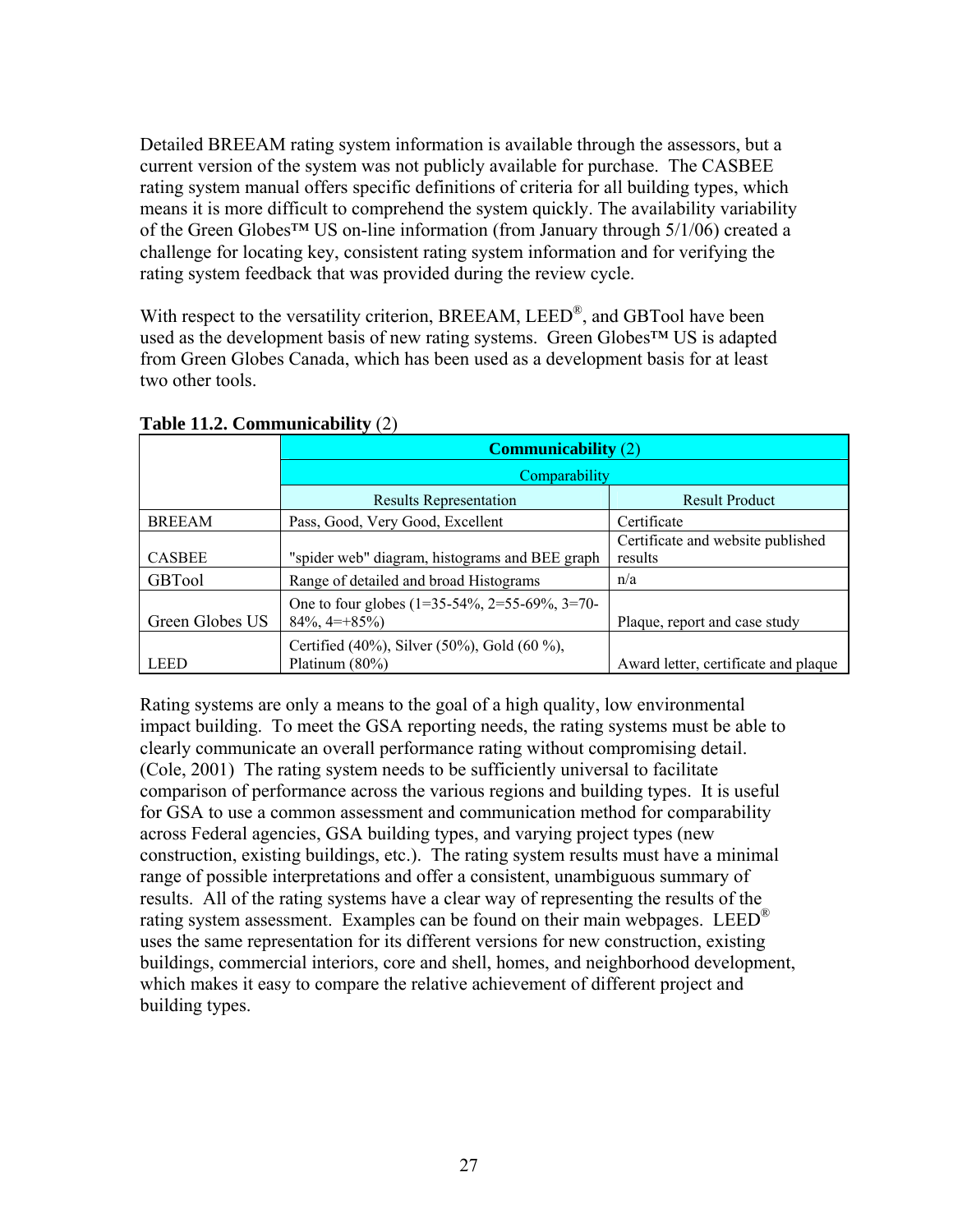Detailed BREEAM rating system information is available through the assessors, but a current version of the system was not publicly available for purchase. The CASBEE rating system manual offers specific definitions of criteria for all building types, which means it is more difficult to comprehend the system quickly. The availability variability of the Green Globes™ US on-line information (from January through 5/1/06) created a challenge for locating key, consistent rating system information and for verifying the rating system feedback that was provided during the review cycle.

With respect to the versatility criterion, BREEAM, LEED<sup>®</sup>, and GBTool have been used as the development basis of new rating systems. Green Globes™ US is adapted from Green Globes Canada, which has been used as a development basis for at least two other tools.

|                 | <b>Communicability</b> (2)                                                  |                                      |  |  |  |  |
|-----------------|-----------------------------------------------------------------------------|--------------------------------------|--|--|--|--|
|                 | Comparability                                                               |                                      |  |  |  |  |
|                 | <b>Results Representation</b>                                               | <b>Result Product</b>                |  |  |  |  |
| <b>BREEAM</b>   | Pass, Good, Very Good, Excellent                                            | Certificate                          |  |  |  |  |
|                 |                                                                             | Certificate and website published    |  |  |  |  |
| <b>CASBEE</b>   | "spider web" diagram, histograms and BEE graph                              | results                              |  |  |  |  |
| <b>GBTool</b>   | Range of detailed and broad Histograms                                      | n/a                                  |  |  |  |  |
| Green Globes US | One to four globes $(1=35-54\%, 2=55-69\%, 3=70-$<br>$84\%, 4=+85\%$        | Plaque, report and case study        |  |  |  |  |
| <b>LEED</b>     | Certified $(40\%)$ , Silver $(50\%)$ , Gold $(60\%)$ ,<br>Platinum $(80\%)$ | Award letter, certificate and plaque |  |  |  |  |

**Table 11.2. Communicability** (2)

Rating systems are only a means to the goal of a high quality, low environmental impact building. To meet the GSA reporting needs, the rating systems must be able to clearly communicate an overall performance rating without compromising detail. (Cole, 2001) The rating system needs to be sufficiently universal to facilitate comparison of performance across the various regions and building types. It is useful for GSA to use a common assessment and communication method for comparability across Federal agencies, GSA building types, and varying project types (new construction, existing buildings, etc.). The rating system results must have a minimal range of possible interpretations and offer a consistent, unambiguous summary of results. All of the rating systems have a clear way of representing the results of the rating system assessment. Examples can be found on their main webpages. LEED<sup>®</sup> uses the same representation for its different versions for new construction, existing buildings, commercial interiors, core and shell, homes, and neighborhood development, which makes it easy to compare the relative achievement of different project and building types.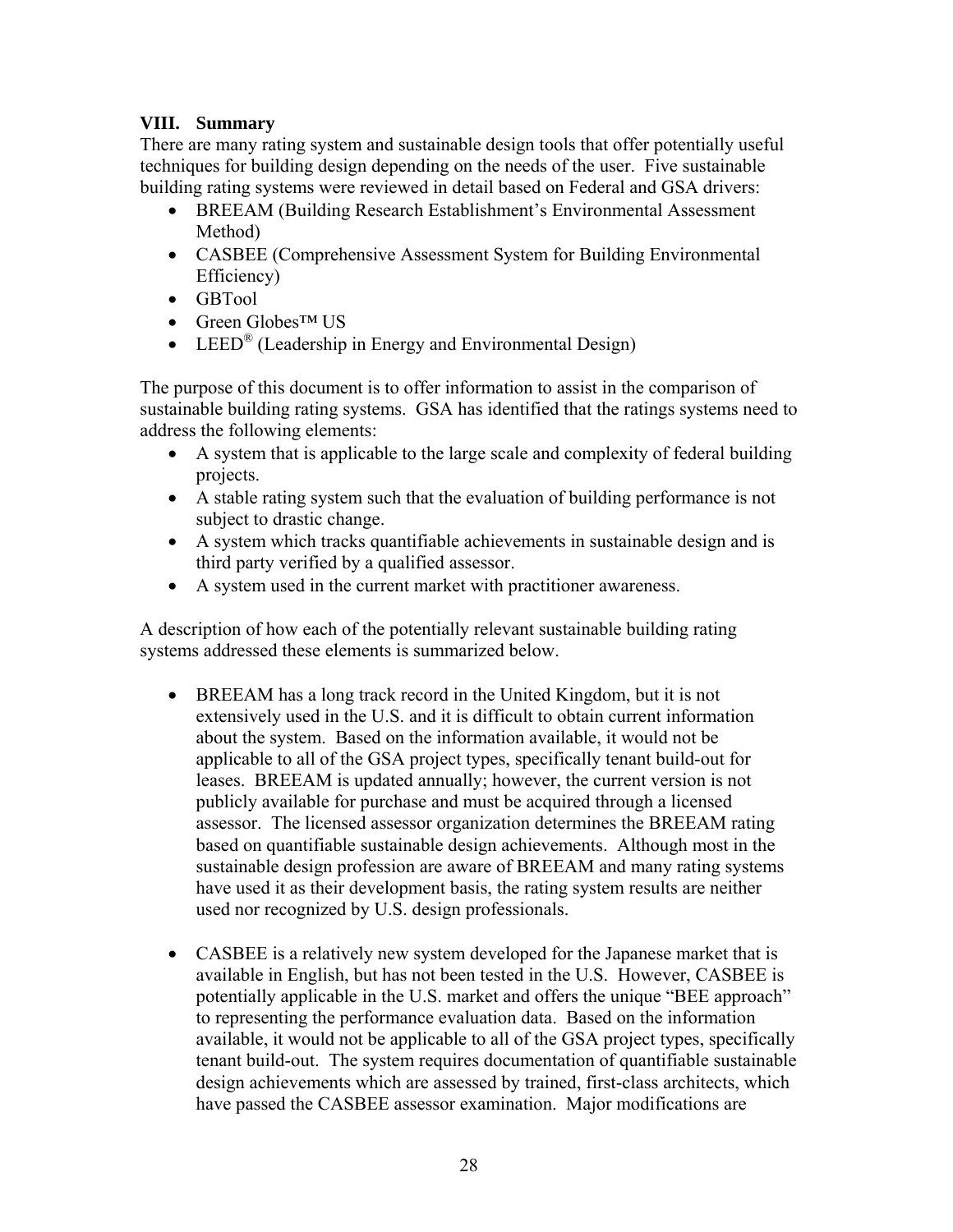## **VIII. Summary**

There are many rating system and sustainable design tools that offer potentially useful techniques for building design depending on the needs of the user. Five sustainable building rating systems were reviewed in detail based on Federal and GSA drivers:

- BREEAM (Building Research Establishment's Environmental Assessment Method)
- CASBEE (Comprehensive Assessment System for Building Environmental Efficiency)
- GBTool
- Green Globes™ US
- LEED<sup>®</sup> (Leadership in Energy and Environmental Design)

The purpose of this document is to offer information to assist in the comparison of sustainable building rating systems. GSA has identified that the ratings systems need to address the following elements:

- A system that is applicable to the large scale and complexity of federal building projects.
- A stable rating system such that the evaluation of building performance is not subject to drastic change.
- A system which tracks quantifiable achievements in sustainable design and is third party verified by a qualified assessor.
- A system used in the current market with practitioner awareness.

A description of how each of the potentially relevant sustainable building rating systems addressed these elements is summarized below.

- BREEAM has a long track record in the United Kingdom, but it is not extensively used in the U.S. and it is difficult to obtain current information about the system. Based on the information available, it would not be applicable to all of the GSA project types, specifically tenant build-out for leases. BREEAM is updated annually; however, the current version is not publicly available for purchase and must be acquired through a licensed assessor. The licensed assessor organization determines the BREEAM rating based on quantifiable sustainable design achievements. Although most in the sustainable design profession are aware of BREEAM and many rating systems have used it as their development basis, the rating system results are neither used nor recognized by U.S. design professionals.
- CASBEE is a relatively new system developed for the Japanese market that is available in English, but has not been tested in the U.S. However, CASBEE is potentially applicable in the U.S. market and offers the unique "BEE approach" to representing the performance evaluation data. Based on the information available, it would not be applicable to all of the GSA project types, specifically tenant build-out. The system requires documentation of quantifiable sustainable design achievements which are assessed by trained, first-class architects, which have passed the CASBEE assessor examination. Major modifications are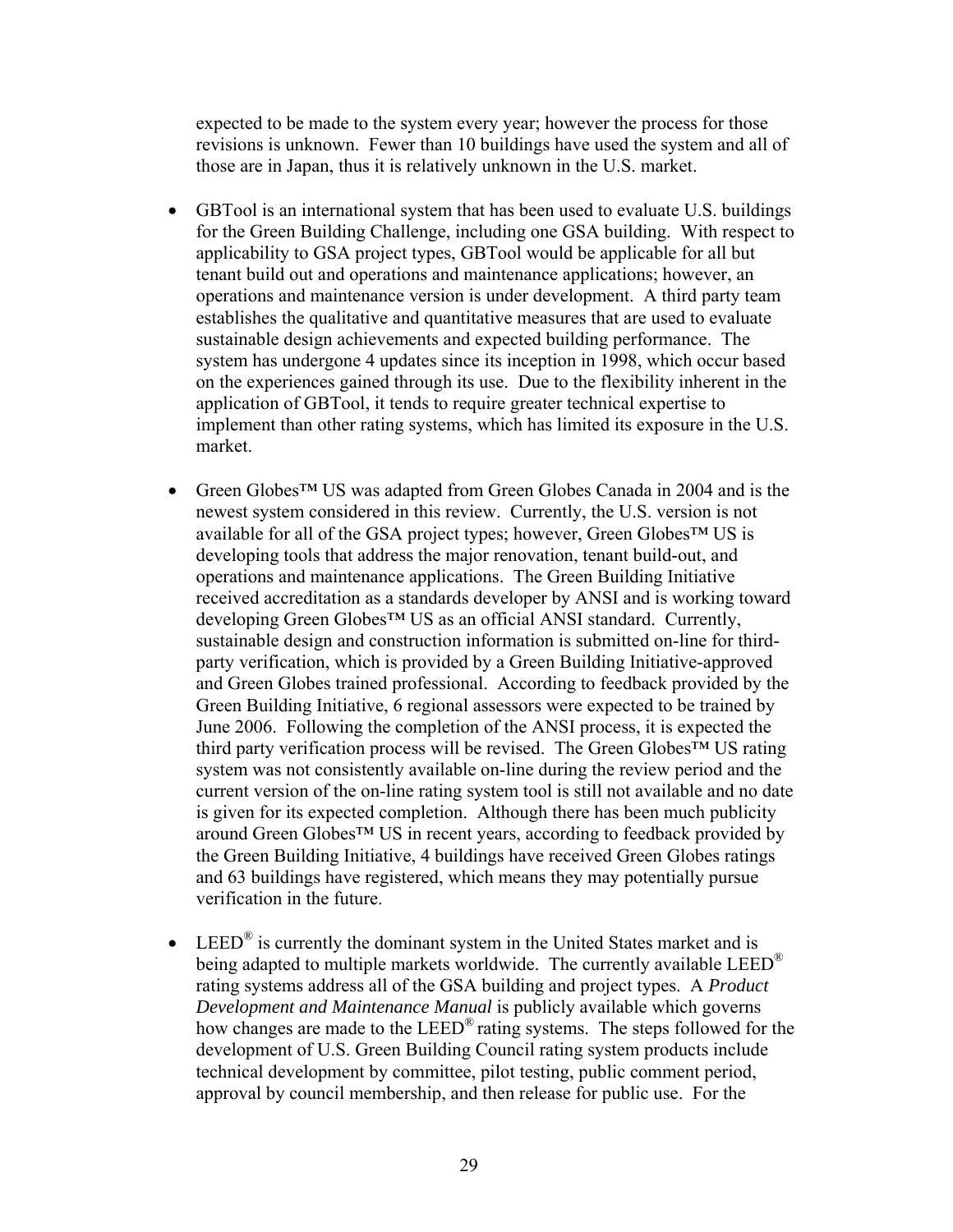expected to be made to the system every year; however the process for those revisions is unknown. Fewer than 10 buildings have used the system and all of those are in Japan, thus it is relatively unknown in the U.S. market.

- GBTool is an international system that has been used to evaluate U.S. buildings for the Green Building Challenge, including one GSA building. With respect to applicability to GSA project types, GBTool would be applicable for all but tenant build out and operations and maintenance applications; however, an operations and maintenance version is under development. A third party team establishes the qualitative and quantitative measures that are used to evaluate sustainable design achievements and expected building performance. The system has undergone 4 updates since its inception in 1998, which occur based on the experiences gained through its use. Due to the flexibility inherent in the application of GBTool, it tends to require greater technical expertise to implement than other rating systems, which has limited its exposure in the U.S. market.
- Green Globes™ US was adapted from Green Globes Canada in 2004 and is the newest system considered in this review. Currently, the U.S. version is not available for all of the GSA project types; however, Green Globes™ US is developing tools that address the major renovation, tenant build-out, and operations and maintenance applications. The Green Building Initiative received accreditation as a standards developer by ANSI and is working toward developing Green Globes™ US as an official ANSI standard. Currently, sustainable design and construction information is submitted on-line for thirdparty verification, which is provided by a Green Building Initiative-approved and Green Globes trained professional. According to feedback provided by the Green Building Initiative, 6 regional assessors were expected to be trained by June 2006. Following the completion of the ANSI process, it is expected the third party verification process will be revised. The Green Globes™ US rating system was not consistently available on-line during the review period and the current version of the on-line rating system tool is still not available and no date is given for its expected completion. Although there has been much publicity around Green Globes™ US in recent years, according to feedback provided by the Green Building Initiative, 4 buildings have received Green Globes ratings and 63 buildings have registered, which means they may potentially pursue verification in the future.
- LEED<sup>®</sup> is currently the dominant system in the United States market and is being adapted to multiple markets worldwide. The currently available  $LEED^{\otimes}$ rating systems address all of the GSA building and project types.A *Product Development and Maintenance Manual* is publicly available which governs how changes are made to the LEED® rating systems. The steps followed for the development of U.S. Green Building Council rating system products include technical development by committee, pilot testing, public comment period, approval by council membership, and then release for public use. For the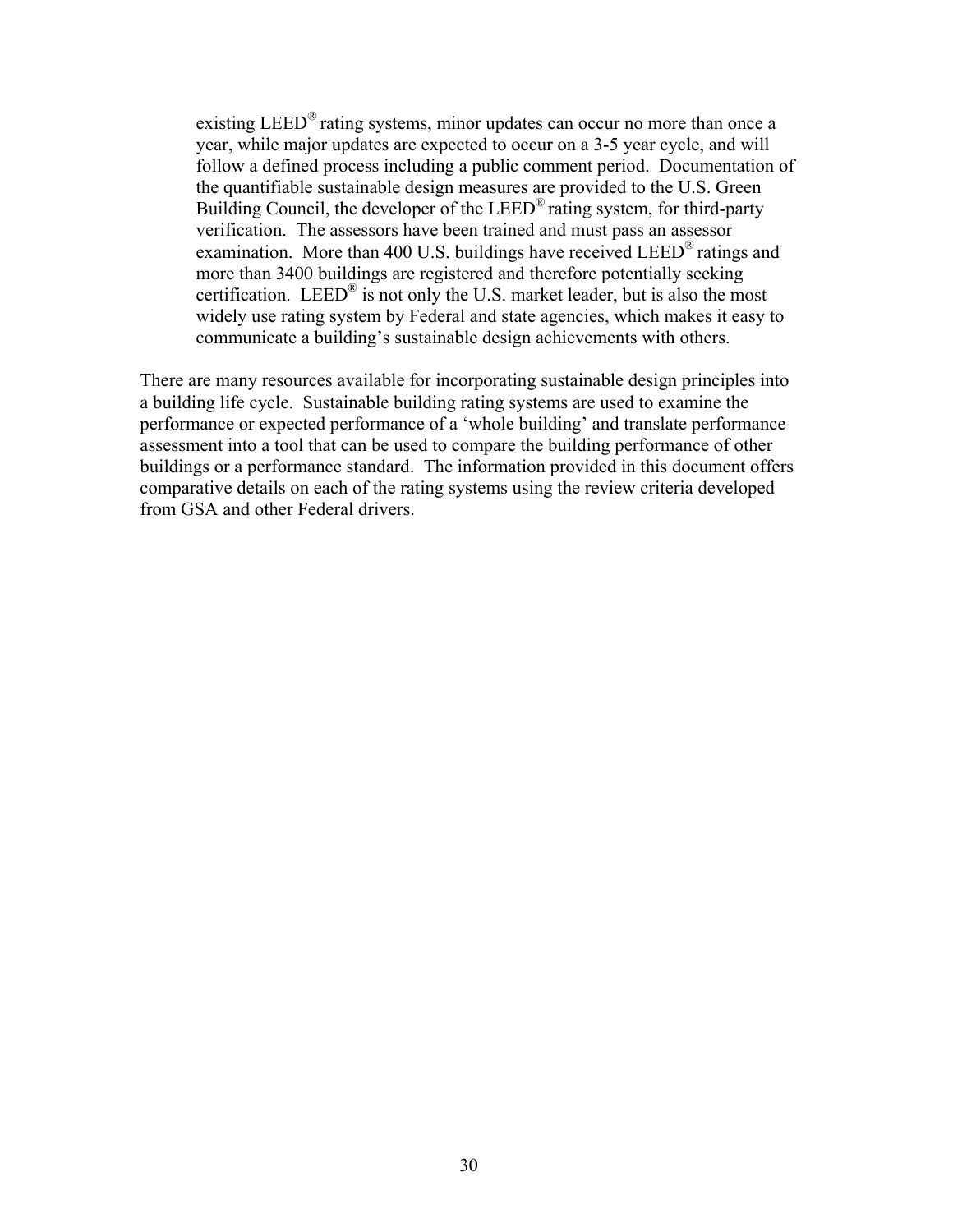existing LEED<sup>®</sup> rating systems, minor updates can occur no more than once a year, while major updates are expected to occur on a 3-5 year cycle, and will follow a defined process including a public comment period. Documentation of the quantifiable sustainable design measures are provided to the U.S. Green Building Council, the developer of the LEED<sup>®</sup> rating system, for third-party verification. The assessors have been trained and must pass an assessor examination. More than 400 U.S. buildings have received LEED<sup>®</sup> ratings and more than 3400 buildings are registered and therefore potentially seeking certification. LEED<sup>®</sup> is not only the U.S. market leader, but is also the most widely use rating system by Federal and state agencies, which makes it easy to communicate a building's sustainable design achievements with others.

There are many resources available for incorporating sustainable design principles into a building life cycle. Sustainable building rating systems are used to examine the performance or expected performance of a 'whole building' and translate performance assessment into a tool that can be used to compare the building performance of other buildings or a performance standard. The information provided in this document offers comparative details on each of the rating systems using the review criteria developed from GSA and other Federal drivers.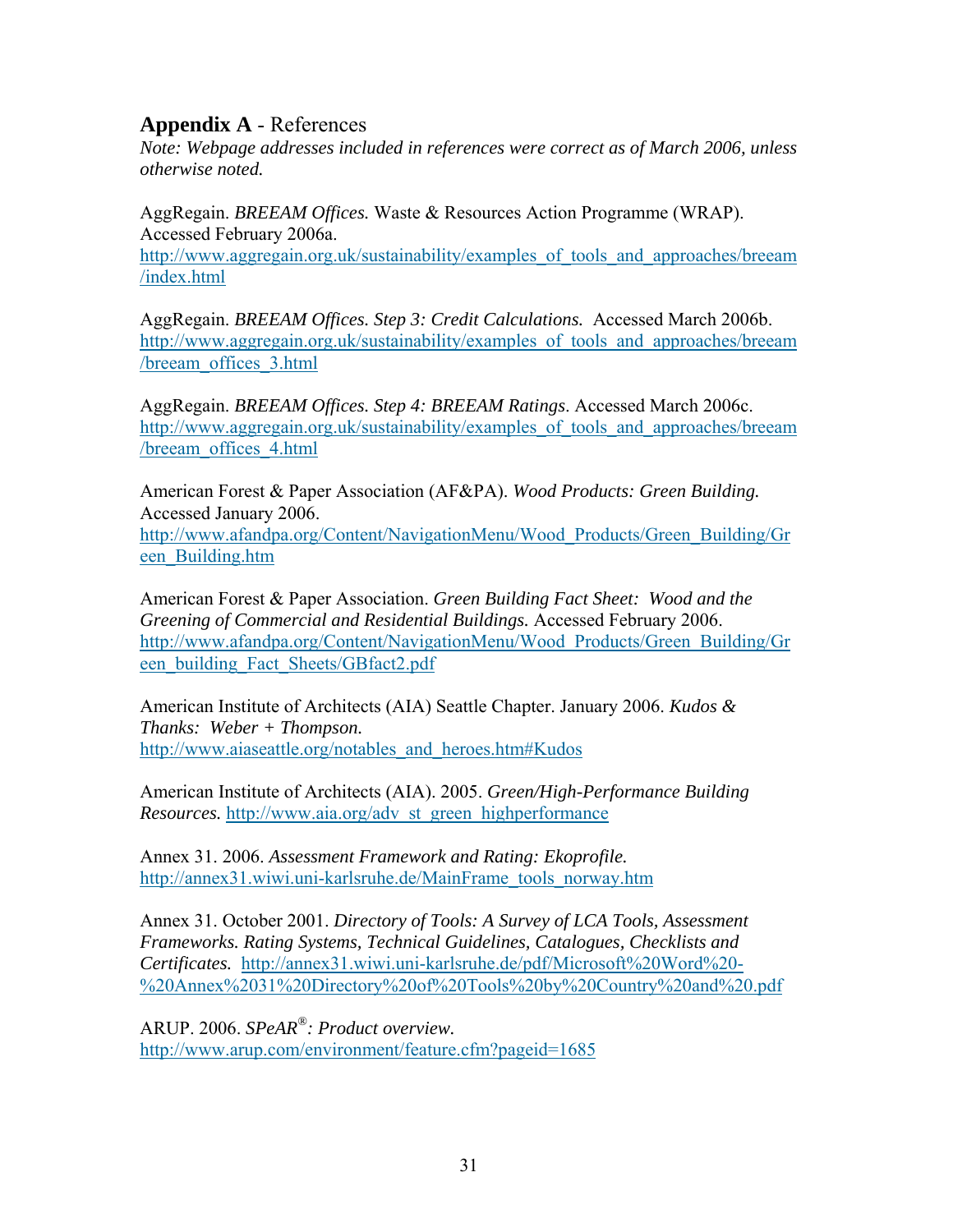# **Appendix A** - References

*Note: Webpage addresses included in references were correct as of March 2006, unless otherwise noted.* 

AggRegain. *BREEAM Offices.* Waste & Resources Action Programme (WRAP). Accessed February 2006a. http://www.aggregain.org.uk/sustainability/examples of tools and approaches/breeam /index.html

AggRegain. *BREEAM Offices. Step 3: Credit Calculations.* Accessed March 2006b. http://www.aggregain.org.uk/sustainability/examples\_of\_tools\_and\_approaches/breeam /breeam\_offices\_3.html

AggRegain. *BREEAM Offices. Step 4: BREEAM Ratings*. Accessed March 2006c. http://www.aggregain.org.uk/sustainability/examples\_of\_tools\_and\_approaches/breeam /breeam\_offices\_4.html

American Forest & Paper Association (AF&PA). *Wood Products: Green Building.*  Accessed January 2006. http://www.afandpa.org/Content/NavigationMenu/Wood\_Products/Green\_Building/Gr een\_Building.htm

American Forest & Paper Association. *Green Building Fact Sheet: Wood and the Greening of Commercial and Residential Buildings.* Accessed February 2006. http://www.afandpa.org/Content/NavigationMenu/Wood\_Products/Green\_Building/Gr een\_building\_Fact\_Sheets/GBfact2.pdf

American Institute of Architects (AIA) Seattle Chapter. January 2006. *Kudos & Thanks: Weber + Thompson.*  http://www.aiaseattle.org/notables\_and\_heroes.htm#Kudos

American Institute of Architects (AIA). 2005. *Green/High-Performance Building Resources.* http://www.aia.org/adv\_st\_green\_highperformance

Annex 31. 2006. *Assessment Framework and Rating: Ekoprofile.*  http://annex31.wiwi.uni-karlsruhe.de/MainFrame\_tools\_norway.htm

Annex 31. October 2001. *Directory of Tools: A Survey of LCA Tools, Assessment Frameworks. Rating Systems, Technical Guidelines, Catalogues, Checklists and Certificates.* http://annex31.wiwi.uni-karlsruhe.de/pdf/Microsoft%20Word%20- %20Annex%2031%20Directory%20of%20Tools%20by%20Country%20and%20.pdf

ARUP. 2006. *SPeAR®: Product overview.*  http://www.arup.com/environment/feature.cfm?pageid=1685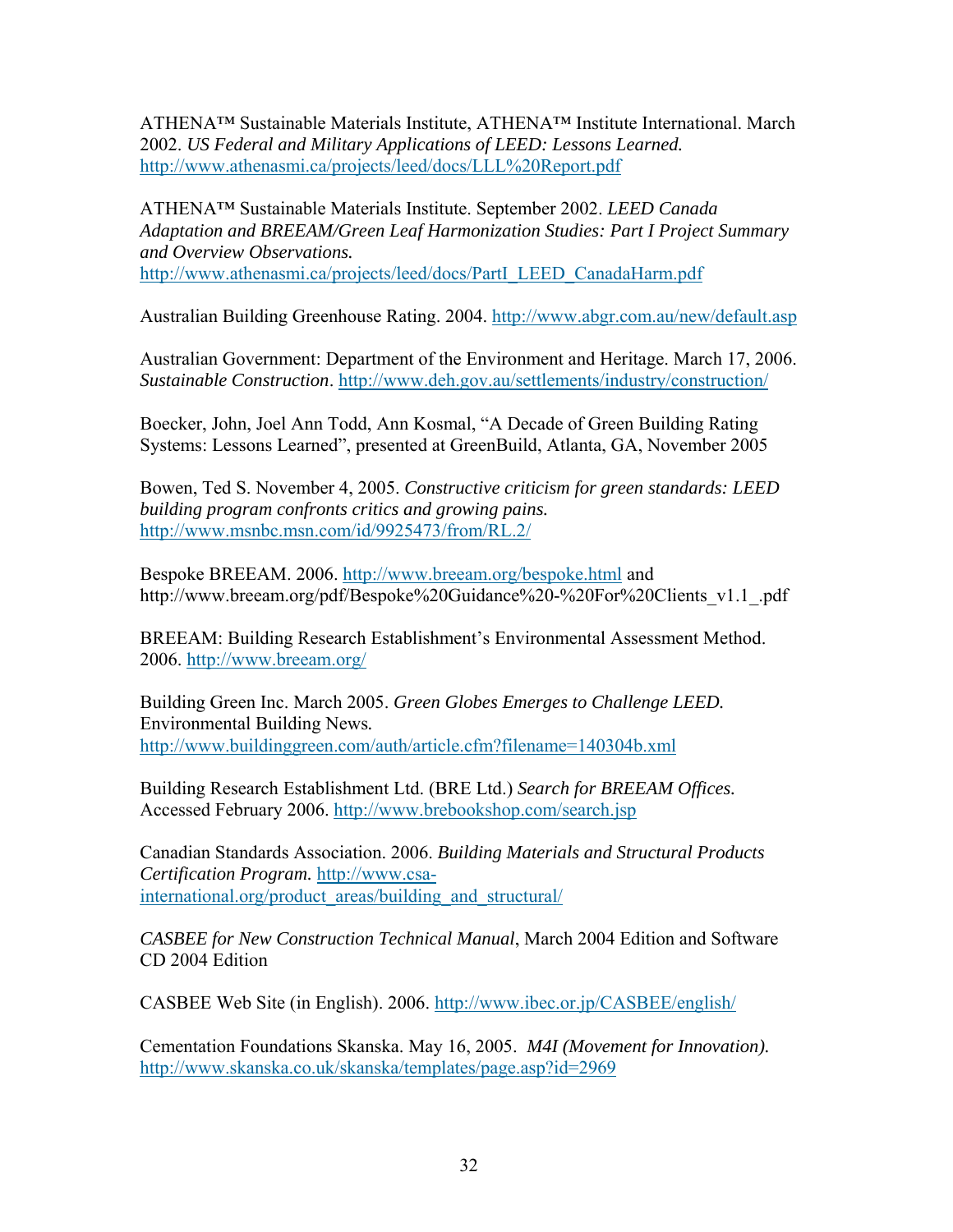ATHENA™ Sustainable Materials Institute, ATHENA™ Institute International. March 2002. *US Federal and Military Applications of LEED: Lessons Learned.*  http://www.athenasmi.ca/projects/leed/docs/LLL%20Report.pdf

ATHENA™ Sustainable Materials Institute. September 2002. *LEED Canada Adaptation and BREEAM/Green Leaf Harmonization Studies: Part I Project Summary and Overview Observations.* http://www.athenasmi.ca/projects/leed/docs/PartI\_LEED\_CanadaHarm.pdf

Australian Building Greenhouse Rating. 2004. http://www.abgr.com.au/new/default.asp

Australian Government: Department of the Environment and Heritage. March 17, 2006. *Sustainable Construction*. http://www.deh.gov.au/settlements/industry/construction/

Boecker, John, Joel Ann Todd, Ann Kosmal, "A Decade of Green Building Rating Systems: Lessons Learned", presented at GreenBuild, Atlanta, GA, November 2005

Bowen, Ted S. November 4, 2005. *Constructive criticism for green standards: LEED building program confronts critics and growing pains.* http://www.msnbc.msn.com/id/9925473/from/RL.2/

Bespoke BREEAM. 2006. http://www.breeam.org/bespoke.html and http://www.breeam.org/pdf/Bespoke%20Guidance%20-%20For%20Clients\_v1.1\_.pdf

BREEAM: Building Research Establishment's Environmental Assessment Method. 2006. http://www.breeam.org/

Building Green Inc. March 2005. *Green Globes Emerges to Challenge LEED.*  Environmental Building News*.*  http://www.buildinggreen.com/auth/article.cfm?filename=140304b.xml

Building Research Establishment Ltd. (BRE Ltd.) *Search for BREEAM Offices.* Accessed February 2006. http://www.brebookshop.com/search.jsp

Canadian Standards Association. 2006. *Building Materials and Structural Products Certification Program.* http://www.csainternational.org/product\_areas/building\_and\_structural/

*CASBEE for New Construction Technical Manual*, March 2004 Edition and Software CD 2004 Edition

CASBEE Web Site (in English). 2006. http://www.ibec.or.jp/CASBEE/english/

Cementation Foundations Skanska. May 16, 2005. *M4I (Movement for Innovation).*  http://www.skanska.co.uk/skanska/templates/page.asp?id=2969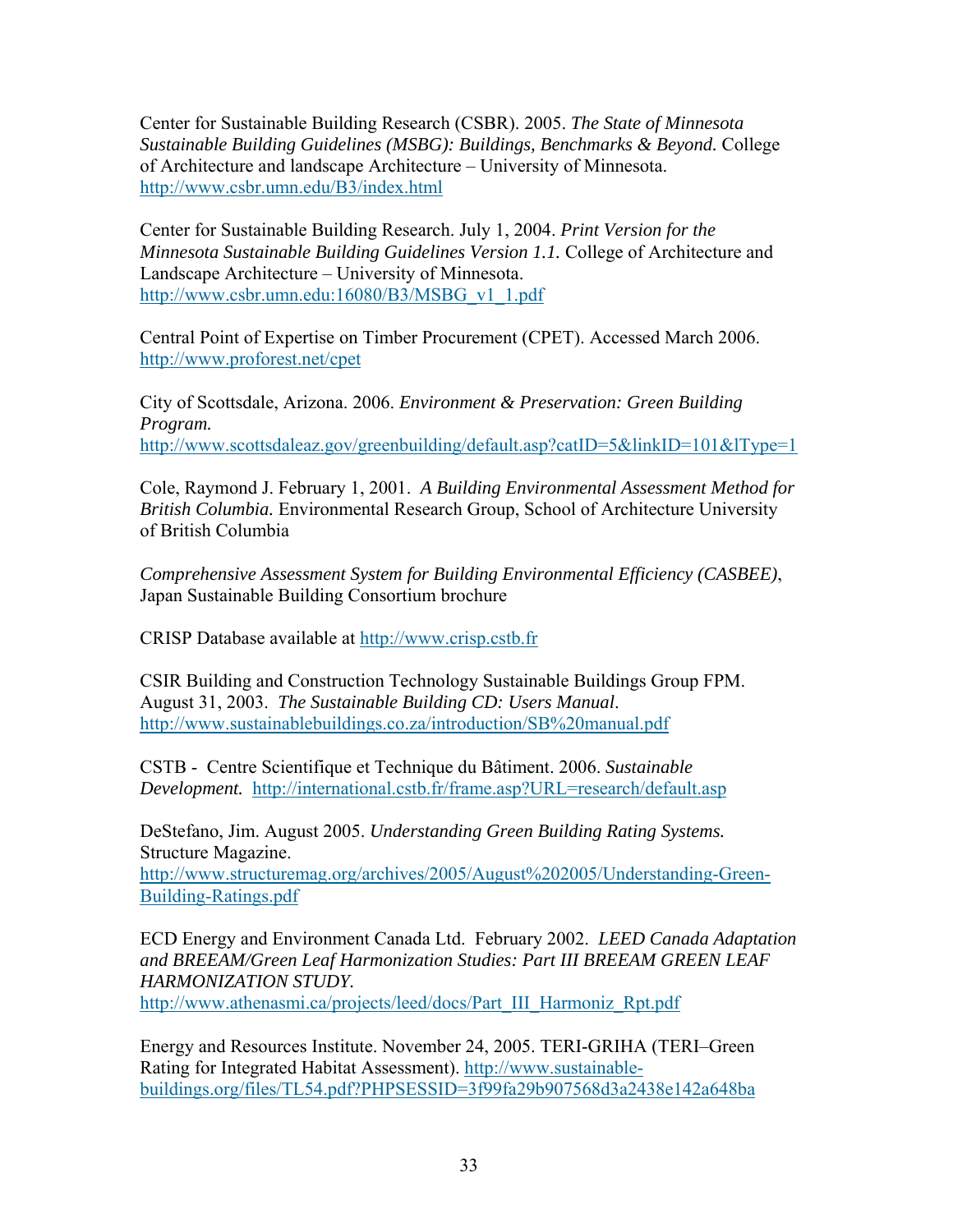Center for Sustainable Building Research (CSBR). 2005. *The State of Minnesota Sustainable Building Guidelines (MSBG): Buildings, Benchmarks & Beyond.* College of Architecture and landscape Architecture – University of Minnesota. http://www.csbr.umn.edu/B3/index.html

Center for Sustainable Building Research. July 1, 2004. *Print Version for the Minnesota Sustainable Building Guidelines Version 1.1.* College of Architecture and Landscape Architecture – University of Minnesota. http://www.csbr.umn.edu:16080/B3/MSBG\_v1\_1.pdf

Central Point of Expertise on Timber Procurement (CPET). Accessed March 2006. http://www.proforest.net/cpet

City of Scottsdale, Arizona. 2006. *Environment & Preservation: Green Building Program.*  http://www.scottsdaleaz.gov/greenbuilding/default.asp?catID=5&linkID=101&lType=1

Cole, Raymond J. February 1, 2001. *A Building Environmental Assessment Method for British Columbia.* Environmental Research Group, School of Architecture University of British Columbia

*Comprehensive Assessment System for Building Environmental Efficiency (CASBEE)*, Japan Sustainable Building Consortium brochure

CRISP Database available at http://www.crisp.cstb.fr

CSIR Building and Construction Technology Sustainable Buildings Group FPM. August 31, 2003. *The Sustainable Building CD: Users Manual*. http://www.sustainablebuildings.co.za/introduction/SB%20manual.pdf

CSTB - Centre Scientifique et Technique du Bâtiment. 2006. *Sustainable Development.* http://international.cstb.fr/frame.asp?URL=research/default.asp

DeStefano, Jim. August 2005. *Understanding Green Building Rating Systems.* Structure Magazine.

http://www.structuremag.org/archives/2005/August%202005/Understanding-Green-Building-Ratings.pdf

ECD Energy and Environment Canada Ltd. February 2002. *LEED Canada Adaptation and BREEAM/Green Leaf Harmonization Studies: Part III BREEAM GREEN LEAF HARMONIZATION STUDY.*  http://www.athenasmi.ca/projects/leed/docs/Part\_III\_Harmoniz\_Rpt.pdf

Energy and Resources Institute. November 24, 2005. TERI-GRIHA (TERI–Green Rating for Integrated Habitat Assessment). http://www.sustainablebuildings.org/files/TL54.pdf?PHPSESSID=3f99fa29b907568d3a2438e142a648ba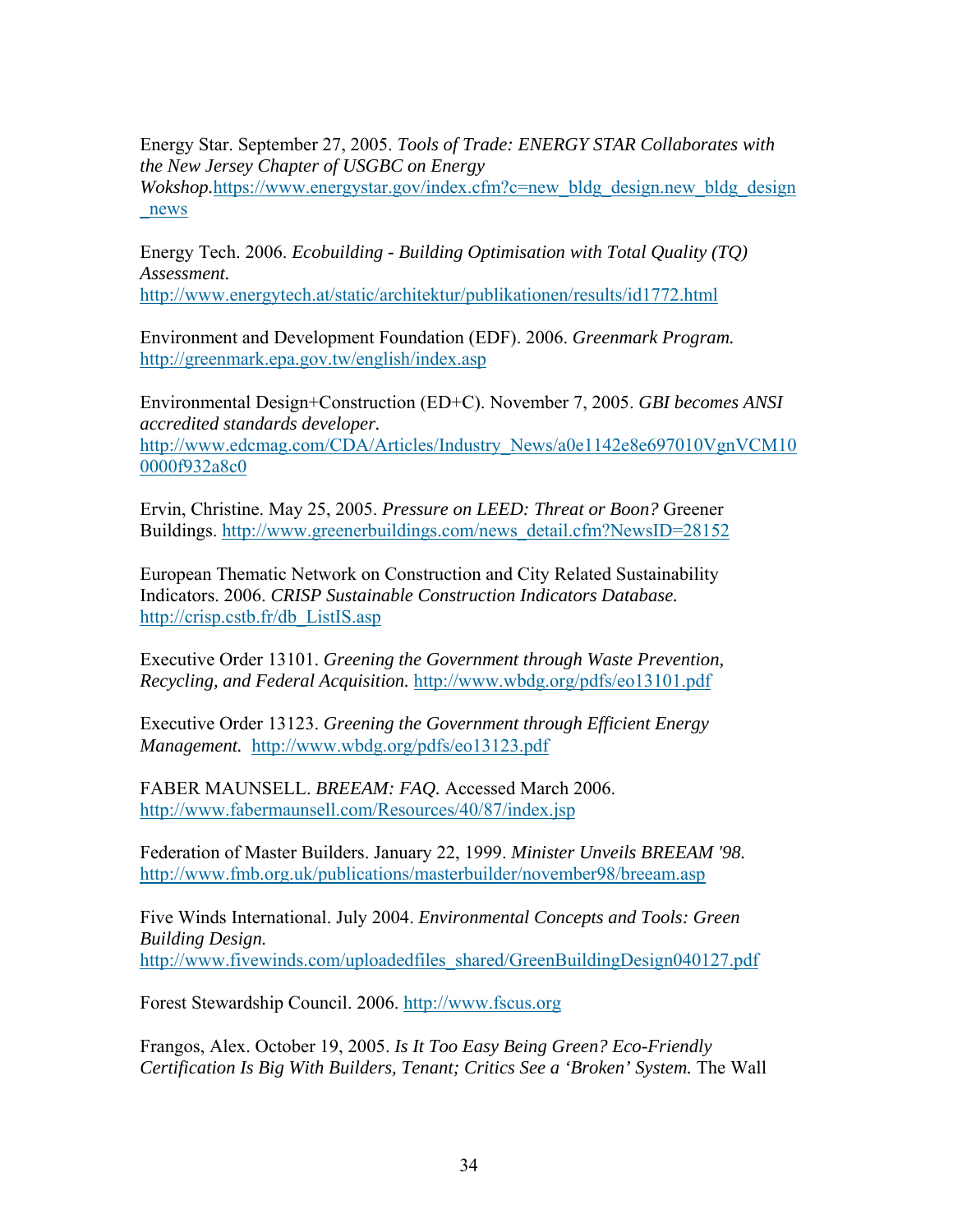Energy Star. September 27, 2005. *Tools of Trade: ENERGY STAR Collaborates with the New Jersey Chapter of USGBC on Energy Wokshop.https://www.energystar.gov/index.cfm?c=new\_bldg\_design.new\_bldg\_design\_* \_news

Energy Tech. 2006. *Ecobuilding - Building Optimisation with Total Quality (TQ) Assessment.* 

http://www.energytech.at/static/architektur/publikationen/results/id1772.html

Environment and Development Foundation (EDF). 2006. *Greenmark Program.*  http://greenmark.epa.gov.tw/english/index.asp

Environmental Design+Construction (ED+C). November 7, 2005. *GBI becomes ANSI accredited standards developer.*  http://www.edcmag.com/CDA/Articles/Industry\_News/a0e1142e8e697010VgnVCM10 0000f932a8c0

Ervin, Christine. May 25, 2005. *Pressure on LEED: Threat or Boon?* Greener Buildings. http://www.greenerbuildings.com/news\_detail.cfm?NewsID=28152

European Thematic Network on Construction and City Related Sustainability Indicators. 2006. *CRISP Sustainable Construction Indicators Database.*  http://crisp.cstb.fr/db\_ListIS.asp

Executive Order 13101. *Greening the Government through Waste Prevention, Recycling, and Federal Acquisition.* http://www.wbdg.org/pdfs/eo13101.pdf

Executive Order 13123. *Greening the Government through Efficient Energy Management.* http://www.wbdg.org/pdfs/eo13123.pdf

FABER MAUNSELL. *BREEAM: FAQ.* Accessed March 2006. http://www.fabermaunsell.com/Resources/40/87/index.jsp

Federation of Master Builders. January 22, 1999. *Minister Unveils BREEAM '98.*  http://www.fmb.org.uk/publications/masterbuilder/november98/breeam.asp

Five Winds International. July 2004. *Environmental Concepts and Tools: Green Building Design.*  http://www.fivewinds.com/uploadedfiles\_shared/GreenBuildingDesign040127.pdf

Forest Stewardship Council. 2006. http://www.fscus.org

Frangos, Alex. October 19, 2005. *Is It Too Easy Being Green? Eco-Friendly Certification Is Big With Builders, Tenant; Critics See a 'Broken' System.* The Wall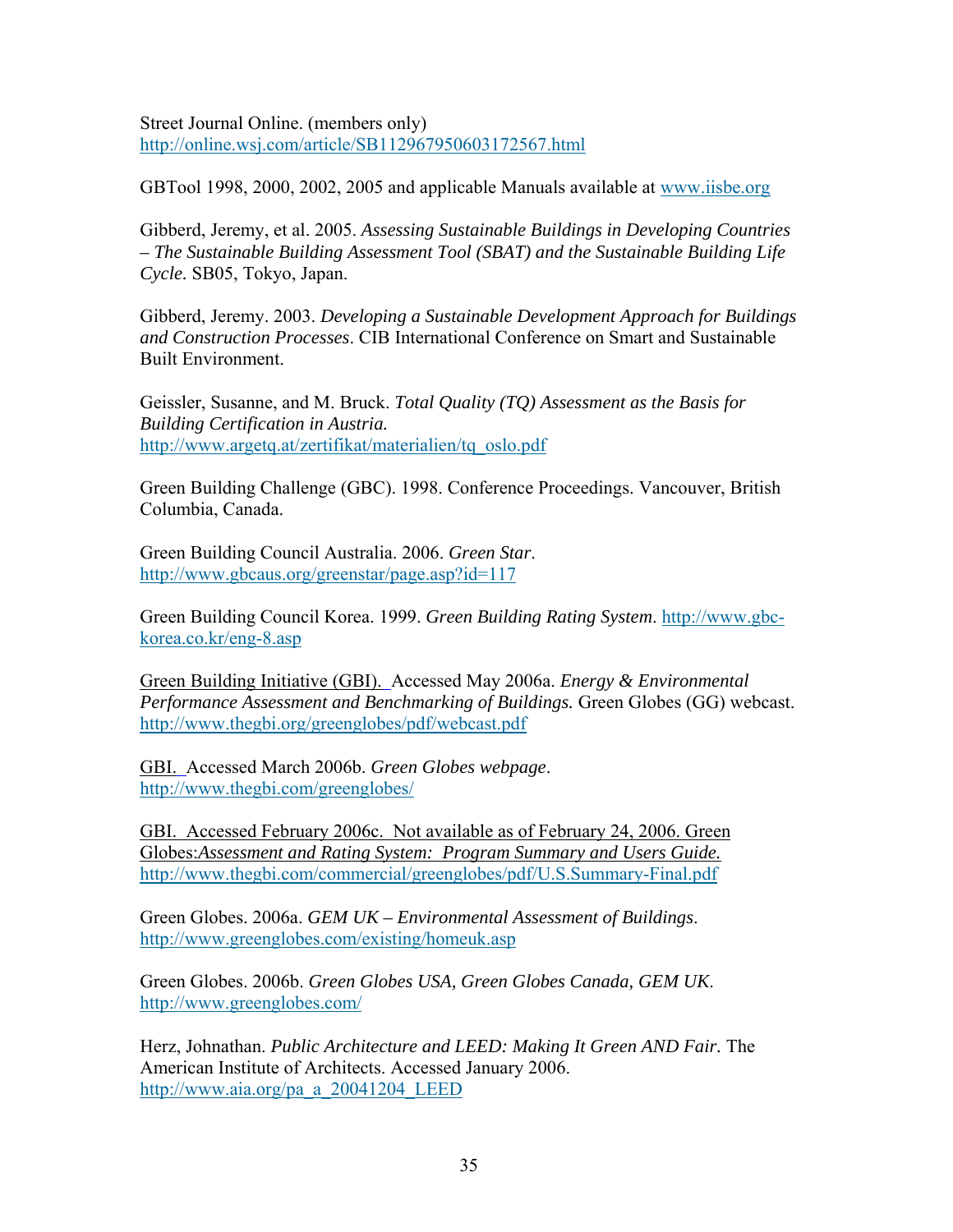Street Journal Online. (members only) http://online.wsj.com/article/SB112967950603172567.html

GBTool 1998, 2000, 2002, 2005 and applicable Manuals available at www.iisbe.org

Gibberd, Jeremy, et al. 2005. *Assessing Sustainable Buildings in Developing Countries – The Sustainable Building Assessment Tool (SBAT) and the Sustainable Building Life Cycle.* SB05, Tokyo, Japan.

Gibberd, Jeremy. 2003. *Developing a Sustainable Development Approach for Buildings and Construction Processes*. CIB International Conference on Smart and Sustainable Built Environment.

Geissler, Susanne, and M. Bruck. *Total Quality (TQ) Assessment as the Basis for Building Certification in Austria.*  http://www.argetq.at/zertifikat/materialien/tq\_oslo.pdf

Green Building Challenge (GBC). 1998. Conference Proceedings. Vancouver, British Columbia, Canada.

Green Building Council Australia. 2006. *Green Star*. http://www.gbcaus.org/greenstar/page.asp?id=117

Green Building Council Korea. 1999. *Green Building Rating System*. http://www.gbckorea.co.kr/eng-8.asp

Green Building Initiative (GBI). Accessed May 2006a. *Energy & Environmental Performance Assessment and Benchmarking of Buildings.* Green Globes (GG) webcast. http://www.thegbi.org/greenglobes/pdf/webcast.pdf

GBI. Accessed March 2006b. *Green Globes webpage*. http://www.thegbi.com/greenglobes/

GBI. Accessed February 2006c. Not available as of February 24, 2006. Green Globes:*Assessment and Rating System: Program Summary and Users Guide.*  http://www.thegbi.com/commercial/greenglobes/pdf/U.S.Summary-Final.pdf

Green Globes. 2006a. *GEM UK – Environmental Assessment of Buildings*. http://www.greenglobes.com/existing/homeuk.asp

Green Globes. 2006b. *Green Globes USA, Green Globes Canada, GEM UK*. http://www.greenglobes.com/

Herz, Johnathan. *Public Architecture and LEED: Making It Green AND Fair.* The American Institute of Architects. Accessed January 2006. http://www.aia.org/pa\_a\_20041204\_LEED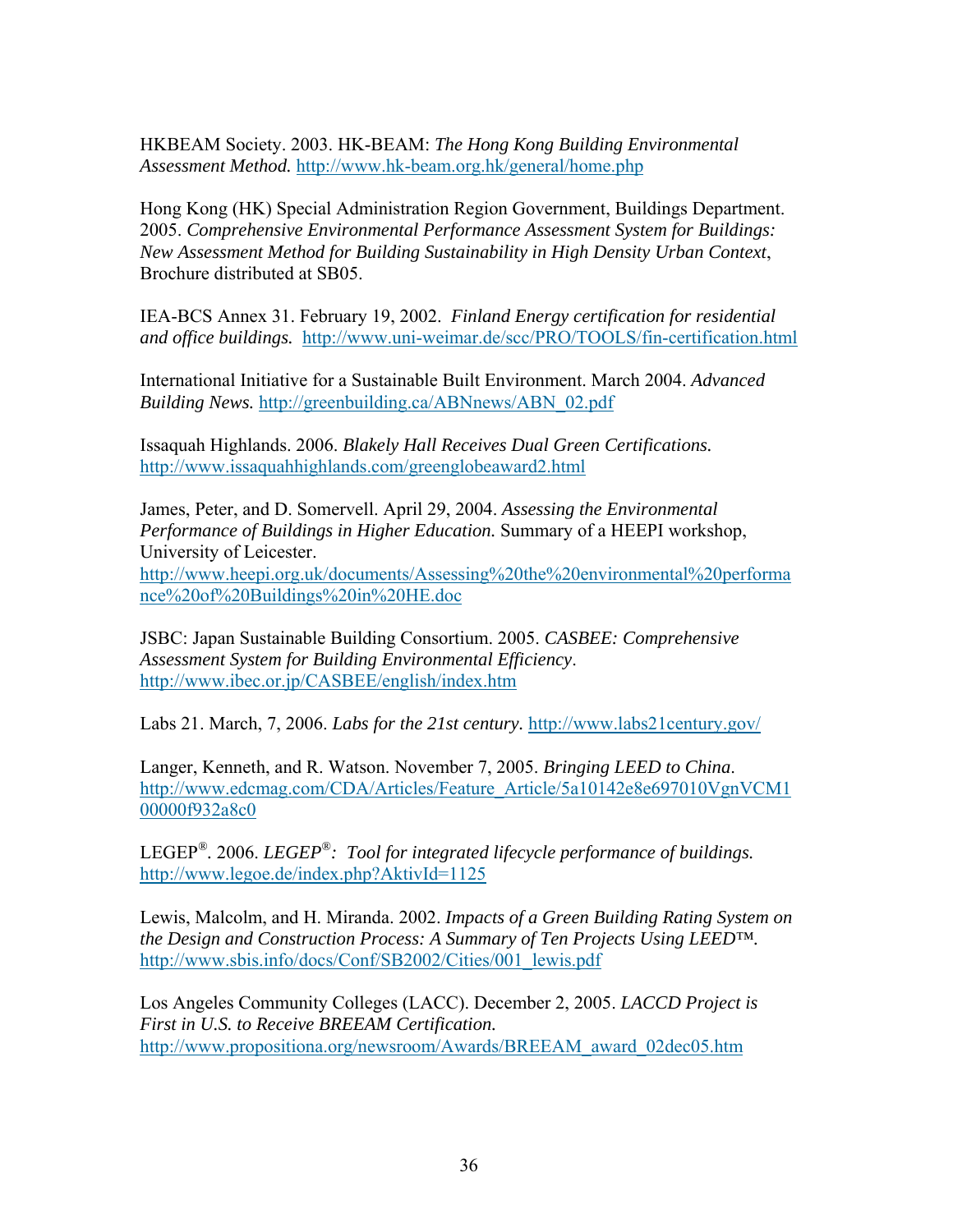HKBEAM Society. 2003. HK-BEAM: *The Hong Kong Building Environmental Assessment Method.* http://www.hk-beam.org.hk/general/home.php

Hong Kong (HK) Special Administration Region Government, Buildings Department. 2005. *Comprehensive Environmental Performance Assessment System for Buildings: New Assessment Method for Building Sustainability in High Density Urban Context*, Brochure distributed at SB05.

IEA-BCS Annex 31. February 19, 2002. *Finland Energy certification for residential and office buildings.* http://www.uni-weimar.de/scc/PRO/TOOLS/fin-certification.html

International Initiative for a Sustainable Built Environment. March 2004. *Advanced Building News.* http://greenbuilding.ca/ABNnews/ABN\_02.pdf

Issaquah Highlands. 2006. *Blakely Hall Receives Dual Green Certifications.* http://www.issaquahhighlands.com/greenglobeaward2.html

James, Peter, and D. Somervell. April 29, 2004. *Assessing the Environmental Performance of Buildings in Higher Education.* Summary of a HEEPI workshop, University of Leicester. http://www.heepi.org.uk/documents/Assessing%20the%20environmental%20performa nce%20of%20Buildings%20in%20HE.doc

JSBC: Japan Sustainable Building Consortium. 2005. *CASBEE: Comprehensive Assessment System for Building Environmental Efficiency*. http://www.ibec.or.jp/CASBEE/english/index.htm

Labs 21. March, 7, 2006. *Labs for the 21st century.* http://www.labs21century.gov/

Langer, Kenneth, and R. Watson. November 7, 2005. *Bringing LEED to China*. http://www.edcmag.com/CDA/Articles/Feature\_Article/5a10142e8e697010VgnVCM1 00000f932a8c0

LEGEP*®.* 2006. *LEGEP®: Tool for integrated lifecycle performance of buildings.*  http://www.legoe.de/index.php?AktivId=1125

Lewis, Malcolm, and H. Miranda. 2002. *Impacts of a Green Building Rating System on the Design and Construction Process: A Summary of Ten Projects Using LEED™.* http://www.sbis.info/docs/Conf/SB2002/Cities/001\_lewis.pdf

Los Angeles Community Colleges (LACC). December 2, 2005. *LACCD Project is First in U.S. to Receive BREEAM Certification.*  http://www.propositiona.org/newsroom/Awards/BREEAM\_award\_02dec05.htm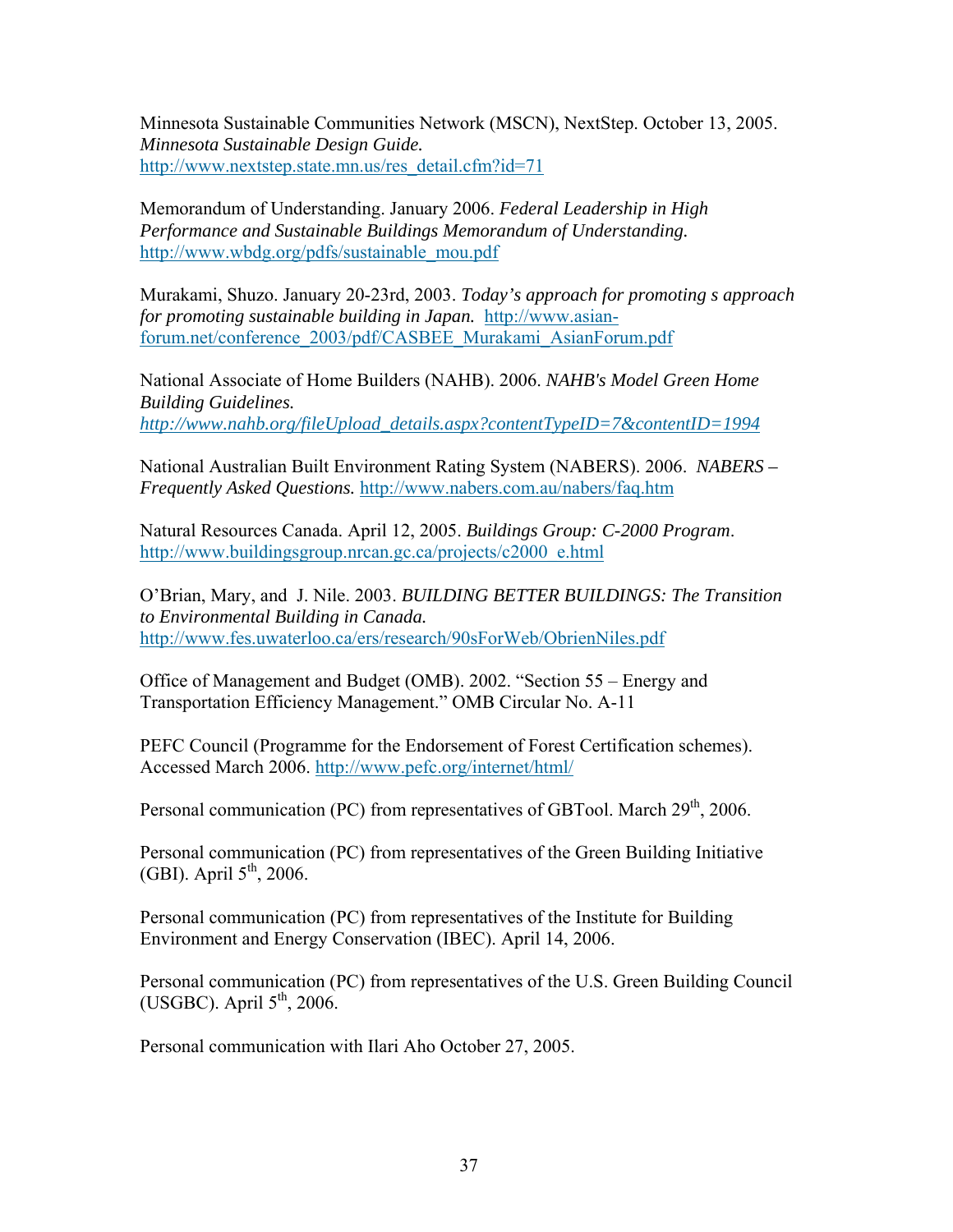Minnesota Sustainable Communities Network (MSCN), NextStep. October 13, 2005. *Minnesota Sustainable Design Guide.*  http://www.nextstep.state.mn.us/res\_detail.cfm?id=71

Memorandum of Understanding. January 2006. *Federal Leadership in High Performance and Sustainable Buildings Memorandum of Understanding.* http://www.wbdg.org/pdfs/sustainable\_mou.pdf

Murakami, Shuzo. January 20-23rd, 2003. *Today's approach for promoting s approach for promoting sustainable building in Japan.* http://www.asianforum.net/conference\_2003/pdf/CASBEE\_Murakami\_AsianForum.pdf

National Associate of Home Builders (NAHB). 2006. *NAHB's Model Green Home Building Guidelines. http://www.nahb.org/fileUpload\_details.aspx?contentTypeID=7&contentID=1994*

National Australian Built Environment Rating System (NABERS). 2006. *NABERS – Frequently Asked Questions.* http://www.nabers.com.au/nabers/faq.htm

Natural Resources Canada. April 12, 2005. *Buildings Group: C-2000 Program*. http://www.buildingsgroup.nrcan.gc.ca/projects/c2000\_e.html

O'Brian, Mary, and J. Nile. 2003. *BUILDING BETTER BUILDINGS: The Transition to Environmental Building in Canada.*  http://www.fes.uwaterloo.ca/ers/research/90sForWeb/ObrienNiles.pdf

Office of Management and Budget (OMB). 2002. "Section 55 – Energy and Transportation Efficiency Management." OMB Circular No. A-11

PEFC Council (Programme for the Endorsement of Forest Certification schemes). Accessed March 2006. http://www.pefc.org/internet/html/

Personal communication (PC) from representatives of GBTool. March  $29<sup>th</sup>$ , 2006.

Personal communication (PC) from representatives of the Green Building Initiative (GBI). April  $5<sup>th</sup>$ , 2006.

Personal communication (PC) from representatives of the Institute for Building Environment and Energy Conservation (IBEC). April 14, 2006.

Personal communication (PC) from representatives of the U.S. Green Building Council (USGBC). April  $5<sup>th</sup>$ , 2006.

Personal communication with Ilari Aho October 27, 2005.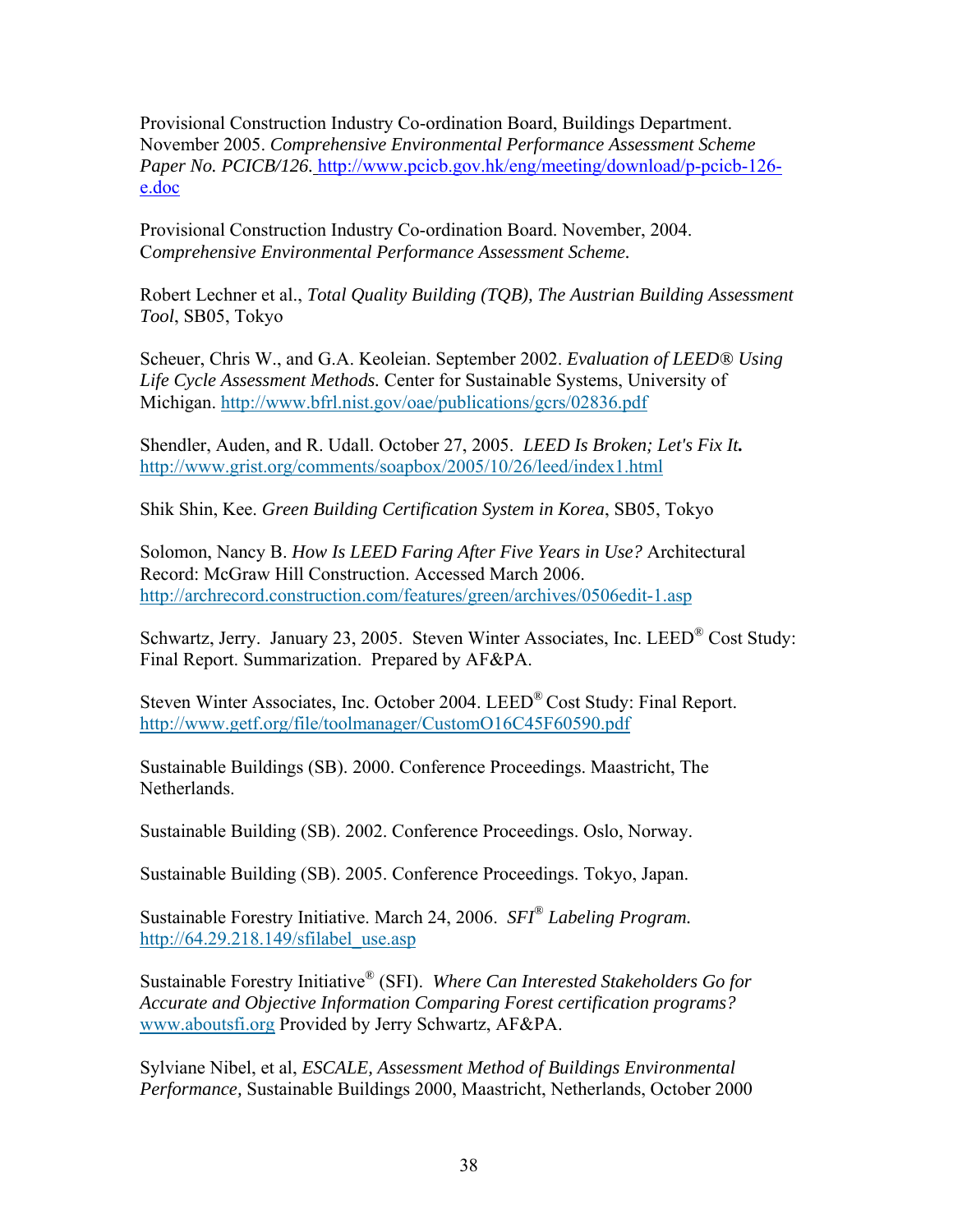Provisional Construction Industry Co-ordination Board, Buildings Department. November 2005. *Comprehensive Environmental Performance Assessment Scheme Paper No. PCICB/126.* http://www.pcicb.gov.hk/eng/meeting/download/p-pcicb-126 e.doc

Provisional Construction Industry Co-ordination Board. November, 2004. C*omprehensive Environmental Performance Assessment Scheme.*

Robert Lechner et al., *Total Quality Building (TQB), The Austrian Building Assessment Tool*, SB05, Tokyo

Scheuer, Chris W., and G.A. Keoleian. September 2002. *Evaluation of LEED® Using Life Cycle Assessment Methods.* Center for Sustainable Systems, University of Michigan. http://www.bfrl.nist.gov/oae/publications/gcrs/02836.pdf

Shendler, Auden, and R. Udall. October 27, 2005. *LEED Is Broken; Let's Fix It.*  http://www.grist.org/comments/soapbox/2005/10/26/leed/index1.html

Shik Shin, Kee. *Green Building Certification System in Korea*, SB05, Tokyo

Solomon, Nancy B. *How Is LEED Faring After Five Years in Use?* Architectural Record: McGraw Hill Construction. Accessed March 2006. http://archrecord.construction.com/features/green/archives/0506edit-1.asp

Schwartz, Jerry. January 23, 2005. Steven Winter Associates, Inc. LEED® Cost Study: Final Report. Summarization. Prepared by AF&PA.

Steven Winter Associates, Inc. October 2004. LEED® Cost Study: Final Report. http://www.getf.org/file/toolmanager/CustomO16C45F60590.pdf

Sustainable Buildings (SB). 2000. Conference Proceedings. Maastricht, The Netherlands.

Sustainable Building (SB). 2002. Conference Proceedings. Oslo, Norway.

Sustainable Building (SB). 2005. Conference Proceedings. Tokyo, Japan.

Sustainable Forestry Initiative. March 24, 2006. *SFI® Labeling Program.* http://64.29.218.149/sfilabel\_use.asp

Sustainable Forestry Initiative® (SFI). *Where Can Interested Stakeholders Go for Accurate and Objective Information Comparing Forest certification programs?* www.aboutsfi.org Provided by Jerry Schwartz, AF&PA.

Sylviane Nibel, et al, *ESCALE, Assessment Method of Buildings Environmental Performance,* Sustainable Buildings 2000, Maastricht, Netherlands, October 2000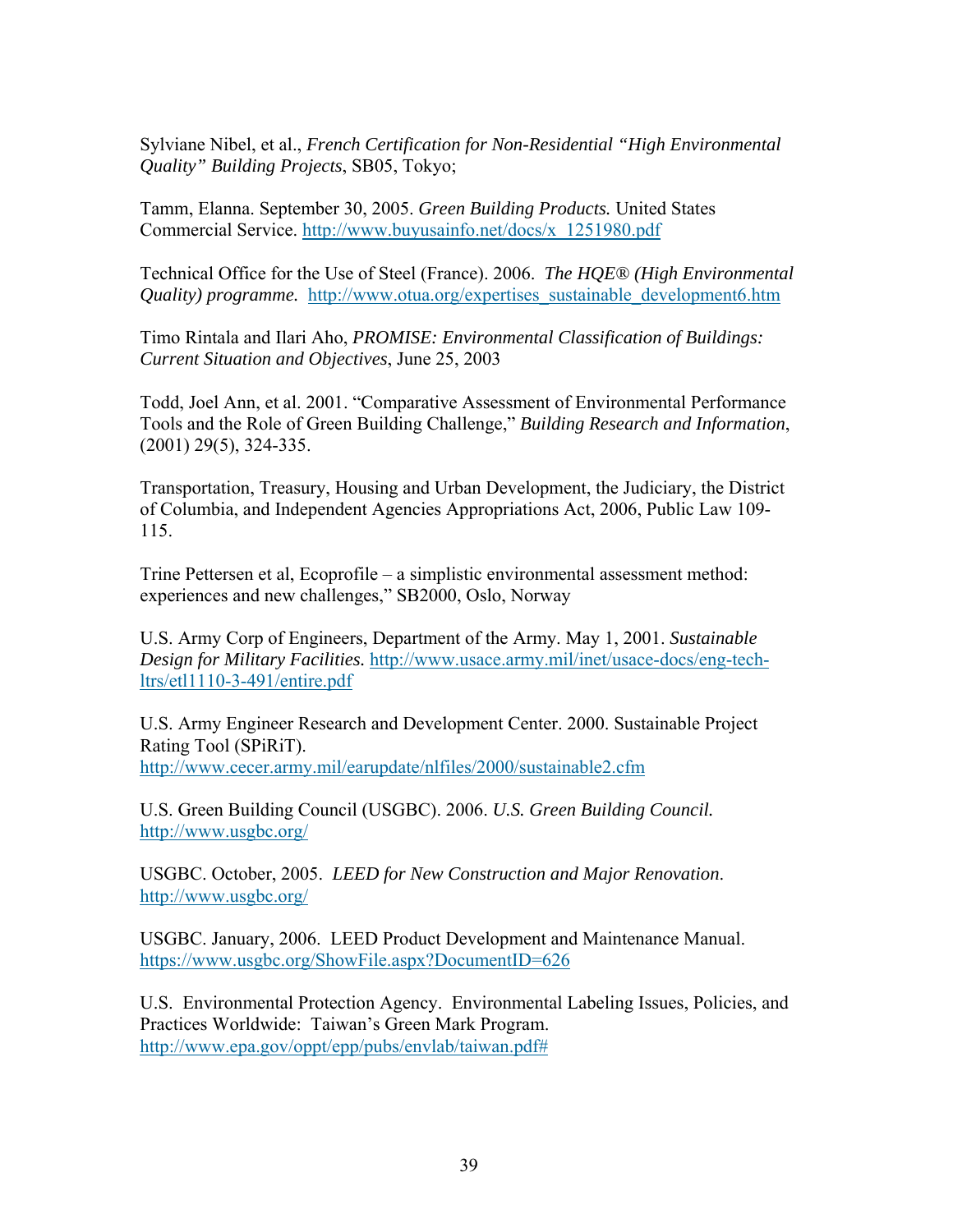Sylviane Nibel, et al., *French Certification for Non-Residential "High Environmental Quality" Building Projects*, SB05, Tokyo;

Tamm, Elanna. September 30, 2005. *Green Building Products.* United States Commercial Service. http://www.buyusainfo.net/docs/x\_1251980.pdf

Technical Office for the Use of Steel (France). 2006. *The HQE® (High Environmental Quality) programme.* http://www.otua.org/expertises sustainable development6.htm

Timo Rintala and Ilari Aho, *PROMISE: Environmental Classification of Buildings: Current Situation and Objectives*, June 25, 2003

Todd, Joel Ann, et al. 2001. "Comparative Assessment of Environmental Performance Tools and the Role of Green Building Challenge," *Building Research and Information*, (2001) 29(5), 324-335.

Transportation, Treasury, Housing and Urban Development, the Judiciary, the District of Columbia, and Independent Agencies Appropriations Act, 2006, Public Law 109- 115.

Trine Pettersen et al, Ecoprofile – a simplistic environmental assessment method: experiences and new challenges," SB2000, Oslo, Norway

U.S. Army Corp of Engineers, Department of the Army. May 1, 2001. *Sustainable Design for Military Facilities.* http://www.usace.army.mil/inet/usace-docs/eng-techltrs/etl1110-3-491/entire.pdf

U.S. Army Engineer Research and Development Center. 2000. Sustainable Project Rating Tool (SPiRiT).

http://www.cecer.army.mil/earupdate/nlfiles/2000/sustainable2.cfm

U.S. Green Building Council (USGBC). 2006. *U.S. Green Building Council.*  http://www.usgbc.org/

USGBC. October, 2005. *LEED for New Construction and Major Renovation*. http://www.usgbc.org/

USGBC. January, 2006. LEED Product Development and Maintenance Manual. https://www.usgbc.org/ShowFile.aspx?DocumentID=626

U.S. Environmental Protection Agency. Environmental Labeling Issues, Policies, and Practices Worldwide: Taiwan's Green Mark Program. http://www.epa.gov/oppt/epp/pubs/envlab/taiwan.pdf#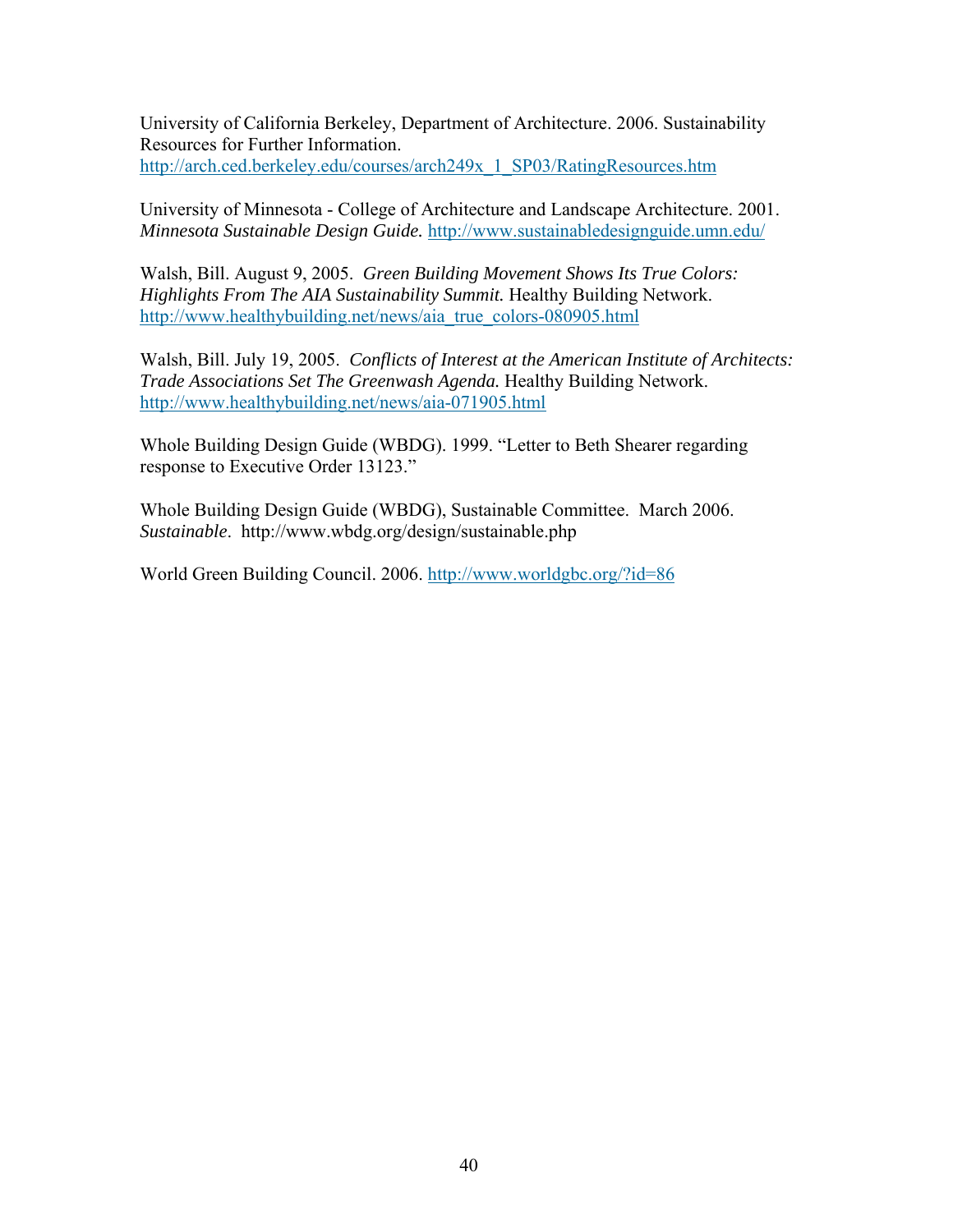University of California Berkeley, Department of Architecture. 2006. Sustainability Resources for Further Information. http://arch.ced.berkeley.edu/courses/arch249x\_1\_SP03/RatingResources.htm

University of Minnesota - College of Architecture and Landscape Architecture. 2001. *Minnesota Sustainable Design Guide.* http://www.sustainabledesignguide.umn.edu/

Walsh, Bill. August 9, 2005. *Green Building Movement Shows Its True Colors: Highlights From The AIA Sustainability Summit.* Healthy Building Network. http://www.healthybuilding.net/news/aia\_true\_colors-080905.html

Walsh, Bill. July 19, 2005. *Conflicts of Interest at the American Institute of Architects: Trade Associations Set The Greenwash Agenda.* Healthy Building Network. http://www.healthybuilding.net/news/aia-071905.html

Whole Building Design Guide (WBDG). 1999. "Letter to Beth Shearer regarding response to Executive Order 13123."

Whole Building Design Guide (WBDG), Sustainable Committee. March 2006. *Sustainable*. http://www.wbdg.org/design/sustainable.php

World Green Building Council. 2006. http://www.worldgbc.org/?id=86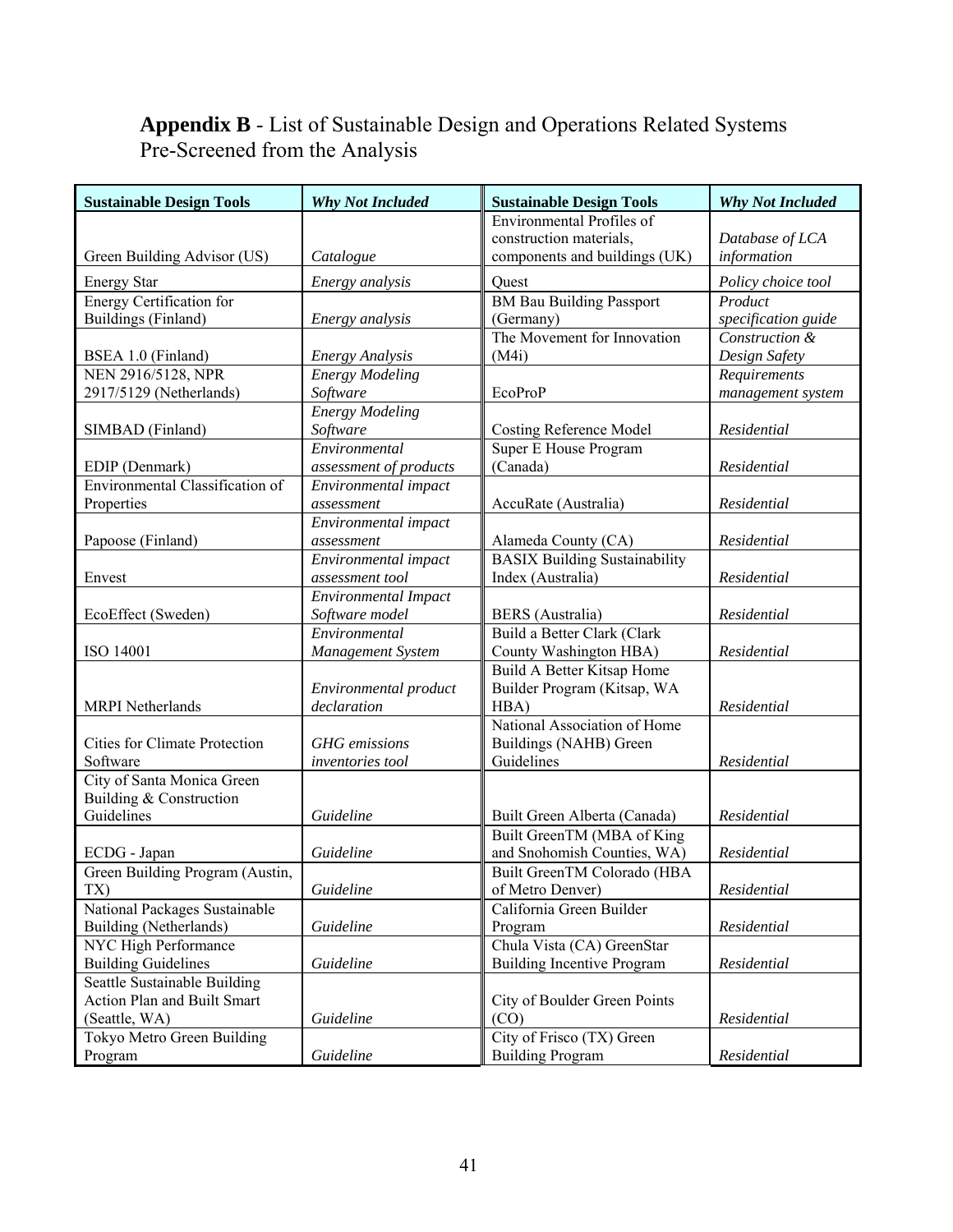# **Appendix B** - List of Sustainable Design and Operations Related Systems Pre-Screened from the Analysis

| <b>Sustainable Design Tools</b>      | <b>Why Not Included</b>     | <b>Sustainable Design Tools</b>      | <b>Why Not Included</b> |
|--------------------------------------|-----------------------------|--------------------------------------|-------------------------|
|                                      |                             | Environmental Profiles of            |                         |
|                                      |                             | construction materials,              | Database of LCA         |
| Green Building Advisor (US)          | Catalogue                   | components and buildings (UK)        | information             |
| <b>Energy Star</b>                   | Energy analysis             | Quest                                | Policy choice tool      |
| <b>Energy Certification for</b>      |                             | <b>BM Bau Building Passport</b>      | Product                 |
| Buildings (Finland)                  | Energy analysis             | (Germany)                            | specification guide     |
|                                      |                             | The Movement for Innovation          | Construction &          |
| BSEA 1.0 (Finland)                   | <b>Energy Analysis</b>      | (M4i)                                | Design Safety           |
| NEN 2916/5128, NPR                   | <b>Energy Modeling</b>      |                                      | Requirements            |
| 2917/5129 (Netherlands)              | Software                    | EcoProP                              | management system       |
|                                      | <b>Energy Modeling</b>      |                                      |                         |
| SIMBAD (Finland)                     | Software                    | <b>Costing Reference Model</b>       | Residential             |
|                                      | Environmental               | Super E House Program                |                         |
| EDIP (Denmark)                       | assessment of products      | (Canada)                             | Residential             |
| Environmental Classification of      | Environmental impact        |                                      |                         |
| Properties                           | assessment                  | AccuRate (Australia)                 | Residential             |
|                                      | Environmental impact        |                                      |                         |
| Papoose (Finland)                    | assessment                  | Alameda County (CA)                  | Residential             |
|                                      | Environmental impact        | <b>BASIX Building Sustainability</b> |                         |
| Envest                               | assessment tool             | Index (Australia)                    | Residential             |
|                                      | <b>Environmental Impact</b> |                                      |                         |
| EcoEffect (Sweden)                   | Software model              | <b>BERS</b> (Australia)              | Residential             |
|                                      | Environmental               | Build a Better Clark (Clark          |                         |
| ISO 14001                            | Management System           | County Washington HBA)               | Residential             |
|                                      |                             | <b>Build A Better Kitsap Home</b>    |                         |
|                                      | Environmental product       | Builder Program (Kitsap, WA          |                         |
| <b>MRPI</b> Netherlands              | declaration                 | HBA)                                 | Residential             |
|                                      |                             | National Association of Home         |                         |
| <b>Cities for Climate Protection</b> | <b>GHG</b> emissions        | Buildings (NAHB) Green               |                         |
| Software                             | inventories tool            | Guidelines                           | Residential             |
| City of Santa Monica Green           |                             |                                      |                         |
| Building & Construction              |                             |                                      |                         |
| Guidelines                           | Guideline                   | Built Green Alberta (Canada)         | Residential             |
|                                      |                             | Built GreenTM (MBA of King           |                         |
| ECDG - Japan                         | Guideline                   | and Snohomish Counties, WA)          | Residential             |
| Green Building Program (Austin,      |                             | Built GreenTM Colorado (HBA          |                         |
| TX)                                  | Guideline                   | of Metro Denver)                     | Residential             |
| National Packages Sustainable        |                             | California Green Builder             |                         |
| Building (Netherlands)               | Guideline                   | Program                              | Residential             |
| NYC High Performance                 |                             | Chula Vista (CA) GreenStar           |                         |
| <b>Building Guidelines</b>           | Guideline                   | <b>Building Incentive Program</b>    | Residential             |
| Seattle Sustainable Building         |                             |                                      |                         |
| Action Plan and Built Smart          |                             | City of Boulder Green Points         |                         |
| (Seattle, WA)                        | Guideline                   | (CO)                                 | Residential             |
| Tokyo Metro Green Building           |                             | City of Frisco (TX) Green            |                         |
| Program                              | Guideline                   | <b>Building Program</b>              | Residential             |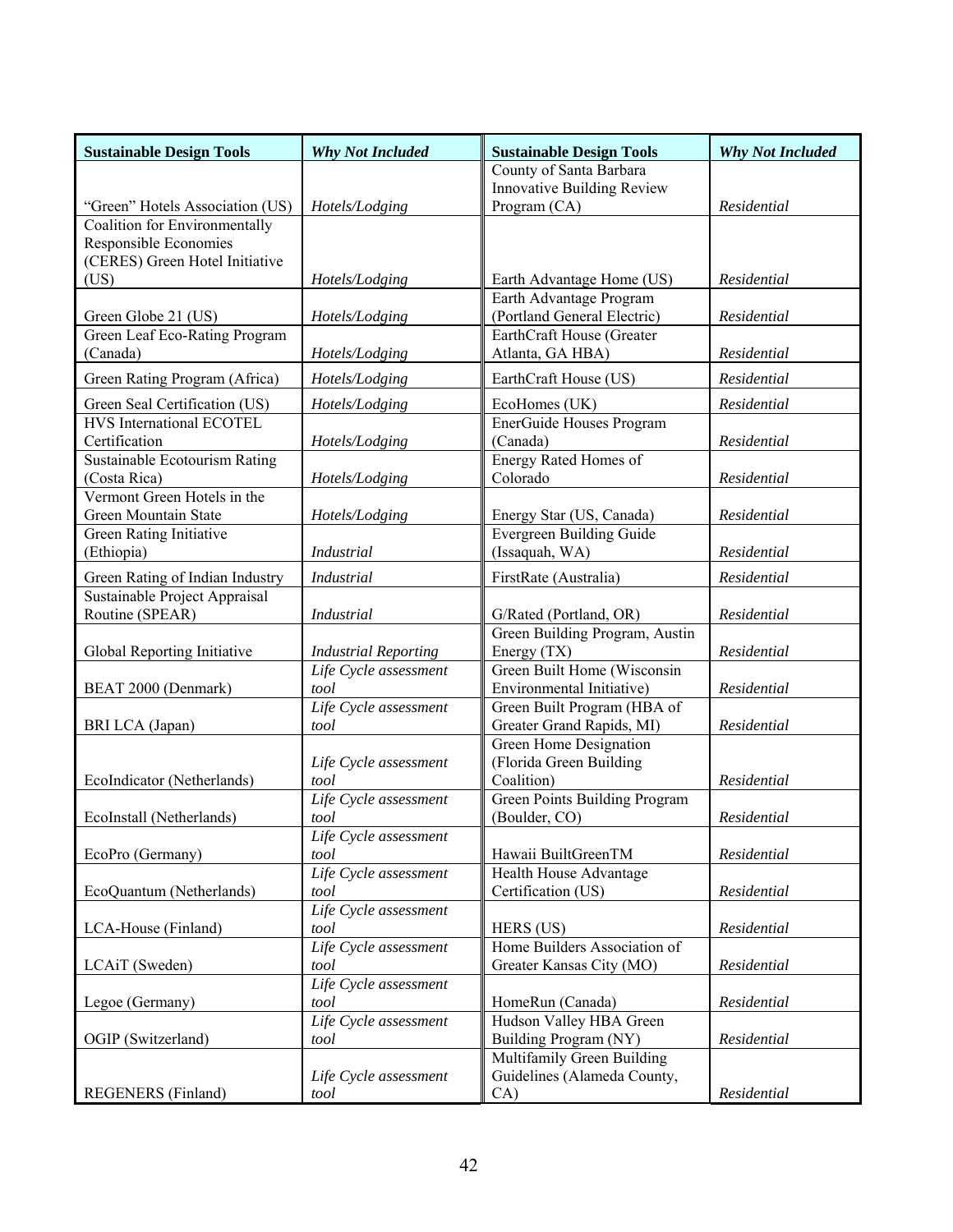| <b>Sustainable Design Tools</b>                      | <b>Why Not Included</b>       | <b>Sustainable Design Tools</b>       | <b>Why Not Included</b> |  |  |  |  |  |
|------------------------------------------------------|-------------------------------|---------------------------------------|-------------------------|--|--|--|--|--|
|                                                      |                               | County of Santa Barbara               |                         |  |  |  |  |  |
|                                                      |                               | <b>Innovative Building Review</b>     |                         |  |  |  |  |  |
| "Green" Hotels Association (US)                      | Hotels/Lodging                | Program (CA)                          | Residential             |  |  |  |  |  |
| Coalition for Environmentally                        |                               |                                       |                         |  |  |  |  |  |
| Responsible Economies                                |                               |                                       |                         |  |  |  |  |  |
| (CERES) Green Hotel Initiative                       |                               |                                       |                         |  |  |  |  |  |
| (US)                                                 | Hotels/Lodging                | Earth Advantage Home (US)             | Residential             |  |  |  |  |  |
|                                                      |                               | Earth Advantage Program               |                         |  |  |  |  |  |
| Green Globe 21 (US)<br>Green Leaf Eco-Rating Program | Hotels/Lodging                | (Portland General Electric)           | Residential             |  |  |  |  |  |
| (Canada)                                             |                               | EarthCraft House (Greater             | Residential             |  |  |  |  |  |
|                                                      | Hotels/Lodging                | Atlanta, GA HBA)                      |                         |  |  |  |  |  |
| Green Rating Program (Africa)                        | Hotels/Lodging                | EarthCraft House (US)                 | Residential             |  |  |  |  |  |
| Green Seal Certification (US)                        | Hotels/Lodging                | EcoHomes (UK)                         | Residential             |  |  |  |  |  |
| HVS International ECOTEL                             |                               | EnerGuide Houses Program              |                         |  |  |  |  |  |
| Certification                                        | Hotels/Lodging                | (Canada)                              | Residential             |  |  |  |  |  |
| Sustainable Ecotourism Rating                        |                               | Energy Rated Homes of                 |                         |  |  |  |  |  |
| (Costa Rica)                                         | Hotels/Lodging                | Colorado                              | Residential             |  |  |  |  |  |
| Vermont Green Hotels in the                          |                               |                                       |                         |  |  |  |  |  |
| Green Mountain State                                 | Hotels/Lodging                | Energy Star (US, Canada)              | Residential             |  |  |  |  |  |
| Green Rating Initiative                              |                               | <b>Evergreen Building Guide</b>       |                         |  |  |  |  |  |
| (Ethiopia)                                           | Industrial                    | (Issaquah, WA)                        | Residential             |  |  |  |  |  |
| Green Rating of Indian Industry                      | <b>Industrial</b>             | FirstRate (Australia)                 | Residential             |  |  |  |  |  |
| Sustainable Project Appraisal                        |                               |                                       |                         |  |  |  |  |  |
| Routine (SPEAR)                                      | <b>Industrial</b>             | G/Rated (Portland, OR)                | Residential             |  |  |  |  |  |
|                                                      |                               | Green Building Program, Austin        |                         |  |  |  |  |  |
| Global Reporting Initiative                          | <b>Industrial Reporting</b>   | Energy (TX)                           | Residential             |  |  |  |  |  |
|                                                      | Life Cycle assessment         | Green Built Home (Wisconsin           |                         |  |  |  |  |  |
| BEAT 2000 (Denmark)                                  | tool                          | Environmental Initiative)             | Residential             |  |  |  |  |  |
|                                                      | Life Cycle assessment         | Green Built Program (HBA of           |                         |  |  |  |  |  |
| BRI LCA (Japan)                                      | tool                          | Greater Grand Rapids, MI)             | Residential             |  |  |  |  |  |
|                                                      |                               | Green Home Designation                |                         |  |  |  |  |  |
|                                                      | Life Cycle assessment         | (Florida Green Building<br>Coalition) |                         |  |  |  |  |  |
| EcoIndicator (Netherlands)                           | tool                          | Green Points Building Program         | Residential             |  |  |  |  |  |
| EcoInstall (Netherlands)                             | Life Cycle assessment<br>tool | (Boulder, CO)                         | Residential             |  |  |  |  |  |
|                                                      | Life Cycle assessment         |                                       |                         |  |  |  |  |  |
| EcoPro (Germany)                                     | tool                          | Hawaii BuiltGreenTM                   | Residential             |  |  |  |  |  |
|                                                      | Life Cycle assessment         | Health House Advantage                |                         |  |  |  |  |  |
| EcoQuantum (Netherlands)                             | tool                          | Certification (US)                    | Residential             |  |  |  |  |  |
|                                                      | Life Cycle assessment         |                                       |                         |  |  |  |  |  |
| LCA-House (Finland)                                  | tool                          | HERS (US)                             | Residential             |  |  |  |  |  |
|                                                      | Life Cycle assessment         | Home Builders Association of          |                         |  |  |  |  |  |
| LCAiT (Sweden)                                       | tool                          | Greater Kansas City (MO)              | Residential             |  |  |  |  |  |
|                                                      | Life Cycle assessment         |                                       |                         |  |  |  |  |  |
| Legoe (Germany)                                      | tool                          | HomeRun (Canada)                      | Residential             |  |  |  |  |  |
|                                                      | Life Cycle assessment         | Hudson Valley HBA Green               |                         |  |  |  |  |  |
| OGIP (Switzerland)                                   | tool                          | Building Program (NY)                 | Residential             |  |  |  |  |  |
|                                                      |                               | Multifamily Green Building            |                         |  |  |  |  |  |
|                                                      | Life Cycle assessment         | Guidelines (Alameda County,           |                         |  |  |  |  |  |
| <b>REGENERS</b> (Finland)                            | tool                          | CA)                                   | Residential             |  |  |  |  |  |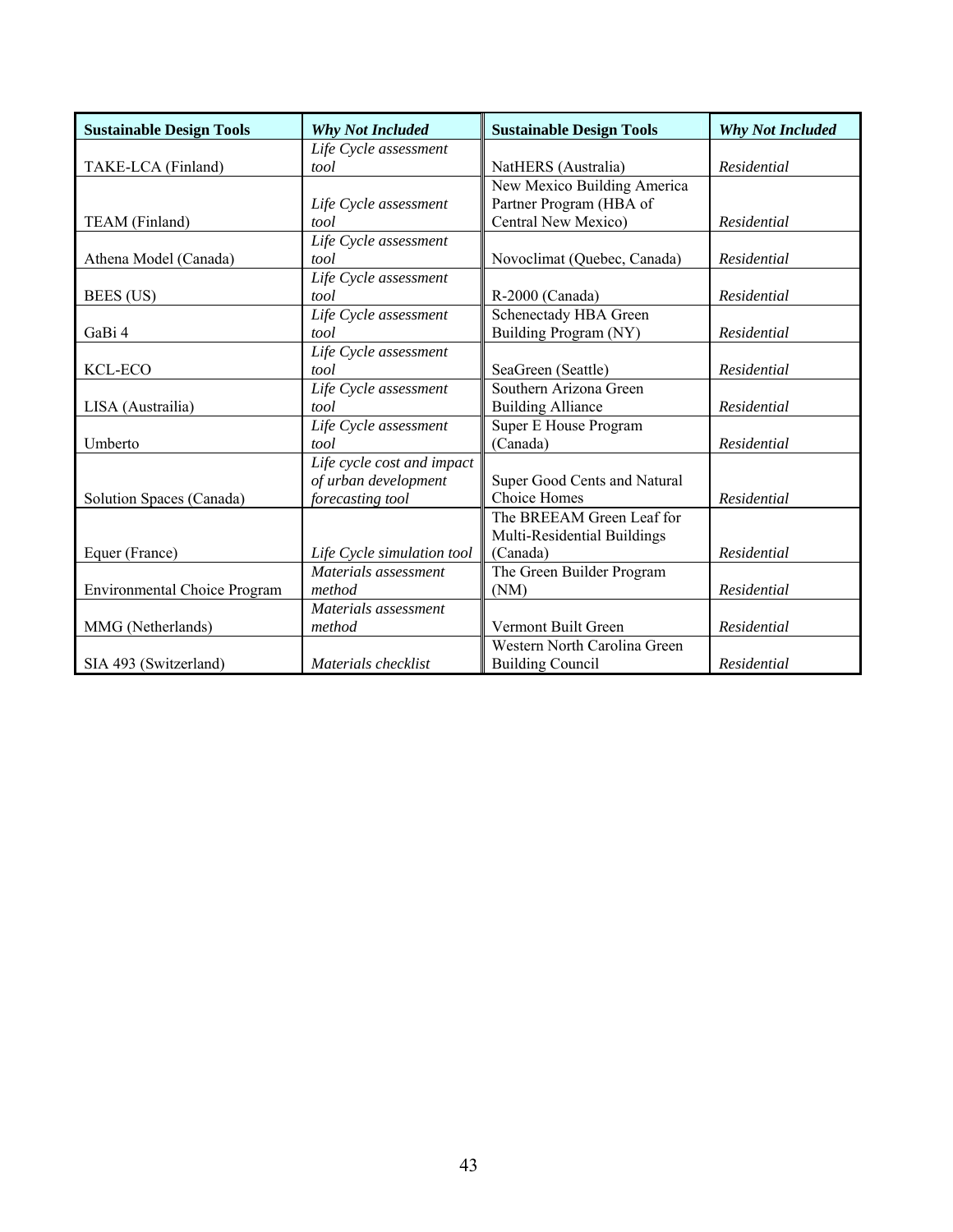| <b>Sustainable Design Tools</b>     | <b>Why Not Included</b>    | <b>Sustainable Design Tools</b> | <b>Why Not Included</b> |
|-------------------------------------|----------------------------|---------------------------------|-------------------------|
|                                     | Life Cycle assessment      |                                 |                         |
| TAKE-LCA (Finland)                  | tool                       | NatHERS (Australia)             | Residential             |
|                                     |                            | New Mexico Building America     |                         |
|                                     | Life Cycle assessment      | Partner Program (HBA of         |                         |
| TEAM (Finland)                      | tool                       | Central New Mexico)             | Residential             |
|                                     | Life Cycle assessment      |                                 |                         |
| Athena Model (Canada)               | tool                       | Novoclimat (Quebec, Canada)     | Residential             |
|                                     | Life Cycle assessment      |                                 |                         |
| BEES (US)                           | tool                       | R-2000 (Canada)                 | Residential             |
|                                     | Life Cycle assessment      | Schenectady HBA Green           |                         |
| GaBi 4                              | tool                       | Building Program (NY)           | Residential             |
|                                     | Life Cycle assessment      |                                 |                         |
| KCL-ECO                             | tool                       | SeaGreen (Seattle)              | Residential             |
|                                     | Life Cycle assessment      | Southern Arizona Green          |                         |
| LISA (Austrailia)                   | tool                       | <b>Building Alliance</b>        | Residential             |
|                                     | Life Cycle assessment      | Super E House Program           |                         |
| Umberto                             | tool                       | (Canada)                        | Residential             |
|                                     | Life cycle cost and impact |                                 |                         |
|                                     | of urban development       | Super Good Cents and Natural    |                         |
| Solution Spaces (Canada)            | forecasting tool           | Choice Homes                    | Residential             |
|                                     |                            | The BREEAM Green Leaf for       |                         |
|                                     |                            | Multi-Residential Buildings     |                         |
| Equer (France)                      | Life Cycle simulation tool | (Canada)                        | Residential             |
|                                     | Materials assessment       | The Green Builder Program       |                         |
| <b>Environmental Choice Program</b> | method                     | (NM)                            | Residential             |
|                                     | Materials assessment       |                                 |                         |
| MMG (Netherlands)                   | method                     | Vermont Built Green             | Residential             |
|                                     |                            | Western North Carolina Green    |                         |
| SIA 493 (Switzerland)               | Materials checklist        | <b>Building Council</b>         | Residential             |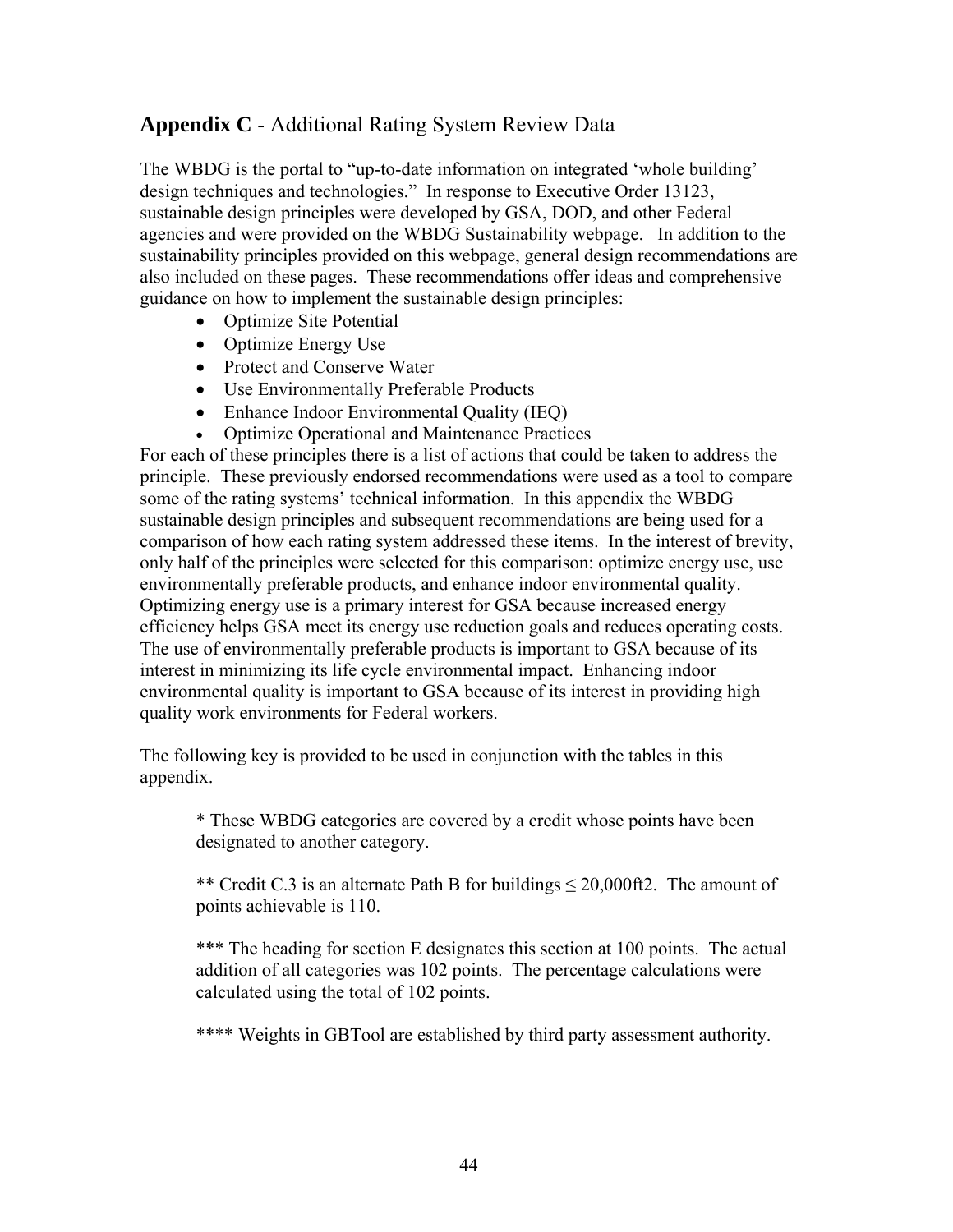# **Appendix C** - Additional Rating System Review Data

The WBDG is the portal to "up-to-date information on integrated 'whole building' design techniques and technologies." In response to Executive Order 13123, sustainable design principles were developed by GSA, DOD, and other Federal agencies and were provided on the WBDG Sustainability webpage. In addition to the sustainability principles provided on this webpage, general design recommendations are also included on these pages. These recommendations offer ideas and comprehensive guidance on how to implement the sustainable design principles:

- Optimize Site Potential
- Optimize Energy Use
- Protect and Conserve Water
- Use Environmentally Preferable Products
- Enhance Indoor Environmental Quality (IEQ)
- Optimize Operational and Maintenance Practices

For each of these principles there is a list of actions that could be taken to address the principle. These previously endorsed recommendations were used as a tool to compare some of the rating systems' technical information. In this appendix the WBDG sustainable design principles and subsequent recommendations are being used for a comparison of how each rating system addressed these items. In the interest of brevity, only half of the principles were selected for this comparison: optimize energy use, use environmentally preferable products, and enhance indoor environmental quality. Optimizing energy use is a primary interest for GSA because increased energy efficiency helps GSA meet its energy use reduction goals and reduces operating costs. The use of environmentally preferable products is important to GSA because of its interest in minimizing its life cycle environmental impact. Enhancing indoor environmental quality is important to GSA because of its interest in providing high quality work environments for Federal workers.

The following key is provided to be used in conjunction with the tables in this appendix.

\* These WBDG categories are covered by a credit whose points have been designated to another category.

\*\* Credit C.3 is an alternate Path B for buildings  $\leq$  20,000ft2. The amount of points achievable is 110.

\*\*\* The heading for section E designates this section at 100 points. The actual addition of all categories was 102 points. The percentage calculations were calculated using the total of 102 points.

\*\*\*\* Weights in GBTool are established by third party assessment authority.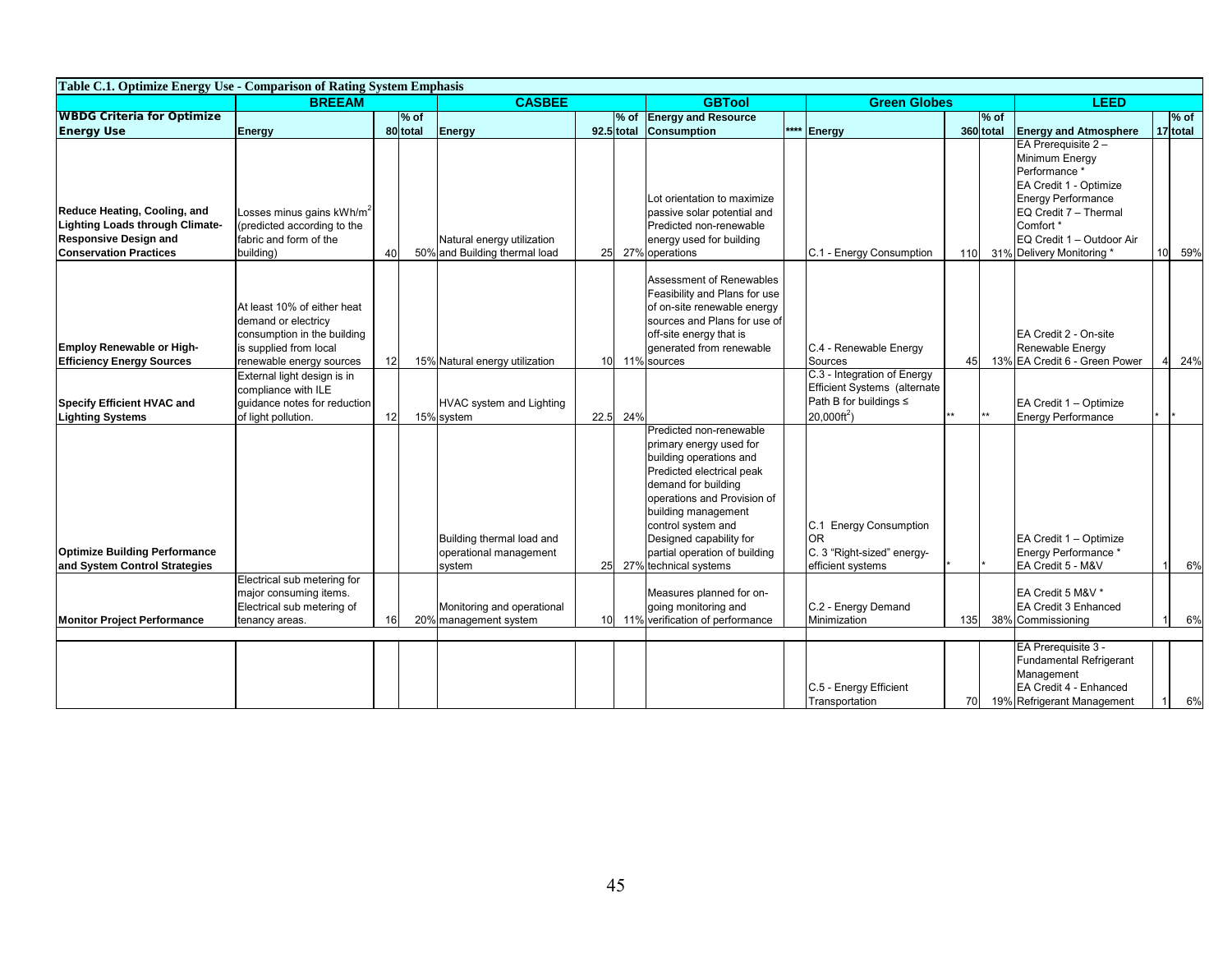| Table C.1. Optimize Energy Use - Comparison of Rating System Emphasis                                                            |                                                                                                                                                                                               |    |         |                                                               |      |                          |                                                                                                                                                                                                                                                                                                    |      |                                                                                                                                 |        |              |                                                                                                                                                                                                               |        |         |    |
|----------------------------------------------------------------------------------------------------------------------------------|-----------------------------------------------------------------------------------------------------------------------------------------------------------------------------------------------|----|---------|---------------------------------------------------------------|------|--------------------------|----------------------------------------------------------------------------------------------------------------------------------------------------------------------------------------------------------------------------------------------------------------------------------------------------|------|---------------------------------------------------------------------------------------------------------------------------------|--------|--------------|---------------------------------------------------------------------------------------------------------------------------------------------------------------------------------------------------------------|--------|---------|----|
|                                                                                                                                  | <b>BREEAM</b>                                                                                                                                                                                 |    |         | <b>CASBEE</b>                                                 |      | <b>GBTool</b>            | <b>Green Globes</b>                                                                                                                                                                                                                                                                                |      | <b>LEED</b>                                                                                                                     |        |              |                                                                                                                                                                                                               |        |         |    |
| <b>WBDG Criteria for Optimize</b>                                                                                                | $%$ of                                                                                                                                                                                        |    |         |                                                               |      | % of Energy and Resource |                                                                                                                                                                                                                                                                                                    |      |                                                                                                                                 | $%$ of |              |                                                                                                                                                                                                               | $%$ of |         |    |
| <b>Energy Use</b>                                                                                                                | Energy                                                                                                                                                                                        |    | 80total | Energy                                                        |      |                          | 92.5 total Consumption                                                                                                                                                                                                                                                                             | **** | Energy                                                                                                                          |        | 360 total    | <b>Energy and Atmosphere</b>                                                                                                                                                                                  |        | 17total |    |
| Reduce Heating, Cooling, and<br>Lighting Loads through Climate-<br><b>Responsive Design and</b><br><b>Conservation Practices</b> | Losses minus gains kWh/m <sup>2</sup><br>(predicted according to the<br>fabric and form of the<br>building)                                                                                   | 40 |         | Natural energy utilization<br>50% and Building thermal load   | 25   |                          | Lot orientation to maximize<br>passive solar potential and<br>Predicted non-renewable<br>energy used for building<br>27% operations                                                                                                                                                                |      | C.1 - Energy Consumption                                                                                                        | 110    |              | EA Prerequisite 2 -<br>Minimum Energy<br>Performance *<br>EA Credit 1 - Optimize<br><b>Energy Performance</b><br>EQ Credit 7 - Thermal<br>Comfort *<br>EQ Credit 1 - Outdoor Air<br>31% Delivery Monitoring * | 10     | 59%     |    |
| Employ Renewable or High-<br><b>Efficiency Energy Sources</b><br>Specify Efficient HVAC and                                      | At least 10% of either heat<br>demand or electricy<br>consumption in the building<br>is supplied from local<br>renewable energy sources<br>External light design is in<br>compliance with ILE |    |         | 15% Natural energy utilization                                |      |                          | Assessment of Renewables<br>Feasibility and Plans for use<br>of on-site renewable energy<br>sources and Plans for use of<br>off-site energy that is<br>generated from renewable<br>10 11% sources                                                                                                  |      | C.4 - Renewable Energy<br>Sources<br>C.3 - Integration of Energy<br>Efficient Systems (alternate<br>Path B for buildings $\leq$ | 45     |              | EA Credit 2 - On-site<br>Renewable Energy<br>13% EA Credit 6 - Green Power<br>EA Credit 1 - Optimize                                                                                                          |        | 24%     |    |
| <b>Lighting Systems</b>                                                                                                          | guidance notes for reduction<br>of light pollution.                                                                                                                                           | 12 |         | HVAC system and Lighting<br>15% system                        | 22.5 | 24%                      |                                                                                                                                                                                                                                                                                                    |      | $20,000 \text{ft}^2$ )                                                                                                          | k*     | $\star\star$ | <b>Energy Performance</b>                                                                                                                                                                                     |        |         |    |
| <b>Optimize Building Performance</b><br>and System Control Strategies                                                            |                                                                                                                                                                                               |    |         | Building thermal load and<br>operational management<br>system | 25   |                          | Predicted non-renewable<br>primary energy used for<br>building operations and<br>Predicted electrical peak<br>demand for building<br>operations and Provision of<br>building management<br>control system and<br>Designed capability for<br>partial operation of building<br>27% technical systems |      | C.1 Energy Consumption<br><b>OR</b><br>C. 3 "Right-sized" energy-<br>efficient systems                                          |        |              | EA Credit 1 - Optimize<br>Energy Performance *<br>EA Credit 5 - M&V                                                                                                                                           |        |         | 6% |
|                                                                                                                                  | Electrical sub metering for                                                                                                                                                                   |    |         |                                                               |      |                          |                                                                                                                                                                                                                                                                                                    |      |                                                                                                                                 |        |              |                                                                                                                                                                                                               |        |         |    |
| <b>Monitor Project Performance</b>                                                                                               | major consuming items.<br>Electrical sub metering of<br>tenancy areas.                                                                                                                        | 16 |         | Monitoring and operational<br>20% management system           |      |                          | Measures planned for on-<br>going monitoring and<br>10 11% verification of performance                                                                                                                                                                                                             |      | C.2 - Energy Demand<br>Minimization                                                                                             | 135    |              | EA Credit 5 M&V *<br>EA Credit 3 Enhanced<br>38% Commissioning                                                                                                                                                |        |         | 6% |
|                                                                                                                                  |                                                                                                                                                                                               |    |         |                                                               |      |                          |                                                                                                                                                                                                                                                                                                    |      | C.5 - Energy Efficient<br>Transportation                                                                                        | 70     |              | EA Prerequisite 3 -<br><b>Fundamental Refrigerant</b><br>Management<br>EA Credit 4 - Enhanced<br>19% Refrigerant Management                                                                                   |        | 6%      |    |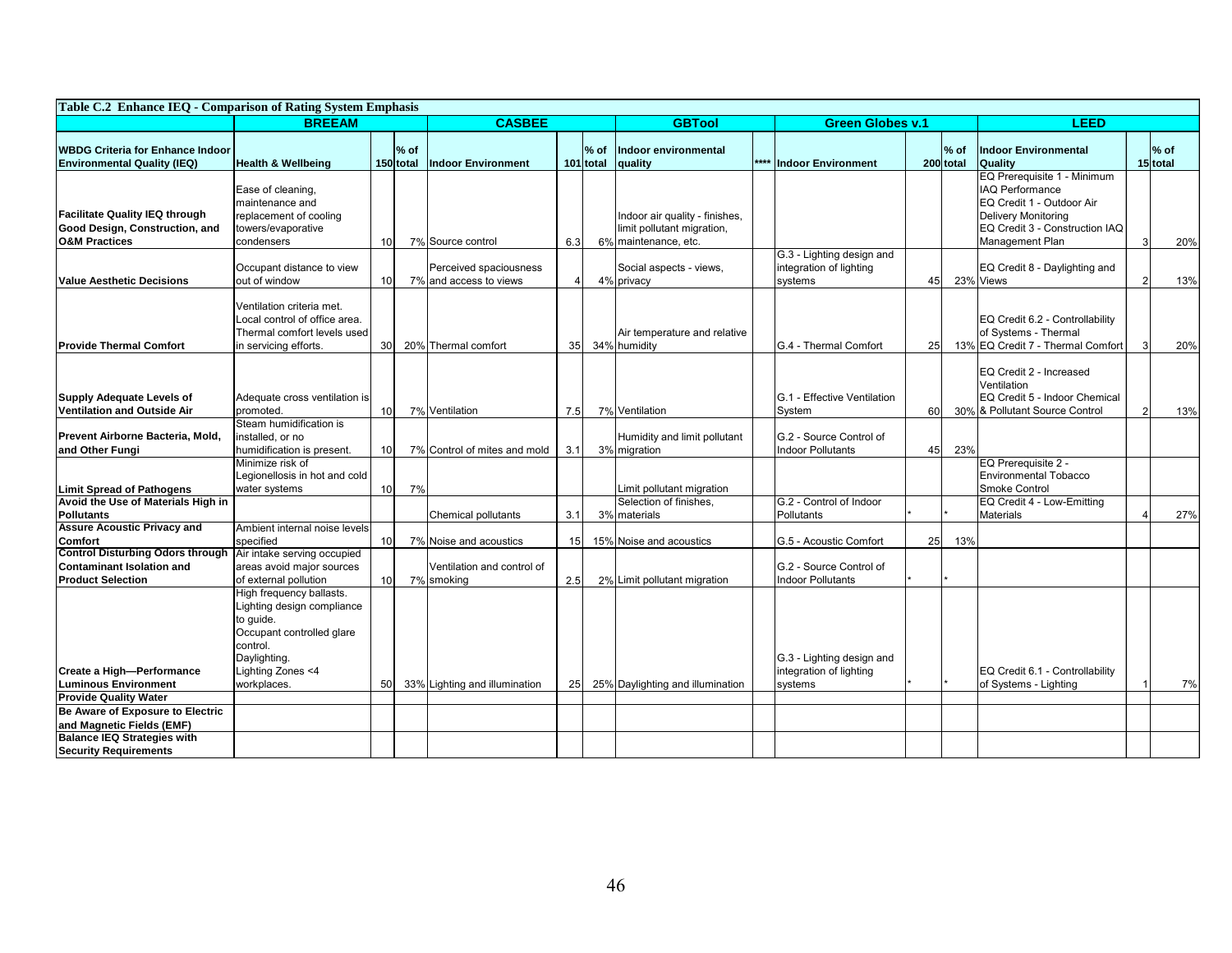| Table C.2 Enhance IEO - Comparison of Rating System Emphasis                                        |                                                                                                                              |                 |                   |                                                  |                 |                         |                                                                                      |  |                                                     |    |                    |                                                                                                                                                                       |                  |     |
|-----------------------------------------------------------------------------------------------------|------------------------------------------------------------------------------------------------------------------------------|-----------------|-------------------|--------------------------------------------------|-----------------|-------------------------|--------------------------------------------------------------------------------------|--|-----------------------------------------------------|----|--------------------|-----------------------------------------------------------------------------------------------------------------------------------------------------------------------|------------------|-----|
|                                                                                                     | <b>BREEAM</b>                                                                                                                | <b>CASBEE</b>   |                   | <b>GBTool</b>                                    |                 | <b>Green Globes v.1</b> |                                                                                      |  | LEED                                                |    |                    |                                                                                                                                                                       |                  |     |
| <b>WBDG Criteria for Enhance Indoor</b><br><b>Environmental Quality (IEQ)</b>                       | <b>Health &amp; Wellbeing</b>                                                                                                |                 | % of<br>150 total | <b>Indoor Environment</b>                        |                 | $%$ of<br>101 total     | Indoor environmental<br>quality                                                      |  | **** Indoor Environment                             |    | $%$ of<br>200total | <b>Indoor Environmental</b><br><b>Quality</b>                                                                                                                         | % of<br>15 total |     |
| <b>Facilitate Quality IEQ through</b><br>Good Design, Construction, and<br><b>O&amp;M Practices</b> | Ease of cleaning,<br>maintenance and<br>replacement of cooling<br>towers/evaporative<br>condensers                           | 10 <sup>1</sup> |                   | 7% Source control                                | 6.3             |                         | Indoor air quality - finishes,<br>limit pollutant migration,<br>6% maintenance, etc. |  | G.3 - Lighting design and                           |    |                    | EQ Prerequisite 1 - Minimum<br><b>IAQ Performance</b><br>EQ Credit 1 - Outdoor Air<br><b>Delivery Monitoring</b><br>EQ Credit 3 - Construction IAQ<br>Management Plan | 3                | 20% |
| <b>Value Aesthetic Decisions</b>                                                                    | Occupant distance to view<br>out of window                                                                                   | 10 <sup>1</sup> |                   | Perceived spaciousness<br>7% and access to views |                 |                         | Social aspects - views,<br>4% privacy                                                |  | integration of lighting<br>systems                  | 45 |                    | EQ Credit 8 - Daylighting and<br>23% Views                                                                                                                            |                  | 13% |
| <b>Provide Thermal Comfort</b>                                                                      | Ventilation criteria met.<br>Local control of office area.<br>Thermal comfort levels used<br>in servicing efforts.           | 30 <sup>l</sup> |                   | 20% Thermal comfort                              | 35              |                         | Air temperature and relative<br>34% humidity                                         |  | <b>IG.4 - Thermal Comfort</b>                       | 25 |                    | EQ Credit 6.2 - Controllability<br>of Systems - Thermal<br>13% EQ Credit 7 - Thermal Comfort                                                                          | 3                | 20% |
| <b>Supply Adequate Levels of</b><br><b>Ventilation and Outside Air</b>                              | Adequate cross ventilation is<br>promoted.<br>Steam humidification is                                                        | 10 <sup>1</sup> |                   | 7% Ventilation                                   | 7.5             |                         | 7% Ventilation                                                                       |  | G.1 - Effective Ventilation<br>System               | 60 |                    | EQ Credit 2 - Increased<br>Ventilation<br>EQ Credit 5 - Indoor Chemical<br>30% & Pollutant Source Control                                                             | $\overline{2}$   | 13% |
| Prevent Airborne Bacteria, Mold,<br>and Other Fungi                                                 | installed, or no<br>humidification is present.                                                                               | 10 <sup>1</sup> |                   | 7% Control of mites and mold                     | 3.1             |                         | Humidity and limit pollutant<br>3% migration                                         |  | G.2 - Source Control of<br><b>Indoor Pollutants</b> | 45 | 23%                |                                                                                                                                                                       |                  |     |
| <b>Limit Spread of Pathogens</b>                                                                    | Minimize risk of<br>Legionellosis in hot and cold<br>water systems                                                           | 10 <sup>1</sup> | 7%                |                                                  |                 |                         | Limit pollutant migration                                                            |  |                                                     |    |                    | EQ Prerequisite 2 -<br><b>Environmental Tobacco</b><br>Smoke Control                                                                                                  |                  |     |
| Avoid the Use of Materials High in<br><b>Pollutants</b>                                             |                                                                                                                              |                 |                   | Chemical pollutants                              | 3.1             |                         | Selection of finishes,<br>3% materials                                               |  | G.2 - Control of Indoor<br>Pollutants               |    |                    | EQ Credit 4 - Low-Emitting<br><b>Materials</b>                                                                                                                        |                  | 27% |
| <b>Assure Acoustic Privacy and</b><br><b>Comfort</b><br><b>Control Disturbing Odors through</b>     | Ambient internal noise levels<br>specified<br>Air intake serving occupied                                                    | 10 <sup>1</sup> |                   | 7% Noise and acoustics                           | 15              |                         | 15% Noise and acoustics                                                              |  | G.5 - Acoustic Comfort                              | 25 | 13%                |                                                                                                                                                                       |                  |     |
| <b>Contaminant Isolation and</b><br><b>Product Selection</b>                                        | areas avoid major sources<br>of external pollution                                                                           | 10 <sup>1</sup> |                   | Ventilation and control of<br>7% smoking         | 2.5             |                         | 2% Limit pollutant migration                                                         |  | G.2 - Source Control of<br><b>Indoor Pollutants</b> |    |                    |                                                                                                                                                                       |                  |     |
|                                                                                                     | High frequency ballasts.<br>Lighting design compliance<br>to quide.<br>Occupant controlled glare<br>control.<br>Daylighting. |                 |                   |                                                  |                 |                         |                                                                                      |  | G.3 - Lighting design and                           |    |                    |                                                                                                                                                                       |                  |     |
| Create a High-Performance<br><b>Luminous Environment</b>                                            | Lighting Zones <4<br>workplaces.                                                                                             | 50              |                   | 33% Lighting and illumination                    | 25 <sub>l</sub> |                         | 25% Daylighting and illumination                                                     |  | integration of lighting<br>systems                  |    |                    | EQ Credit 6.1 - Controllability<br>of Systems - Lighting                                                                                                              |                  | 7%  |
| <b>Provide Quality Water</b><br>Be Aware of Exposure to Electric                                    |                                                                                                                              |                 |                   |                                                  |                 |                         |                                                                                      |  |                                                     |    |                    |                                                                                                                                                                       |                  |     |
| and Magnetic Fields (EMF)                                                                           |                                                                                                                              |                 |                   |                                                  |                 |                         |                                                                                      |  |                                                     |    |                    |                                                                                                                                                                       |                  |     |
| <b>Balance IEQ Strategies with</b><br><b>Security Requirements</b>                                  |                                                                                                                              |                 |                   |                                                  |                 |                         |                                                                                      |  |                                                     |    |                    |                                                                                                                                                                       |                  |     |